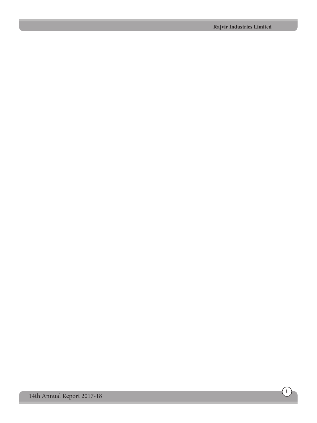$\bigodot$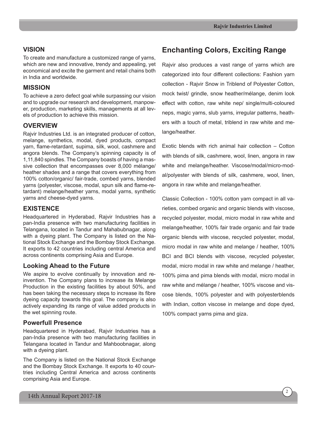#### **VISION**

To create and manufacture a customized range of yarns, which are new and innovative, trendy and appealing, yet economical and excite the garment and retail chains both in India and worldwide.

### **MISSION**

To achieve a zero defect goal while surpassing our vision and to upgrade our research and development, manpower, production, marketing skills, managements at all levels of production to achieve this mission.

#### **OVERVIEW**

Rajvir Industries Ltd. is an integrated producer of cotton, melange, synthetics, modal, dyed products, compact yarn, flame-retardant, supima, silk, wool, cashmere and angora blends. The Company's spinning capacity is of 1,11,840 spindles. The Company boasts of having a massive collection that encompasses over 8,000 mélange/ heather shades and a range that covers everything from 100% cotton/organic/ fair-trade, combed yarns, blended yarns (polyester, viscose, modal, spun silk and flame-retardant) melange/heather yarns, modal yarns, synthetic yarns and cheese-dyed yarns.

### **EXISTENCE**

Headquartered in Hyderabad, Rajvir Industries has a pan-India presence with two manufacturing facilities in Telangana, located in Tandur and Mahabubnagar, along with a dyeing plant. The Company is listed on the National Stock Exchange and the Bombay Stock Exchange. It exports to 42 countries including central America and across continents comprising Asia and Europe.

#### **Looking Ahead to the Future**

We aspire to evolve continually by innovation and reinvention. The Company plans to increase its Melange Production in the existing facilities by about 50%, and has been taking the necessary steps to increase its fibre dyeing capacity towards this goal. The company is also actively expanding its range of value added products in the wet spinning route.

#### **Powerfull Presence**

Headquartered in Hyderabad, Rajvir Industries has a pan-India presence with two manufacturing facilities in Telangana located in Tandur and Mahboobnagar, along with a dyeing plant.

The Company is listed on the National Stock Exchange and the Bombay Stock Exchange. It exports to 40 countries including Central America and across continents comprising Asia and Europe.

# **Enchanting Colors, Exciting Range**

Rajvir also produces a vast range of yarns which are categorized into four different collections: Fashion yarn collection - Rajvir Snow in Triblend of Polyester Cotton, mock twist/ grindle, snow heather/mélange, denim look effect with cotton, raw white nep/ single/multi-coloured neps, magic yarns, slub yarns, irregular patterns, heathers with a touch of metal, triblend in raw white and melange/heather.

Exotic blends with rich animal hair collection – Cotton with blends of silk, cashmere, wool, linen, angora in raw white and melange/heather. Viscose/modal/micro-modal/polyester with blends of silk, cashmere, wool, linen, angora in raw white and melange/heather.

Classic Collection - 100% cotton yarn compact in all varieties, combed organic and organic blends with viscose, recycled polyester, modal, micro modal in raw white and melange/heather, 100% fair trade organic and fair trade organic blends with viscose, recycled polyester, modal, micro modal in raw white and melange / heather, 100% BCI and BCI blends with viscose, recycled polyester, modal, micro modal in raw white and melange / heather, 100% pima and pima blends with modal, micro modal in raw white and mélange / heather, 100% viscose and viscose blends, 100% polyester and with polyesterblends with Indian, cotton viscose in melange and dope dyed, 100% compact yarns pima and giza.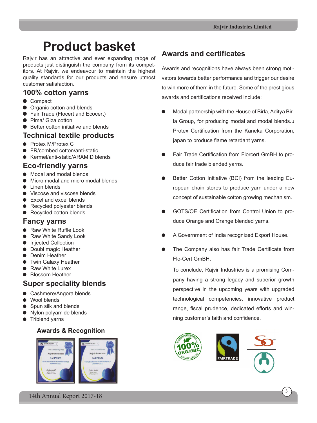# **Product basket**

Rajvir has an attractive and ever expanding rabge of products just distinguish the company from its competitors. At Rajvir, we endeavour to maintain the highest quality standards for our products and ensure utmost customer satisfaction.

# **100% cotton yarns**

- Compact
- **•** Organic cotton and blends
- Fair Trade (Flocert and Ecocert)
- Pima/ Giza cotton
- Better cotton initiative and blends

# **Technical textile products**

- Protex M/Protex C
- FR/combed cotton/anti-static
- Kermel/anti-static/ARAMID blends

# **Eco-friendly yarns**

- $\bullet$  Modal and modal blends
- $\bullet$  Micro modal and micro modal blends
- $\bullet$  Linen blends
- $\bullet$  Viscose and viscose blends
- $\bullet$  Excel and excel blends
- Recycled polyester blends
- Recycled cotton blends

# **Fancy yarns**

- Raw White Ruffle Look
- Raw White Sandy Look
- **•** Injected Collection
- **•** Doubl magic Heather
- **•** Denim Heather
- **•** Twin Galaxy Heather
- Raw White Lurex
- Blossom Heather

# **Super speciality blends**

- **•** Cashmere/Angora blends
- Wool blends
- Spun silk and blends
- Nylon polyamide blends
- $\bullet$  Triblend yarns

## **Awards & Recognition**



**Awards and certificates**

Awards and recognitions have always been strong motivators towards better performance and trigger our desire to win more of them in the future. Some of the prestigious awards and certifications received include:

- l Modal partnership with the House of Birla, Aditya Birla Group, for producing modal and modal blends.u Protex Certification from the Kaneka Corporation, japan to produce flame retardant yarns.
- Fair Trade Certification from Florcert GmBH to produce fair trade blended yarns.
- Better Cotton Initiative (BCI) from the leading European chain stores to produce yarn under a new concept of sustainable cotton growing mechanism.
- GOTS/OE Certification from Control Union to produce Orange and Orange blended yarns.
- A Government of India recognized Export House.
- The Company also has fair Trade Certificate from Flo-Cert GmBH.

To conclude, Rajvir Industries is a promising Company having a strong legacy and superior growth perspective in the upcoming years with upgraded technological competencies, innovative product range, fiscal prudence, dedicated efforts and winning customer's faith and confidence.



3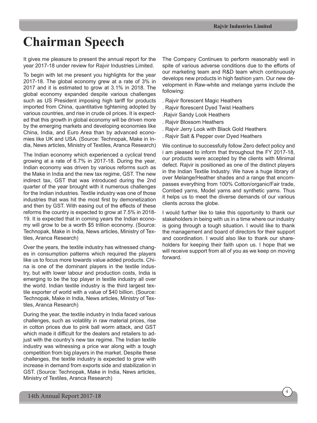# Chairman Speech

It gives me pleasure to present the annual report for the year 2017-18 under review for Rajvir Industries Limited.

To begin with let me present you highlights for the year 2017-18. The global economy grew at a rate of 3% in 2017 and it is estimated to grow at 3.1% in 2018. The global economy expanded despite various challenges such as US President imposing high tariff for products imported from China, quantitative tightening adopted by various countries, and rise in crude oil prices. It is expected that this growth in global economy will be driven more by the emerging markets and developing economies like China, India, and Euro Area than by advanced economies like UK and USA. (Source: Technopak, Make in India, News articles, Ministry of Textiles, Aranca Research)

The Indian economy which experienced a cyclical trend growing at a rate of 6.7% in 2017-18. During the year, Indian economy was driven by various reforms such as the Make in India and the new tax regime, GST. The new indirect tax, GST that was introduced during the 2nd quarter of the year brought with it numerous challenges for the Indian industries. Textile industry was one of those industries that was hit the most first by demonetization and then by GST. With easing out of the effects of these reforms the country is expected to grow at 7.5% in 2018- 19. It is expected that in coming years the Indian economy will grow to be a worth \$5 trillion economy. (Source: Technopak, Make in India, News articles, Ministry of Textiles, Aranca Research)

Over the years, the textile industry has witnessed changes in consumption patterns which required the players like us to focus more towards value added products. China is one of the dominant players in the textile industry, but with lower labour and production costs, India is emerging to be the top player in textile industry all over the world. Indian textile industry is the third largest textile exporter of world with a value of \$40 billion. (Source: Technopak, Make in India, News articles, Ministry of Textiles, Aranca Research)

During the year, the textile industry in India faced various challenges, such as volatility in raw material prices, rise in cotton prices due to pink ball worm attack, and GST which made it difficult for the dealers and retailers to adjust with the country's new tax regime. The Indian textile industry was witnessing a price war along with a tough competition from big players in the market. Despite these challenges, the textile industry is expected to grow with increase in demand from exports side and stabilization in GST. (Source: Technopak, Make in India, News articles, Ministry of Textiles, Aranca Research)

The Company Continues to perform reasonably well in spite of various adverse conditions due to the efforts of our marketing team and R&D team which continuously develops new products in high fashion yarn. Our new development in Raw-white and melange yarns include the following:

- . Rajvir florescent Magic Heathers
- . Rajvir florescent Dyed Twist Heathers
- .Rajvir Sandy Look Heathers
- . Rajvir Blossom Heathers
- . Rajvir Jerry Look with Black Gold Heathers
- . Rajvir Salt & Pepper over Dyed Heathers

We continue to successfully follow Zero defect policy and i am pleased to inform that throughout the FY 2017-18, our products were accepted by the clients with Minimal defect. Rajvir is positioned as one of the distinct players in the Indian Textile Industry. We have a huge library of over Melange/Heather shades and a range that encompasses everything from 100% Cotton/organic/Fair trade, Combed yarns, Model yarns and synthetic yarns. Thus it helps us to meet the diverse demands of our various clients across the globe.

I would further like to take this opportunity to thank our stakeholders in being with us in a time where our industry is going through a tough situation. I would like to thank the management and board of directors for their support and coordination. I would also like to thank our shareholders for keeping their faith upon us. I hope that we will receive support from all of you as we keep on moving forward.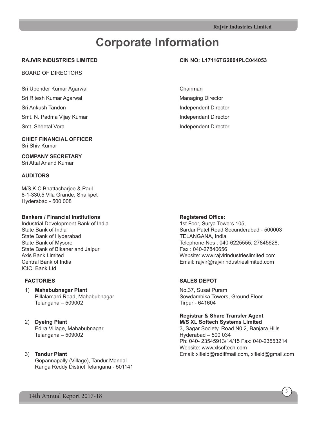State Bank of India Sardar Patel Road Secunderabad - 500003 State Bank of Mysore Telephone Nos : 040-6225555, 27845628, Axis Bank Limited Website: www.rajvirindustrieslimited.com Central Bank of India Email: rajvir@rajvirindustrieslimited.com

#### **FACTORIES SALES DEPOT**

Pillalamarri Road, Mahabubnagar Sowdambika Towers, Ground Floor

#### **Registrar & Share Transfer Agent** 2) **Dyeing Plant M/S XL Softech Systems Limited**

Edira Village, Mahabubnagar 3, Sagar Society, Road N0.2, Banjara Hills Ph: 040- 23545913/14/15 Fax: 040-23553214 Website: www.xlsoftech.com 3) **Tandur Plant** Email: xlfield@rediffmail.com, xlfield@gmail.com

# **Corporate Information**

## **RAJVIR INDUSTRIES LIMITED CIN NO: L17116TG2004PLC044053**

#### BOARD OF DIRECTORS

Sri Upender Kumar Agarwal Chairman Sri Ritesh Kumar Agarwal Managing Director Sri Ankush Tandon **Independent Director Independent Director** Smt. N. Padma Vijay Kumar **Independant Director** Independant Director Smt. Sheetal Vora **Independent Director** Independent Director

#### **CHIEF FINANCIAL OFFICER** Sri Shiv Kumar

# **COMPANY SECRETARY**

Sri Attal Anand Kumar

#### **AUDITORS**

M/S K C Bhattacharjee & Paul 8-1-330,5,Vlla Grande, Shaikpet Hyderabad - 500 008

#### **Bankers / Financial Institutions Registered Office:**

Industrial Development Bank of India 1st Foor, Surya Towers 105, State Bank of Hyderabad **TELANGANA**, India State Bank of Bikaner and Jaipur Fax : 040-27840656 ICICI Bank Ltd

- 1) **Mahabubnagar Plant** No.37, Susai Puram Telangana – 509002 Tirpur - 641604
- Telangana 509002 Hyderabad 500 034

Gopannapally (Village), Tandur Mandal Ranga Reddy District Telangana - 501141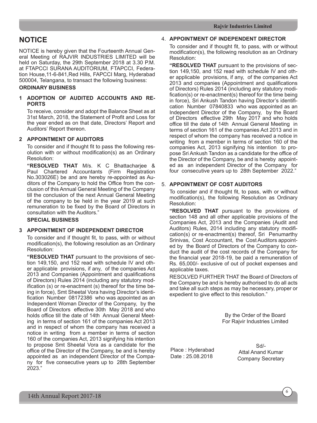# **NOTICE**

NOTICE is hereby given that the Fourteenth Annual General Meeting of RAJVIR INDUSTRIES LIMITED will be held on Saturday, the 29th September 2018 at 3.30 P.M. at FTAPCCI SURANA AUDITORIUM, FTAPCCI, Federation House,11-6-841,Red Hills, FAPCCI Marg, Hyderabad 500004, Telangana, to transact the following business:

#### **ORDINARY BUSINESS**

#### **1 ADOPTION OF AUDITED ACCOUNTS AND RE-PORTS**

To receive, consider and adopt the Balance Sheet as at 31st March, 2018, the Statement of Profit and Loss for the year ended as on that date, Directors' Report and Auditors' Report thereon.

#### **2 APPOINTMENT OF AUDITORS**

To consider and if thought fit to pass the following resolution with or without modification(s) as an Ordinary Resolution:

**"RESOLVED THAT** M/s. K C Bhattacharjee & Paul Chartered Accountants (Firm Registration No.303026E) be and are hereby re-appointed as Auditors of the Company to hold the Office from the conclusion of this Annual General Meeting of the Company till the conclusion of the next Annual General Meeting of the company to be held in the year 2019 at such remuneration to be fixed by the Board of Directors in consultation with the Auditors."

#### **SPECIAL BUSINESS**

#### **3 APPOINTMENT OF INDEPENDENT DIRECTOR**

To consider and if thought fit, to pass, with or without modification(s), the following resolution as an Ordinary Resolution:

**"RESOLVED THAT** pursuant to the provisions of section 149,150, and 152 read with schedule IV and other applicable provisions, if any, of the companies Act 2013 and Companies (Appointment and qualifications of Directors) Rules 2014 (including any statutory modification (s) or re-enactment (s) thereof for the time being in force), Smt Sheetal Vora having Director's identification Number 08172386 who was appointed as an Independent Woman Director of the Company, by the Board of Directors effective 30th May 2018 and who holds office till the date of 14th Annual General Meeting in terms of section 161 of the companies Act 2013 and in respect of whom the company has received a notice in writing from a member in terms of section 160 of the companies Act, 2013 signifying his intention to propose Smt Sheetal Vora as a candidate for the office of the Director of the Company, be and is hereby appointed as an independent Director of the Company for five consecutive years up to 28th September 2023."

#### 4. **APPOINTMENT OF INDEPENDENT DIRECTOR**

To consider and if thought fit, to pass, with or without modification(s), the following resolution as an Ordinary Resolution:

**"RESOLVED THAT** pursuant to the provisions of section 149,150, and 152 read with schedule IV and other applicable provisions, if any, of the companies Act 2013 and companies (Appointment and qualifications of Directors) Rules 2014 (including any statutory modification(s) or re-enactment(s) thereof for the time being in force), Sri Ankush Tandon having Director's identification Number 07840833 who was appointed as an Independent Director of the Company, by the Board of Directors effective 29th May 2017 and who holds office till the date of 14th Annual General Meeting in terms of section 161 of the companies Act 2013 and in respect of whom the company has received a notice in writing from a member in terms of section 160 of the companies Act, 2013 signifying his intention to propose Sri Ankush Tandon as a candidate for the office of the Director of the Company, be and is hereby appointed as an independent Director of the Company for four consecutive years up to 28th September 2022."

#### 5. **APPOINTMENT OF COST AUDITORS**

To consider and if thought fit, to pass, with or without modification(s), the following Resolution as Ordinary Resolution:

**"RESOLVED THAT** pursuant to the provisions of section 148 and all other applicable provisions of the Companies Act, 2013 and the Companies (Audit and Auditors) Rules, 2014 including any statutory modification(s) or re-enactment(s) thereof, Sri Penumarthy Srinivas, Cost Accountant, the Cost Auditors appointed by the Board of Directors of the Company to conduct the audit of the cost records of the Company for the financial year 2018-19, be paid a remuneration of Rs. 65,000/- exclusive of out of pocket expenses and applicable taxes.

RESOLVED FURTHER THAT the Board of Directors of the Company be and is hereby authorised to do all acts and take all such steps as may be necessary, proper or expedient to give effect to this resolution."

> By the Order of the Board For Rajvir Industries Limited

Place : Hyderabad Date : 25.08.2018

Sd/- Attal Anand Kumar Company Secretary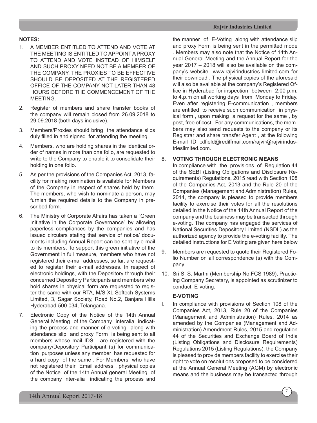#### **NOTES:**

- 1. A MEMBER ENTITLED TO ATTEND AND VOTE AT THE MEETING IS ENTITLED TO APPOINT A PROXY TO ATTEND AND VOTE INSTEAD OF HIMSELF AND SUCH PROXY NEED NOT BE A MEMBER OF THE COMPANY. THE PROXIES TO BE EFFECTIVE SHOULD BE DEPOSITED AT THE REGISTERED OFFICE OF THE COMPANY NOT LATER THAN 48 HOURS BEFORE THE COMMENCEMENT OF THE MEETING.
- 2. Register of members and share transfer books of the company will remain closed from 26.09.2018 to 29.09.2018 (both days inclusive).
- 3. Members/Proxies should bring the attendance slips duly filled in and signed for attending the meeting.
- 4. Members, who are holding shares in the identical order of names in more than one folio, are requested to write to the Company to enable it to consolidate their holding in one folio.
- 5. As per the provisions of the Companies Act, 2013, facility for making nomination is available for Members of the Company in respect of shares held by them. The members, who wish to nominate a person, may furnish the required details to the Company in prescribed form.
- 6. The Ministry of Corporate Affairs has taken a "Green Initiative in the Corporate Governance" by allowing paperless compliances by the companies and has issued circulars stating that service of notice/ documents including Annual Report can be sent by e-mail to its members. To support this green initiative of the Government in full measure, members who have not registered their e-mail addresses, so far, are requested to register their e-mail addresses. In respect of electronic holdings, with the Depository through their concerned Depository Participants and members who hold shares in physical form are requested to register the same with our RTA, M/S XL Softech Systems Limited, 3, Sagar Society, Road No.2, Banjara Hills Hyderabad-500 034, Telangana.
- 7. Electronic Copy of the Notice of the 14th Annual General Meeting of the Company interalia indicating the process and manner of e-voting along with attendance slip and proxy Form is being sent to all members whose mail IDS are registered with the company/Depository Participant (s) for communication purposes unless any member has requested for a hard copy of the same . For Members who have not registered their Email address , physical copies of the Notice of the 14th Annual general Meeting of the company inter-alia indicating the process and

Rajvir Industries Limited

the manner of E-Voting along with attendance slip and proxy Form is being sent in the permitted mode . Members may also note that the Notice of 14th Annual General Meeting and the Annual Report for the year 2017 – 2018 will also be available on the company's website www.rajvirindustries limited.com for their download . The physical copies of the aforesaid will also be available at the company's Registered Office in Hyderabad for inspection between 2.00 p.m. to 4.p.m on all working days from Monday to Friday. Even after registering E-communication , members are entitled to receive such communication in physical form , upon making a request for the same , by post, free of cost, For any communications, the members may also send requests to the company or its Registrar and share transfer Agent , at the following E-mail ID :xlfield@rediffmail.com/rajvir@rajvirindustrieslimited.com.

#### 8. **VOTING THROUGH ELECTRONIC MEANS**

In compliance with the provisions of Regulation 44 of the SEBI (Listing Obligations and Disclosure Requirements) Regulations, 2015 read with Section 108 of the Companies Act, 2013 and the Rule 20 of the Companies (Management and Administration) Rules, 2014, the company is pleased to provide members facility to exercise their votes for all the resolutions detailed in the Notice of the 14th Annual Report of the company and the business may be transacted through e-voting. The company has engaged the services of National Securities Depository Limited (NSDL) as the authorized agency to provide the e-voting facility. The detailed instructions for E Voting are given here below

- 9. Members are requested to quote their Registered Folio Number on all correspondence (s) with the Company.
- 10. Sri S. S. Marthi (Membership No.FCS 1989), Practicing Company Secretary, is appointed as scrutinizer to conduct E-voting.

#### **E-VOTING**

I. In compliance with provisions of Section 108 of the Companies Act, 2013, Rule 20 of the Companies (Management and Administration) Rules, 2014 as amended by the Companies (Management and Administration) Amendment Rules, 2015 and regulation 44 of the Securities and Exchange Board of India (Listing Obligations and Disclosure Requirements) Regulations 2015 (Listing Regulations), the Company is pleased to provide members facility to exercise their right to vote on resolutions proposed to be considered at the Annual General Meeting (AGM) by electronic means and the business may be transacted through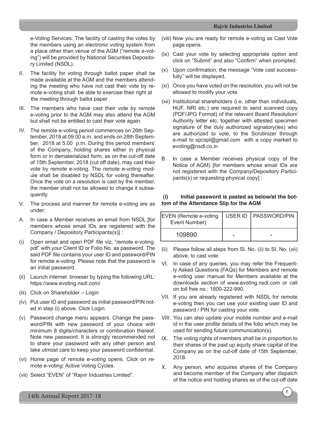e-Voting Services. The facility of casting the votes by the members using an electronic voting system from a place other than venue of the AGM ("remote e-voting") will be provided by National Securities Depository Limited (NSDL).

- II. The facility for voting through ballot paper shall be made available at the AGM and the members attending the meeting who have not cast their vote by remote e-voting shall be able to exercise their right at the meeting through ballot paper
- III. The members who have cast their vote by remote e-voting prior to the AGM may also attend the AGM but shall not be entitled to cast their vote again.
- IV. The remote e-voting period commences on 26th September, 2018 at 09.00 a.m. and ends on 28th September, 2018 at 5.00 p.m. During this period members' of the Company, holding shares either in physical form or in dematerialized form, as on the cut-off date of 15th September, 2018 (cut off date), may cast their vote by remote e-voting. The remote e-voting module shall be disabled by NSDL for voting thereafter. Once the vote on a resolution is cast by the member, the member shall not be allowed to change it subsequently.
- V. The process and manner for remote e-voting are as under:
- A. In case a Member receives an email from NSDL [for members whose email IDs are registered with the Company / Depository Participants(s)] :
- (i) Open email and open PDF file viz; "remote e-voting. pdf" with your Client ID or Folio No. as password. The said PDF file contains your user ID and password/PIN for remote e-voting. Please note that the password is an initial password.
- (ii) Launch internet browser by typing the following URL: https://www.evoting.nsdl.com/
- (iii) Click on Shareholder Login
- (iv) Put user ID and password as initial password/PIN noted in step (i) above. Click Login.
- (v) Password change menu appears. Change the password/PIN with new password of your choice with minimum 8 digits/characters or combination thereof. Note new password. It is strongly recommended not to share your password with any other person and take utmost care to keep your password confidential.
- (vi) Home page of remote e-voting opens. Click on remote e-voting: Active Voting Cycles.
- (vii) Select "EVEN" of "Rajvir Industries Limited".
- (viii) Now you are ready for remote e-voting as Cast Vote page opens.
- (ix) Cast your vote by selecting appropriate option and click on "Submit" and also "Confirm" when prompted.
- (x) Upon confirmation, the message "Vote cast successfully" will be displayed.
- (xi) Once you have voted on the resolution, you will not be allowed to modify your vote.
- (xii) Institutional shareholders (i.e. other than individuals, HUF, NRI etc.) are required to send scanned copy (PDF/JPG Format) of the relevant Board Resolution/ Authority letter etc. together with attested specimen signature of the duly authorized signatory(ies) who are authorized to vote, to the Scrutinizer through e-mail to spcspl@gmail.com with a copy marked to evoting@nsdl.co.in
- B. In case a Member receives physical copy of the Notice of AGM) [for members whose email IDs are not registered with the Company/Depository Participants(s) or requesting physical copy] :

#### **(i) Initial password is pasted as below/at the bottom of the Attendance Slip for the AGM**

| EVEN (Remote e-voting   USER ID   PASSWORD/PIN<br>Event Number) |  |
|-----------------------------------------------------------------|--|
| 109890                                                          |  |

- (ii) Please follow all steps from Sl. No. (ii) to Sl. No. (xii) above, to cast vote.
- VI. In case of any queries, you may refer the Frequently Asked Questions (FAQs) for Members and remote e-voting user manual for Members available at the downloads section of www.evoting.nsdl.com or call on toll free no.: 1800-222-990.
- VII. If you are already registered with NSDL for remote e-voting then you can use your existing user ID and password / PIN for casting your vote.
- VIII. You can also update your mobile number and e-mail id in the user profile details of the folio which may be used for sending future communication(s).
- IX. The voting rights of members shall be in proportion to their shares of the paid up equity share capital of the Company as on the cut-off date of 15th September, 2018.
- X. Any person, who acquires shares of the Company and become member of the Company after dispatch of the notice and holding shares as of the cut-off date

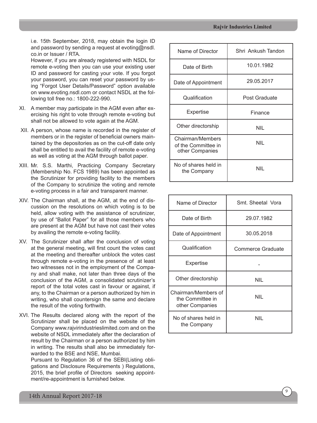i.e. 15th September, 2018, may obtain the login ID and password by sending a request at evoting@nsdl. co.in or Issuer / RTA.

However, if you are already registered with NSDL for remote e-voting then you can use your existing user ID and password for casting your vote. If you forgot your password, you can reset your password by using "Forgot User Details/Password" option available on www.evoting.nsdl.com or contact NSDL at the following toll free no.: 1800-222-990.

- XI. A member may participate in the AGM even after exercising his right to vote through remote e-voting but shall not be allowed to vote again at the AGM.
- XII. A person, whose name is recorded in the register of members or in the register of beneficial owners maintained by the depositories as on the cut-off date only shall be entitled to avail the facility of remote e-voting as well as voting at the AGM through ballot paper.
- XIII. Mr. S.S. Marthi, Practicing Company Secretary (Membership No. FCS 1989) has been appointed as the Scrutinizer for providing facility to the members of the Company to scrutinize the voting and remote e-voting process in a fair and transparent manner.
- XIV. The Chairman shall, at the AGM, at the end of discussion on the resolutions on which voting is to be held, allow voting with the assistance of scrutinizer, by use of "Ballot Paper" for all those members who are present at the AGM but have not cast their votes by availing the remote e-voting facility.
- XV. The Scrutinizer shall after the conclusion of voting at the general meeting, will first count the votes cast at the meeting and thereafter unblock the votes cast through remote e-voting in the presence of at least two witnesses not in the employment of the Company and shall make, not later than three days of the conclusion of the AGM, a consolidated scrutinizer's report of the total votes cast in favour or against, if any, to the Chairman or a person authorized by him in writing, who shall countersign the same and declare the result of the voting forthwith.
- XVI. The Results declared along with the report of the Scrutinizer shall be placed on the website of the Company www.rajvirindustrieslimited.com and on the website of NSDL immediately after the declaration of result by the Chairman or a person authorized by him in writing. The results shall also be immediately forwarded to the BSE and NSE, Mumbai.

Pursuant to Regulation 36 of the SEBI(Listing obligations and Disclosure Requirements ) Regulations, 2015, the brief profile of Directors seeking appointment/re-appointment is furnished below.

| Name of Director                                           | Shri Ankush Tandon |
|------------------------------------------------------------|--------------------|
| Date of Birth                                              | 10.01.1982         |
| Date of Appointment                                        | 29.05.2017         |
| Qualification                                              | Post Graduate      |
| Expertise                                                  | Finance            |
| Other directorship                                         | NIL                |
| Chairman/Members<br>of the Committee in<br>other Companies | <b>NIL</b>         |
| No of shares held in<br>the Company                        | NII                |

| Name of Director                                           | Smt. Sheetal Vora |
|------------------------------------------------------------|-------------------|
| Date of Birth                                              | 29.07.1982        |
| Date of Appointment                                        | 30.05.2018        |
| Qualification                                              | Commerce Graduate |
| Expertise                                                  |                   |
| Other directorship                                         | <b>NIL</b>        |
| Chairman/Members of<br>the Committee in<br>other Companies | <b>NIL</b>        |
| No of shares held in<br>the Company                        | NIL               |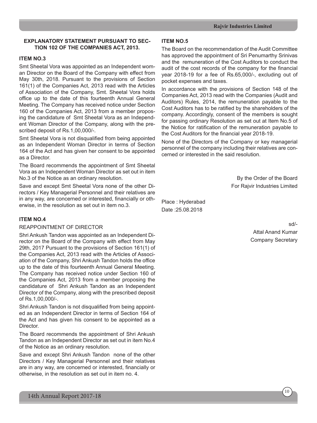#### **EXPLANATORY STATEMENT PURSUANT TO SEC-TION 102 OF THE COMPANIES ACT, 2013.**

#### **ITEM NO.3**

Smt Sheetal Vora was appointed as an Independent woman Director on the Board of the Company with effect from May 30th, 2018. Pursuant to the provisions of Section 161(1) of the Companies Act, 2013 read with the Articles of Association of the Company, Smt. Sheetal Vora holds office up to the date of this fourteenth Annual General Meeting. The Company has received notice under Section 160 of the Companies Act, 2013 from a member proposing the candidature of Smt Sheetal Vora as an Independent Woman Director of the Company, along with the prescribed deposit of Rs.1,00,000/-.

Smt Sheetal Vora is not disqualified from being appointed as an Independent Woman Director in terms of Section 164 of the Act and has given her consent to be appointed as a Director.

The Board recommends the appointment of Smt Sheetal Vora as an Independent Woman Director as set out in item No.3 of the Notice as an ordinary resolution.

Save and except Smt Sheetal Vora none of the other Directors / Key Managerial Personnel and their relatives are in any way, are concerned or interested, financially or otherwise, in the resolution as set out in item no.3.

#### **ITEM NO.4**

#### REAPPOINTMENT OF DIRECTOR

Shri Ankush Tandon was appointed as an Independent Director on the Board of the Company with effect from May 29th, 2017 Pursuant to the provisions of Section 161(1) of the Companies Act, 2013 read with the Articles of Association of the Company, Shri Ankush Tandon holds the office up to the date of this fourteenth Annual General Meeting. The Company has received notice under Section 160 of the Companies Act, 2013 from a member proposing the candidature of Shri Ankush Tandon as an Independent Director of the Company, along with the prescribed deposit of Rs.1,00,000/-.

Shri Ankush Tandon is not disqualified from being appointed as an Independent Director in terms of Section 164 of the Act and has given his consent to be appointed as a Director.

The Board recommends the appointment of Shri Ankush Tandon as an Independent Director as set out in item No.4 of the Notice as an ordinary resolution.

Save and except Shri Ankush Tandon none of the other Directors / Key Managerial Personnel and their relatives are in any way, are concerned or interested, financially or otherwise, in the resolution as set out in item no. 4.

#### **ITEM NO.5**

The Board on the recommendation of the Audit Committee has approved the appointment of Sri Penumarthy Srinivas and the remuneration of the Cost Auditors to conduct the audit of the cost records of the company for the financial year 2018-19 for a fee of Rs.65,000/-, excluding out of pocket expenses and taxes.

In accordance with the provisions of Section 148 of the Companies Act, 2013 read with the Companies (Audit and Auditors) Rules, 2014, the remuneration payable to the Cost Auditors has to be ratified by the shareholders of the company. Accordingly, consent of the members is sought for passing ordinary Resolution as set out at Item No.5 of the Notice for ratification of the remuneration payable to the Cost Auditors for the financial year 2018-19.

None of the Directors of the Company or key managerial personnel of the company including their relatives are concerned or interested in the said resolution.

> By the Order of the Board For Rajvir Industries Limited

Place : Hyderabad Date :25.08.2018

> sd/- Attal Anand Kumar Company Secretary

> > 10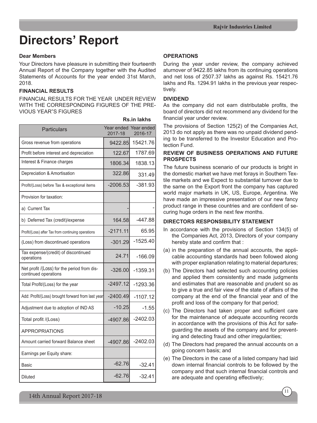# **Directors' Report**

#### **Dear Members**

Your Directors have pleasure in submitting their fourteenth Annual Report of the Company together with the Audited Statements of Accounts for the year ended 31st March, 2018.

#### **FINANCIAL RESULTS**

FINANCIAL RESULTS FOR THE YEAR UNDER REVIEW WITH THE CORRESPONDING FIGURES OF THE PRE-VIOUS YEAR"S FIGURES

| <b>Particulars</b>                                                  | 2017-18    | Year ended Year ended<br>2016-17 |
|---------------------------------------------------------------------|------------|----------------------------------|
| Gross revenue from operations                                       | 9422.85    | 15421.76                         |
| Profit before interest and depreciation                             | 122.67     | 1787.69                          |
| Interest & Finance charges                                          | 1806.34    | 1838.13                          |
| Depreciation & Amortisation                                         | 322.86     | 331.49                           |
| Profit/(Loss) before Tax & exceptional items                        | $-2006.53$ | $-381.93$                        |
| Provision for taxation:                                             |            |                                  |
| a) Current Tax                                                      |            |                                  |
| b) Deferred Tax (credit)/expense                                    | 164.58     | $-447.88$                        |
| Profit/(Loss) after Tax from continuing operations                  | $-2171.11$ | 65.95                            |
| (Loss) from discontinued operations                                 | $-301.29$  | $-1525.40$                       |
| Tax expense/(credit) of discontinued<br>operations                  | 24.71      | $-166.09$                        |
| Net profit /(Loss) for the period from dis-<br>continued operations | $-326.00$  | $-1359.31$                       |
| Total Profit/(Loss) for the year                                    | $-2497.12$ | $-1293.36$                       |
| Add: Profit/(Loss) brought forward from last year                   | $-2400.49$ | $-1107.12$                       |
| Adjustment due to adoption of IND AS                                | $-10.25$   | $-1.55$                          |
| Total profit /(Loss)                                                | -4907.86   | $-2402.03$                       |
| <b>APPROPRIATIONS</b>                                               |            |                                  |
| Amount carried forward Balance sheet                                | -4907.86   | $-2402.03$                       |
| Earnings per Equity share:                                          |            |                                  |
| Basic                                                               | $-62.76$   | $-32.41$                         |
| <b>Diluted</b>                                                      | $-62.76$   | $-32.41$                         |

#### **OPERATIONS**

During the year under review, the company achieved aturnover of 9422.85 lakhs from its continuing operations and net loss of 2507.37 lakhs as against Rs. 15421.76 lakhs and Rs. 1294.91 lakhs in the previous year respectively.

#### **DIVIDEND**

**Rs.in lakhs**

As the company did not earn distributable profits, the board of directors did not recommend any dividend for the financial year under review.

The provisions of Section 125(2) of the Companies Act, 2013 do not apply as there was no unpaid dividend pending to be transferred to the Investor Education and Protection Fund.

#### **REVIEW OF BUSINESS OPERATIONS AND FUTURE PROSPECTS**

The future business scenario of our products is bright in the domestic market we have met forays in Southern Textile markets and we Expect to substantial turnover due to the same on the Export front the company has captured world major markets in UK, US, Europe, Argentina. We have made an impressive presentation of our new fancy product range in these countries and are confident of securing huge orders in the next few months.

#### **DIRECTORS RESPONSIBILITY STATEMENT**

- In accordance with the provisions of Section 134(5) of the Companies Act, 2013, Directors of your company hereby state and confirm that :
- (a) in the preparation of the annual accounts, the applicable accounting standards had been followed along with proper explanation relating to material departures;
- (b) The Directors had selected such accounting policies and applied them consistently and made judgments and estimates that are reasonable and prudent so as to give a true and fair view of the state of affairs of the company at the end of the financial year and of the profit and loss of the company for that period;
- (c) The Directors had taken proper and sufficient care for the maintenance of adequate accounting records in accordance with the provisions of this Act for safeguarding the assets of the company and for preventing and detecting fraud and other irregularities;
- (d) The Directors had prepared the annual accounts on a going concern basis; and
- (e) The Directors in the case of a listed company had laid down internal financial controls to be followed by the company and that such internal financial controls and are adequate and operating effectively;

11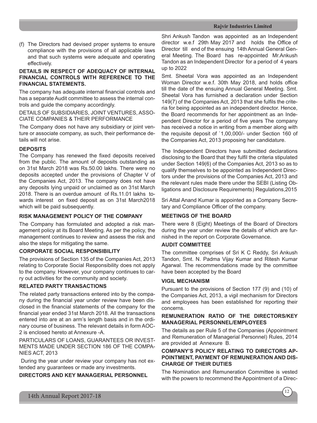(f) The Directors had devised proper systems to ensure compliance with the provisions of all applicable laws and that such systems were adequate and operating effectively.

#### **DETAILS IN RESPECT OF ADEQUACY OF INTERNAL FINANCIAL CONTROLS WITH REFERENCE TO THE FINANCIAL STATEMENTS.**

The company has adequate internal financial controls and has a separate Audit committee to assess the internal controls and guide the company accordingly.

DETAILS OF SUBSIDIARIES, JOINT VENTURES, ASSO-CIATE COMPANIES & THEIR PERFORMANCE

The Company does not have any subsidiary or joint venture or associate company, as such, their performance details will not arise.

#### **DEPOSITS**

The Company has renewed the fixed deposits received from the public. The amount of deposits outstanding as on 31st March 2018 was Rs.50.00 lakhs. There were no deposits accepted under the provisions of Chapter V of the Companies Act, 2013. The company does not have any deposits lying unpaid or unclaimed as on 31st March 2018. There is an overdue amount of Rs.11.01 lakhs towards interest on fixed deposit as on 31st March2018 which will be paid subsequently.

#### **RISK MANAGEMENT POLICY OF THE COMPANY**

The Company has formulated and adopted a risk management policy at its Board Meeting. As per the policy, the management continues to review and assess the risk and also the steps for mitigating the same.

#### **CORPORATE SOCIAL RESPONSIBILITY**

The provisions of Section 135 of the Companies Act, 2013 relating to Corporate Social Responsibility does not apply to the company. However, your company continues to carry out activities for the community and society.

#### **RELATED PARTY TRANSACTIONS**

The related party transactions entered into by the company during the financial year under review have been disclosed in the financial statements of the company for the financial year ended 31st March 2018. All the transactions entered into are at an arm's length basis and in the ordinary course of business. The relevant details in form AOC-2 is enclosed hereto at Annexure -A.

PARTICULARS OF LOANS, GUARANTEES OR INVEST-MENTS MADE UNDER SECTION 186 OF THE COMPA-NIES ACT, 2013

 During the year under review your company has not extended any guarantees or made any investments.

#### **DIRECTORS AND KEY MANAGERIAL PERSONNEL**

Shri Ankush Tandon was appointed as an Independent director w.e.f 29th May 2017 and holds the Office of Director till end of the ensuing 14th Annual General General Meeting. The Board has re-appointed Mr.Ankush Tandon as an Independent Director for a period of 4 years up to 2022

Smt. Sheetal Vora was appointed as an Independent Woman Director w.e.f. 30th May 2018, and holds office till the date of the ensuing Annual General Meeting. Smt. Sheetal Vora has furnished a declaration under Section 149(7) of the Companies Act, 2013 that she fulfils the criteria for being appointed as an independent director. Hence, the Board recommends for her appointment as an Independent Director for a period of five years The company has received a notice in writing from a member along with the requisite deposit of `1,00,000/- under Section 160 of the Companies Act, 2013 proposing her candidature.

The Independent Directors have submitted declarations disclosing to the Board that they fulfil the criteria stipulated under Section 149(6) of the Companies Act, 2013 so as to qualify themselves to be appointed as Independent Directors under the provisions of the Companies Act, 2013 and the relevant rules made there under the SEBI (Listing Obligations and Disclosure Requirements) Regulations,2015

Sri Attal Anand Kumar is appointed as a Company Secretary and Compliance Officer of the company.

#### **MEETINGS OF THE BOARD**

There were 8 (Eight) Meetings of the Board of Directors during the year under review the details of which are furnished in the report on Corporate Governance.

#### **AUDIT COMMITTEE**

The committee comprises of Sri K C Reddy, Sri Ankush Tandon, Smt. N. Padma Vijay Kumar and Ritesh Kumar Agarwal. The recommendations made by the committee have been accepted by the Board

#### **VIGIL MECHANISM**

Pursuant to the provisions of Section 177 (9) and (10) of the Companies Act, 2013, a vigil mechanism for Directors and employees has been established for reporting their concerns.

#### **REMUNERATION RATIO OF THE DIRECTORS/KEY MANAGERIAL PERSONNEL/EMPLOYEES**

The details as per Rule 5 of the Companies (Appointment and Remuneration of Managerial Personnel) Rules, 2014 are provided at Annexure B.

#### **COMPANY'S POLICY RELATING TO DIRECTORS AP-POINTMENT, PAYMENT OF REMUNERATION AND DIS-CHARGE OF THEIR DUTIES**

The Nomination and Remuneration Committee is vested with the powers to recommend the Appointment of a Direc-

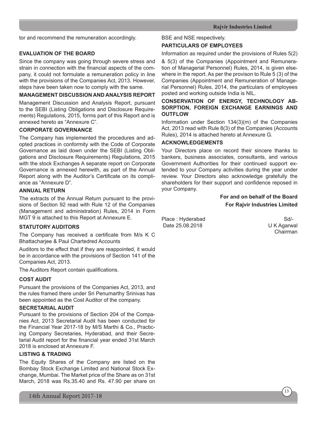tor and recommend the remuneration accordingly.

#### **EVALUATION OF THE BOARD**

Since the company was going through severe stress and strain in connection with the financial aspects of the company, it could not formulate a remuneration policy in line with the provisions of the Companies Act, 2013. However, steps have been taken now to comply with the same.

#### **MANAGEMENT DISCUSSION AND ANALYSIS REPORT**

Management Discussion and Analysis Report, pursuant to the SEBI (Listing Obligations and Disclosure Requirements) Regulations, 2015, forms part of this Report and is annexed hereto as "Annexure C".

#### **CORPORATE GOVERNANCE**

The Company has implemented the procedures and adopted practices in conformity with the Code of Corporate Governance as laid down under the SEBI (Listing Obligations and Disclosure Requirements) Regulations, 2015 with the stock Exchanges A separate report on Corporate Governance is annexed herewith, as part of the Annual Report along with the Auditor's Certificate on its compliance as "Annexure D".

#### **ANNUAL RETURN**

The extracts of the Annual Return pursuant to the provisions of Section 92 read with Rule 12 of the Companies (Management and administration) Rules, 2014 in Form MGT 9 is attached to this Report at Annexure E.

#### **STATUTORY AUDITORS**

The Company has received a certificate from M/s K C Bhattacharjee & Paul Chartedred Accounts

Auditors to the effect that if they are reappointed, it would be in accordance with the provisions of Section 141 of the Companies Act, 2013.

The Auditors Report contain qualifications.

#### **COST AUDIT**

Pursuant the provisions of the Companies Act, 2013, and the rules framed there under Sri Penumarthy Srinivas has been appointed as the Cost Auditor of the company.

#### **SECRETARIAL AUDIT**

Pursuant to the provisions of Section 204 of the Companies Act, 2013 Secretarial Audit has been conducted for the Financial Year 2017-18 by M/S Marthi & Co., Practicing Company Secretaries, Hyderabad, and their Secretarial Audit report for the financial year ended 31st March 2018 is enclosed at Annexure F.

#### **LISTING & TRADING**

The Equity Shares of the Company are listed on the Bombay Stock Exchange Limited and National Stock Exchange, Mumbai. The Market price of the Share as on 31st March, 2018 was Rs.35.40 and Rs. 47.90 per share on BSE and NSE respectively.

#### **PARTICULARS OF EMPLOYEES**

Information as required under the provisions of Rules 5(2)

& 5(3) of the Companies (Appointment and Remuneration of Managerial Personnel) Rules, 2014, is given elsewhere in the report. As per the provison to Rule 5 (3) of the Companies (Appointment and Remuneration of Managerial Personnel) Rules, 2014, the particulars of employees posted and working outside India is NIL.

#### **CONSERVATION OF ENERGY, TECHNOLOGY AB-SORPTION, FOREIGN EXCHANGE EARNINGS AND OUTFLOW**

Information under Section 134(3)(m) of the Companies Act, 2013 read with Rule 8(3) of the Companies (Accounts Rules), 2014 is attached hereto at Annexure G.

#### **ACKNOWLEDGEMENTS**

Your Directors place on record their sincere thanks to bankers, business associates, consultants, and various Government Authorities for their continued support extended to your Company activities during the year under review. Your Directors also acknowledge gratefully the shareholders for their support and confidence reposed in your Company.

> **For and on behalf of the Board For Rajvir Industries Limited**

Place : Hyderabad Sd/-<br>Date 25.08.2018 U K Agarwal Date 25.08.2018

Chairman

13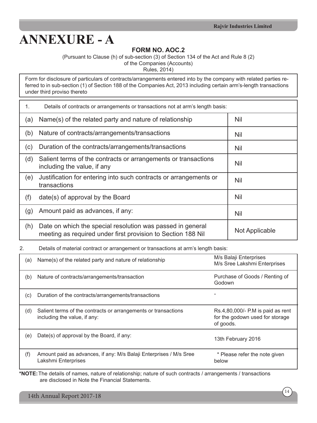# **ANNEXURE - A**

### **FORM NO. AOC.2**

(Pursuant to Clause (h) of sub-section (3) of Section 134 of the Act and Rule 8 (2) of the Companies (Accounts) Rules, 2014)

Form for disclosure of particulars of contracts/arrangements entered into by the company with related parties referred to in sub-section (1) of Section 188 of the Companies Act, 2013 including certain arm's-length transactions under third proviso thereto

| $1_{-}$ | Details of contracts or arrangements or transactions not at arm's length basis:                                            |                       |
|---------|----------------------------------------------------------------------------------------------------------------------------|-----------------------|
| (a)     | Name(s) of the related party and nature of relationship                                                                    | <b>Nil</b>            |
| (b)     | Nature of contracts/arrangements/transactions                                                                              | <b>Nil</b>            |
| (c)     | Duration of the contracts/arrangements/transactions                                                                        | Nil                   |
| (d)     | Salient terms of the contracts or arrangements or transactions<br>including the value, if any                              | <b>Nil</b>            |
| (e)     | Justification for entering into such contracts or arrangements or<br>transactions                                          | <b>Nil</b>            |
| (f)     | date(s) of approval by the Board                                                                                           | <b>Nil</b>            |
| (g)     | Amount paid as advances, if any:                                                                                           | <b>Nil</b>            |
| (h)     | Date on which the special resolution was passed in general<br>meeting as required under first provision to Section 188 Nil | <b>Not Applicable</b> |

2. Details of material contract or arrangement or transactions at arm's length basis:

| (a) | Name(s) of the related party and nature of relationship                                        | M/s Balaji Enterprises<br>M/s Sree Lakshmi Enterprises                            |
|-----|------------------------------------------------------------------------------------------------|-----------------------------------------------------------------------------------|
| (b) | Nature of contracts/arrangements/transaction                                                   | Purchase of Goods / Renting of<br>Godown                                          |
| (c) | Duration of the contracts/arrangements/transactions                                            |                                                                                   |
| (d) | Salient terms of the contracts or arrangements or transactions<br>including the value, if any: | Rs.4,80,000/- P.M is paid as rent<br>for the godown used for storage<br>of goods. |
| (e) | Date(s) of approval by the Board, if any:                                                      | 13th February 2016                                                                |
| (f) | Amount paid as advances, if any: M/s Balaji Enterprises / M/s Sree<br>Lakshmi Enterprises      | * Please refer the note given<br>below                                            |

**\*NOTE:**The details of names, nature of relationship; nature of such contracts / arrangements / transactions are disclosed in Note the Financial Statements.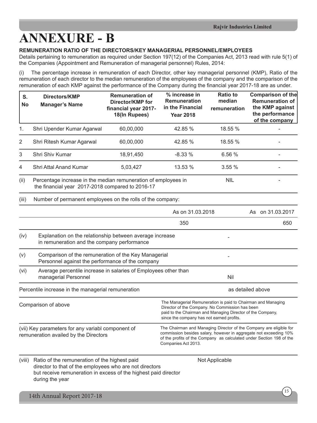# **ANNEXURE - B**

#### **REMUNERATION RATIO OF THE DIRECTORS/KEY MANAGERIAL PERSONNEL/EMPLOYEES**

Details pertaining to remuneration as required under Section 197(12) of the Companies Act, 2013 read with rule 5(1) of the Companies (Appointment and Remuneration of managerial personnel) Rules, 2014:

(i) The percentage increase in remuneration of each Director, other key managerial personnel (KMP), Ratio of the remuneration of each director to the median remuneration of the employees of the company and the comparison of the remuneration of each KMP against the performance of the Company during the financial year 2017-18 are as under.

| S.<br><b>No</b> | Directors/KMP<br><b>Manager's Name</b>                         | <b>Remuneration of</b><br>Director/KMP for<br>financial year 2017-<br>18(In Rupees) | % increase in<br><b>Remuneration</b><br>in the Financial<br><b>Year 2018</b> | <b>Ratio to</b><br>median<br>remuneration | Comparison of the<br><b>Remuneration of</b><br>the KMP against<br>the performance<br>of the company |
|-----------------|----------------------------------------------------------------|-------------------------------------------------------------------------------------|------------------------------------------------------------------------------|-------------------------------------------|-----------------------------------------------------------------------------------------------------|
| 1.              | Shri Upender Kumar Agarwal                                     | 60,00,000                                                                           | 42.85 %                                                                      | 18.55 %                                   |                                                                                                     |
| 2               | Shri Ritesh Kumar Agarwal                                      | 60,00,000                                                                           | 42.85 %                                                                      | 18.55 %                                   |                                                                                                     |
| 3               | Shri Shiv Kumar                                                | 18,91,450                                                                           | $-8.33\%$                                                                    | 6.56%                                     |                                                                                                     |
| 4               | Shri Attal Anand Kumar                                         | 5,03,427                                                                            | 13.53 %                                                                      | 3.55%                                     |                                                                                                     |
| (ii)            | Percentage increase in the median remuneration of employees in |                                                                                     |                                                                              | NIL                                       |                                                                                                     |

```
 the financial year 2017-2018 compared to 2016-17
```
#### (iii) Number of permanent employees on the rolls of the company:

|      |                                                                                                          | As on 31.03.2018                                                                                                                                                                                                                       | As on 31,03,2017  |
|------|----------------------------------------------------------------------------------------------------------|----------------------------------------------------------------------------------------------------------------------------------------------------------------------------------------------------------------------------------------|-------------------|
|      |                                                                                                          | 350                                                                                                                                                                                                                                    | 650               |
| (iv) | Explanation on the relationship between average increase<br>in remuneration and the company performance  |                                                                                                                                                                                                                                        |                   |
| (v)  | Comparison of the remuneration of the Key Managerial<br>Personnel against the performance of the company |                                                                                                                                                                                                                                        |                   |
| (vi) | Average percentile increase in salaries of Employees other than<br>managerial Personnel                  | Nil                                                                                                                                                                                                                                    |                   |
|      | Percentile increase in the managerial remuneration                                                       |                                                                                                                                                                                                                                        | as detailed above |
|      | Comparison of above                                                                                      | The Managerial Remuneration is paid to Chairman and Managing<br>Director of the Company. No Commission has been<br>paid to the Chairman and Managing Director of the Company,<br>since the company has not earned profits.             |                   |
|      | (vii) Key parameters for any variabl component of<br>remuneration availed by the Directors               | The Chairman and Managing Director of the Company are eligible for<br>commission besides salary, however in aggregate not exceeding 10%<br>of the profits of the Company as calculated under Section 198 of the<br>Companies Act 2013. |                   |

#### (viii) Ratio of the remuneration of the highest paid Not Applicable director to that of the employees who are not directors but receive remuneration in excess of the highest paid director during the year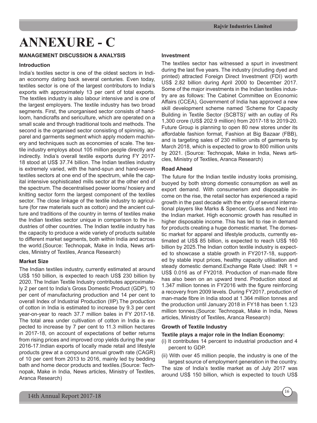# **ANNEXURE - C**

#### **MANAGEMENT DISCUSSION & ANALYSIS**

#### **Introduction**

India's textiles sector is one of the oldest sectors in Indian economy dating back several centuries. Even today, textiles sector is one of the largest contributors to India's exports with approximately 13 per cent of total exports. The textiles industry is also labour intensive and is one of the largest employers. The textile industry has two broad segments. First, the unorganised sector consists of handloom, handicrafts and sericulture, which are operated on a small scale and through traditional tools and methods. The second is the organised sector consisting of spinning, apparel and garments segment which apply modern machinery and techniques such as economies of scale. The textile industry employs about 105 million people directly and indirectly. India's overall textile exports during FY 2017- 18 stood at US\$ 37.74 billion. The Indian textiles industry is extremely varied, with the hand-spun and hand-woven textiles sectors at one end of the spectrum, while the capital intensive sophisticated mills sector at the other end of the spectrum. The decentralised power looms/ hosiery and knitting sector form the largest component of the textiles sector. The close linkage of the textile industry to agriculture (for raw materials such as cotton) and the ancient culture and traditions of the country in terms of textiles make the Indian textiles sector unique in comparison to the industries of other countries. The Indian textile industry has the capacity to produce a wide variety of products suitable to different market segments, both within India and across the world.(Source: Technopak, Make in India, News articles, Ministry of Textiles, Aranca Research)

#### **Market Size**

The Indian textiles industry, currently estimated at around US\$ 150 billion, is expected to reach US\$ 230 billion by 2020. The Indian Textile Industry contributes approximately 2 per cent to India's Gross Domestic Product (GDP), 10 per cent of manufacturing production and 14 per cent to overall Index of Industrial Production (IIP).The production of cotton in India is estimated to increase by 9.3 per cent year-on-year to reach 37.7 million bales in FY 2017-18. The total area under cultivation of cotton in India is expected to increase by 7 per cent to 11.3 million hectares in 2017-18, on account of expectations of better returns from rising prices and improved crop yields during the year 2016-17.Indian exports of locally made retail and lifestyle products grew at a compound annual growth rate (CAGR) of 10 per cent from 2013 to 2016, mainly led by bedding bath and home decor products and textiles.(Source: Technopak, Make in India, News articles, Ministry of Textiles, Aranca Research)

#### **Investment**

The textiles sector has witnessed a spurt in investment during the last five years. The industry (including dyed and printed) attracted Foreign Direct Investment (FDI) worth US\$ 2.82 billion during April 2000 to December 2017. Some of the major investments in the Indian textiles industry are as follows: The Cabinet Committee on Economic Affairs (CCEA), Government of India has approved a new skill development scheme named 'Scheme for Capacity Building in Textile Sector (SCBTS)' with an outlay of Rs 1,300 crore (US\$ 202.9 million) from 2017-18 to 2019-20. Future Group is planning to open 80 new stores under its affordable fashion format, Fashion at Big Bazaar (FBB), and is targeting sales of 230 million units of garments by March 2018, which is expected to grow to 800 million units by 2021. (Source: Technopak, Make in India, News articles, Ministry of Textiles, Aranca Research)

#### **Road Ahead**

The future for the Indian textile industry looks promising, buoyed by both strong domestic consumption as well as export demand. With consumerism and disposable income on the rise, the retail sector has experienced a rapid growth in the past decade with the entry of several international players like Marks & Spencer, Guess and Next into the Indian market. High economic growth has resulted in higher disposable income. This has led to rise in demand for products creating a huge domestic market. The domestic market for apparel and lifestyle products, currently estimated at US\$ 85 billion, is expected to reach US\$ 160 billion by 2025.The Indian cotton textile industry is expected to showcase a stable growth in FY2017-18, supported by stable input prices, healthy capacity utilisation and steady domestic demand.Exchange Rate Used: INR 1 = US\$ 0.016 as of FY2018. Production of man-made fibre has also been on an upward trend. Production stood at 1.347 million tonnes in FY2016 with the figure reinforcing a recovery from 2009 levels. During FY2017, production of man-made fibre in India stood at 1.364 million tonnes and the production until January 2018 in FY18 has been 1.123 million tonnes.(Source: Technopak, Make in India, News articles, Ministry of Textiles, Aranca Research)

#### **Growth of Textile Industry**

#### **Textile plays a major role in the Indian Economy:**

- (i) It contributes 14 percent to industrial production and 4 percent to GDP.
- (ii) With over 45 million people, the industry is one of the

largest source of employment generation in the country. The size of India's textile market as of July 2017 was around US\$ 150 billion, which is expected to touch US\$

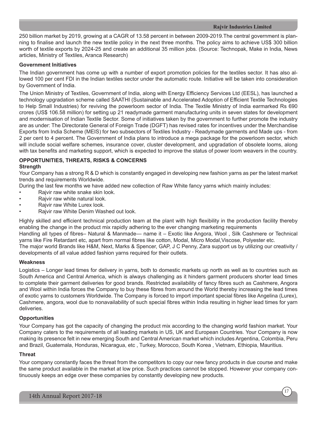250 billion market by 2019, growing at a CAGR of 13.58 percent in between 2009-2019.The central government is planning to finalise and launch the new textile policy in the next three months. The policy aims to achieve US\$ 300 billion worth of textile exports by 2024-25 and create an additional 35 million jobs. (Source: Technopak, Make in India, News articles, Ministry of Textiles, Aranca Research)

#### **Government Initiatives**

The Indian government has come up with a number of export promotion policies for the textiles sector. It has also allowed 100 per cent FDI in the Indian textiles sector under the automatic route. Initiative will be taken into consideration by Government of India.

The Union Ministry of Textiles, Government of India, along with Energy Efficiency Services Ltd (EESL), has launched a technology upgradation scheme called SAATHI (Sustainable and Accelerated Adoption of Efficient Textile Technologies to Help Small Industries) for reviving the powerloom sector of India. The Textile Ministry of India earmarked Rs 690 crores (US\$ 106.58 million) for setting up 21 readymade garment manufacturing units in seven states for development and modernisation of Indian Textile Sector. Some of initiatives taken by the government to further promote the industry are as under: The Directorate General of Foreign Trade (DGFT) has revised rates for incentives under the Merchandise Exports from India Scheme (MEIS) for two subsectors of Textiles Industry - Readymade garments and Made ups - from 2 per cent to 4 percent. The Government of India plans to introduce a mega package for the powerloom sector, which will include social welfare schemes, insurance cover, cluster development, and upgradation of obsolete looms, along with tax benefits and marketing support, which is expected to improve the status of power loom weavers in the country.

## **OPPORTUNITIES, THREATS, RISKS & CONCERNS**

#### **Strength**

Your Company has a strong R & D which is constantly engaged in developing new fashion yarns as per the latest market trends and requirements Worldwide.

During the last few months we have added new collection of Raw White fancy yarns which mainly includes:

- Rajvir raw white snake skin look.
- Rajvir raw white natural look.
- Rajvir raw White Lurex look.
- Rajvir raw White Denim Washed out look.

Highly skilled and efficient technical production team at the plant with high flexibility in the production facility thereby enabling the change in the product mix rapidly adhering to the ever changing marketing requirements

Handling all types of fibres– Natural & Manmade— name it – Exotic like Angora, Wool , Silk Cashmere or Technical yarns like Fire Retardant etc, apart from normal fibres like cotton, Modal, Micro Modal, Viscose, Polyester etc.

The major world Brands like H&M, Next, Marks & Spencer, GAP, J C Penny, Zara support us by utilizing our creativity / developments of all value added fashion yarns required for their outlets.

#### **Weakness**

Logistics – Longer lead times for delivery in yarns, both to domestic markets up north as well as to countries such as South America and Central America, which is always challenging as it hinders garment producers shorter lead times to complete their garment deliveries for good brands. Restricted availability of fancy fibres such as Cashmere, Angora and Wool within India forces the Company to buy these fibres from around the World thereby increasing the lead times of exotic yarns to customers Worldwide. The Company is forced to import important special fibres like Angelina (Lurex), Cashmere, angora, wool due to nonavailability of such special fibres within India resulting in higher lead times for yarn deliveries.

#### **Opportunities**

Your Company has got the capacity of changing the product mix according to the changing world fashion market. Your Company caters to the requirements of all leading markets in US, UK and European Countries. Your Company is now making its presence felt in new emerging South and Central American market which includes Argentina, Colombia, Peru and Brazil, Guatemala, Honduras, Nicaragua, etc , Turkey, Morocco, South Korea , Vietnam, Ethiopia, Mauritius.

#### **Threat**

Your company constantly faces the threat from the competitors to copy our new fancy products in due course and make the same product available in the market at low price. Such practices cannot be stopped. However your company continuously keeps an edge over these companies by constantly developing new products.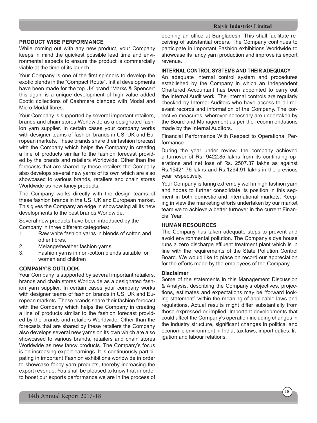#### **PRODUCT WISE PERFORMANCE**

While coming out with any new product, your Company keeps in mind the quickest possible lead time and environmental aspects to ensure the product is commercially viable at the time of its launch.

Your Company is one of the first spinners to develop the exotic blends in the "Compact Route". Initial developments have been made for the top UK brand "Marks & Spencer" this again is a unique development of high value added Exotic collections of Cashmere blended with Modal and Micro Modal fibres.

Your Company is supported by several important retailers, brands and chain stores Worldwide as a designated fashion yarn supplier. In certain cases your company works with designer teams of fashion brands in US, UK and European markets. These brands share their fashion forecast with the Company which helps the Company in creating a line of products similar to the fashion forecast provided by the brands and retailers Worldwide. Other than the forecasts that are shared by these retailers the Company also develops several new yarns of its own which are also showcased to various brands, retailers and chain stores Worldwide as new fancy products.

The Company works directly with the design teams of these fashion brands in the US, UK and European market. This gives the Company an edge in showcasing all its new developments to the best brands Worldwide.

Several new products have been introduced by the Company in three different categories:

- 1. Raw white fashion yarns in blends of cotton and other fibres.
- 2. Melange/heather fashion yarns.
- 3. Fashion yarns in non-cotton blends suitable for women and children

#### **COMPANY'S OUTLOOK**

Your Company is supported by several important retailers, brands and chain stores Worldwide as a designated fashion yarn supplier. In certain cases your company works with designer teams of fashion brands in US, UK and European markets. These brands share their fashion forecast with the Company which helps the Company in creating a line of products similar to the fashion forecast provided by the brands and retailers Worldwide. Other than the forecasts that are shared by these retailers the Company also develops several new yarns on its own which are also showcased to various brands, retailers and chain stores Worldwide as new fancy products. The Company's focus is on increasing export earnings. It is continuously participating in important Fashion exhibitions worldwide in order to showcase fancy yarn products, thereby increasing the export revenue. You shall be pleased to know that in order to boost our exports performance we are in the process of

opening an office at Bangladesh. This shall facilitate receiving of substantial orders. The Company continues to participate in important Fashion exhibitions Worldwide to showcase its fancy yarn production and improve its export revenue.

#### **INTERNAL CONTROL SYSTEMS AND THEIR ADEQUACY**

An adequate internal control system and procedures established by the Company in which an Independent Chartered Accountant has been appointed to carry out the internal Audit work. The internal controls are regularly checked by Internal Auditors who have access to all relevant records and information of the Company. The corrective measures, wherever necessary are undertaken by the Board and Management as per the recommendations made by the Internal Auditors.

Financial Performance With Respect to Operational Performance

During the year under review, the company achieved a turnover of Rs. 9422.85 lakhs from its continuing operations and net loss of Rs. 2507.37 lakhs as against Rs.15421.76 lakhs and Rs.1294.91 lakhs in the previous year respectively.

Your Company is faring extremely well in high fashion yarn and hopes to further consolidate its position in this segment in both domestic and international markets. Keeping in view the marketing efforts undertaken by our market team we to achieve a better turnover in the current Financial Year.

#### **HUMAN RESOURCES**

The Company has taken adequate steps to prevent and avoid environmental pollution. The Company's dye house runs a zero discharge effluent treatment plant which is in line with the requirements of the State Pollution Control Board. We would like to place on record our appreciation for the efforts made by the employees of the Company.

#### **Disclaimer**

Some of the statements in this Management Discussion & Analysis, describing the Company's objectives, projections, estimates and expectations may be "forward looking statement" within the meaning of applicable laws and regulations. Actual results might differ substantially from those expressed or implied. Important developments that could affect the Company's operation including changes in the industry structure, significant changes in political and economic environment in India, tax laws, import duties, litigation and labour relations.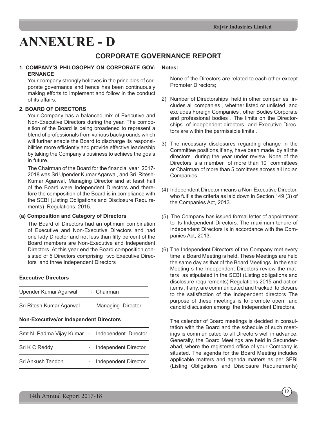# **ANNEXURE - D**

# **CORPORATE GOVERNANCE REPORT**

#### **1. COMPANY'S PHILOSOPHY ON CORPORATE GOV-Notes: ERNANCE**

Your company strongly believes in the principles of corporate governance and hence has been continuously making efforts to implement and follow in the conduct of its affairs.

#### **2. BOARD OF DIRECTORS**

Your Company has a balanced mix of Executive and Non-Executive Directors during the year. The composition of the Board is being broadened to represent a blend of professionals from various backgrounds which will further enable the Board to discharge its responsibilities more efficiently and provide effective leadership by taking the Company's business to achieve the goals in future.

The Chairman of the Board for the financial year 2017- 2018 was Sri Upender Kumar Agarwal, and Sri Ritesh-Kumar Agarwal, Managing Director and at least half of the Board were Independent Directors and therefore the composition of the Board is in compliance with the SEBI (Listing Obligations and Disclosure Requirements) Regulations, 2015.

#### **(a) Composition and Category of Directors**

The Board of Directors had an optimum combination of Executive and Non-Executive Directors and had one lady Director and not less than fifty percent of the Board members are Non-Executive and Independent Directors. At this year end the Board composition consisted of 5 Directors comprising two Executive Directors and three Independent Directors

#### **Executive Directors**

| Upender Kumar Agarwal                           | - Chairman           |
|-------------------------------------------------|----------------------|
| Sri Ritesh Kumar Agarwal                        | - Managing Director  |
| <b>Non-Executive/or Independent Directors</b>   |                      |
| Smt N. Padma Vijay Kumar - Independent Director |                      |
| Sri K C Reddy                                   | Independent Director |
| Sri Ankush Tandon                               | Independent Director |

None of the Directors are related to each other except Promoter Directors;

- 2) Number of Directorships held in other companies includes all companies , whether listed or unlisted and excludes Foreign Companies , other Bodies Corporate and professional bodies . The limits on the Directorships of independent directors and Executive Directors are within the permissible limits .
- 3) The necessary disclosures regarding change in the Committee positions,if any, have been made by all the directors during the year under review. None of the Directors is a member of more than 10 committees or Chairman of more than 5 comittees across all Indian **Companies**
- (4) Independent Director means a Non-Executive Director, who fulfils the criteria as laid down in Section 149 (3) of the Companies Act, 2013.
- (5) The Company has issued formal letter of appointment to its Independent Directors. The maximum tenure of Independent Directors is in accordance with the Companies Act, 2013.
- (6) The Independent Directors of the Company met every time a Board Meeting is held. These Meetings are held the same day as that of the Board Meetings. In the said Meeting s the Independent Directors review the matters as stipulated in the SEBI (Listing obligations and disclosure requirements) Regulations 2015 and action items ,if any, are communicated and tracked to closure to the satisfaction of the Independent directors The purpose of these meetings is to promote open and candid discussion among the Independent Directors.

The calendar of Board meetings is decided in consultation with the Board and the schedule of such meetings is communicated to all Directors well in advance. Generally, the Board Meetings are held in Secunderabad, where the registered office of your Company is situated. The agenda for the Board Meeting includes applicable matters and agenda matters as per SEBI (Listing Obligations and Disclosure Requirements)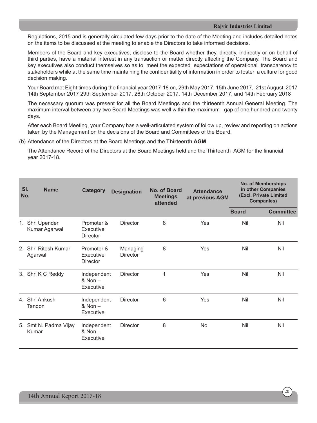Regulations, 2015 and is generally circulated few days prior to the date of the Meeting and includes detailed notes on the items to be discussed at the meeting to enable the Directors to take informed decisions.

Members of the Board and key executives, disclose to the Board whether they, directly, indirectly or on behalf of third parties, have a material interest in any transaction or matter directly affecting the Company. The Board and key executives also conduct themselves so as to meet the expected expectations of operational transparency to stakeholders while at the same time maintaining the confidentiality of information in order to foster a culture for good decision making.

Your Board met Eight times during the financial year 2017-18 on, 29th May 2017, 15th June 2017, 21st August 2017 14th September 2017 29th September 2017, 26th October 2017, 14th December 2017, and 14th February 2018

The necessary quorum was present for all the Board Meetings and the thirteenth Annual General Meeting. The maximum interval between any two Board Meetings was well within the maximum gap of one hundred and twenty days.

After each Board Meeting, your Company has a well-articulated system of follow up, review and reporting on actions taken by the Management on the decisions of the Board and Committees of the Board.

(b) Attendance of the Directors at the Board Meetings and the **Thirteenth AGM**

The Attendance Record of the Directors at the Board Meetings held and the Thirteenth AGM for the financial year 2017-18.

| SI.<br><b>Name</b><br>No. |                                | <b>Category</b>                            | <b>Designation</b>          | No. of Board<br><b>Meetings</b><br>attended | <b>Attendance</b><br>at previous AGM | <b>No. of Memberships</b><br>in other Companies<br>(Excl. Private Limited<br><b>Companies)</b> |                  |
|---------------------------|--------------------------------|--------------------------------------------|-----------------------------|---------------------------------------------|--------------------------------------|------------------------------------------------------------------------------------------------|------------------|
|                           |                                |                                            |                             |                                             |                                      | <b>Board</b>                                                                                   | <b>Committee</b> |
| 1.                        | Shri Upender<br>Kumar Agarwal  | Promoter &<br>Executive<br><b>Director</b> | <b>Director</b>             | 8                                           | Yes                                  | Nil                                                                                            | Nil              |
| $2 -$                     | Shri Ritesh Kumar<br>Agarwal   | Promoter &<br>Executive<br><b>Director</b> | Managing<br><b>Director</b> | 8                                           | Yes                                  | Nil                                                                                            | Nil              |
|                           | 3. Shri K C Reddy              | Independent<br>$&$ Non $-$<br>Executive    | Director                    | 1                                           | Yes                                  | Nil                                                                                            | Nil              |
|                           | 4. Shri Ankush<br>Tandon       | Independent<br>$&$ Non $-$<br>Executive    | <b>Director</b>             | 6                                           | Yes                                  | Nil                                                                                            | Nil              |
|                           | 5. Smt N. Padma Vijay<br>Kumar | Independent<br>$&$ Non $-$<br>Executive    | <b>Director</b>             | 8                                           | <b>No</b>                            | Nil                                                                                            | Nil              |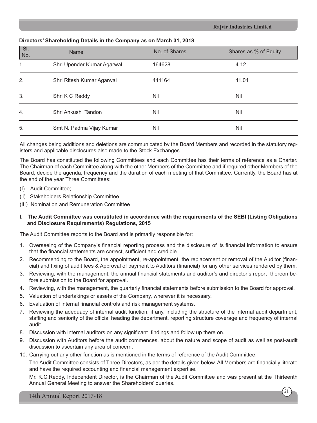| $\overline{\mathsf{SI}}$ .<br>No. | <b>Name</b>                | No. of Shares | Shares as % of Equity |
|-----------------------------------|----------------------------|---------------|-----------------------|
| 1.                                | Shri Upender Kumar Agarwal | 164628        | 4.12                  |
| 2.                                | Shri Ritesh Kumar Agarwal  | 441164        | 11.04                 |
| 3.                                | Shri K C Reddy             | Nil           | Nil                   |
| 4.                                | Shri Ankush Tandon         | Nil           | Nil                   |
| 5.                                | Smt N. Padma Vijay Kumar   | Nil           | Nil                   |

#### **Directors' Shareholding Details in the Company as on March 31, 2018**

All changes being additions and deletions are communicated by the Board Members and recorded in the statutory registers and applicable disclosures also made to the Stock Exchanges.

The Board has constituted the following Committees and each Committee has their terms of reference as a Charter. The Chairman of each Committee along with the other Members of the Committee and if required other Members of the Board, decide the agenda, frequency and the duration of each meeting of that Committee. Currently, the Board has at the end of the year Three Committees:

- (I) Audit Committee;
- (ii) Stakeholders Relationship Committee
- (III) Nomination and Remuneration Committee
- **I. The Audit Committee was constituted in accordance with the requirements of the SEBI (Listing Obligations and Disclosure Requirements) Regulations, 2015**

The Audit Committee reports to the Board and is primarily responsible for:

- 1. Overseeing of the Company's financial reporting process and the disclosure of its financial information to ensure that the financial statements are correct, sufficient and credible.
- 2. Recommending to the Board, the appointment, re-appointment, the replacement or removal of the Auditor (financial) and fixing of audit fees & Approval of payment to Auditors (financial) for any other services rendered by them.
- 3. Reviewing, with the management, the annual financial statements and auditor's and director's report thereon before submission to the Board for approval.
- 4. Reviewing, with the management, the quarterly financial statements before submission to the Board for approval.
- 5. Valuation of undertakings or assets of the Company, wherever it is necessary.
- 6. Evaluation of internal financial controls and risk management systems.
- 7. Reviewing the adequacy of internal audit function, if any, including the structure of the internal audit department, staffing and seniority of the official heading the department, reporting structure coverage and frequency of internal audit.
- 8. Discussion with internal auditors on any significant findings and follow up there on.
- 9. Discussion with Auditors before the audit commences, about the nature and scope of audit as well as post-audit discussion to ascertain any area of concern.
- 10. Carrying out any other function as is mentioned in the terms of reference of the Audit Committee.

The Audit Committee consists of Three Directors, as per the details given below. All Members are financially literate and have the required accounting and financial management expertise.

Mr. K.C.Reddy, Independent Director, is the Chairman of the Audit Committee and was present at the Thirteenth Annual General Meeting to answer the Shareholders' queries.

21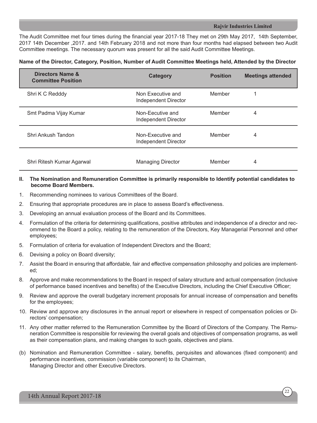22

The Audit Committee met four times during the financial year 2017-18 They met on 29th May 2017, 14th September, 2017 14th December ,2017. and 14th February 2018 and not more than four months had elapsed between two Audit Committee meetings. The necessary quorum was present for all the said Audit Committee Meetings.

| Directors Name &<br><b>Committee Position</b> | Category                                  | <b>Position</b> | <b>Meetings attended</b> |
|-----------------------------------------------|-------------------------------------------|-----------------|--------------------------|
| Shri K C Redddy                               | Non Executive and<br>Independent Director | Member          |                          |
| Smt Padma Vijay Kumar                         | Non-Eecutive and<br>Independent Director  | Member          | 4                        |
| Shri Ankush Tandon                            | Non-Executive and<br>Independent Director | Member          | 4                        |
| Shri Ritesh Kumar Agarwal                     | <b>Managing Director</b>                  | Member          | 4                        |

#### **Name of the Director, Category, Position, Number of Audit Committee Meetings held, Attended by the Director**

#### **II. The Nomination and Remuneration Committee is primarily responsible to Identify potential candidates to become Board Members.**

- 1. Recommending nominees to various Committees of the Board.
- 2. Ensuring that appropriate procedures are in place to assess Board's effectiveness.
- 3. Developing an annual evaluation process of the Board and its Committees.
- 4. Formulation of the criteria for determining qualifications, positive attributes and independence of a director and recommend to the Board a policy, relating to the remuneration of the Directors, Key Managerial Personnel and other employees;
- 5. Formulation of criteria for evaluation of Independent Directors and the Board;
- 6. Devising a policy on Board diversity;
- 7. Assist the Board in ensuring that affordable, fair and effective compensation philosophy and policies are implemented;
- 8. Approve and make recommendations to the Board in respect of salary structure and actual compensation (inclusive of performance based incentives and benefits) of the Executive Directors, including the Chief Executive Officer;
- 9. Review and approve the overall budgetary increment proposals for annual increase of compensation and benefits for the employees;
- 10. Review and approve any disclosures in the annual report or elsewhere in respect of compensation policies or Directors' compensation;
- 11. Any other matter referred to the Remuneration Committee by the Board of Directors of the Company. The Remuneration Committee is responsible for reviewing the overall goals and objectives of compensation programs, as well as their compensation plans, and making changes to such goals, objectives and plans.
- (b) Nomination and Remuneration Committee salary, benefits, perquisites and allowances (fixed component) and performance incentives, commission (variable component) to its Chairman, Managing Director and other Executive Directors.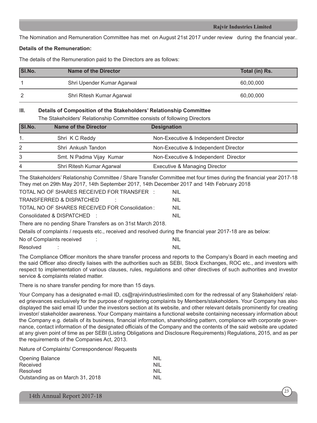23

The Nomination and Remuneration Committee has met on August 21st 2017 under review during the financial year..

#### **Details of the Remuneration:**

The details of the Remuneration paid to the Directors are as follows:

| SI.No. | Name of the Director       | Total (in) Rs. |
|--------|----------------------------|----------------|
|        | Shri Upender Kumar Agarwal | 60,00,000      |
|        | Shri Ritesh Kumar Agarwal  | 60,00,000      |

#### I**II. Details of Composition of the Stakeholders' Relationship Committee** The Stakeholders' Relationship Committee consists of following Directors

| SI.No. | <b>Name of the Director</b> | <b>Designation</b>                       |  |
|--------|-----------------------------|------------------------------------------|--|
| 1.     | Shri K C Reddy              | Non-Executive & Independent Director     |  |
| 2      | Shri Ankush Tandon          | Non-Executive & Independent Director     |  |
| 3      | Smt. N Padma Vijay Kumar    | Non-Executive & Independent Director     |  |
| 4      | Shri Ritesh Kumar Agarwal   | <b>Executive &amp; Managing Director</b> |  |

The Stakeholders' Relationship Committee / Share Transfer Committee met four times during the financial year 2017-18 They met on 29th May 2017, 14th September 2017, 14th December 2017 and 14th February 2018

| TOTAL NO OF SHARES RECEIVED FOR TRANSFER :                                                                   | <b>NIL</b> |
|--------------------------------------------------------------------------------------------------------------|------------|
| <b>TRANSFERRED &amp; DISPATCHED</b>                                                                          | <b>NIL</b> |
| TOTAL NO OF SHARES RECEIVED FOR Consolidation:                                                               | <b>NIL</b> |
| Consolidated & DISPATCHED :                                                                                  | <b>NIL</b> |
| There are no pending Share Transfers as on 31st March 2018.                                                  |            |
| Details of complaints / requests etc., received and resolved during the financial year 2017-18 are as below: |            |
| No of Complaints received                                                                                    | NIL        |

Resolved : the set of the set of the set of the set of the set of the set of the set of the set of the set of the set of the set of the set of the set of the set of the set of the set of the set of the set of the set of th

The Compliance Officer monitors the share transfer process and reports to the Company's Board in each meeting and the said Officer also directly liaises with the authorities such as SEBI, Stock Exchanges, ROC etc., and investors with respect to implementation of various clauses, rules, regulations and other directives of such authorities and investor service & complaints related matter.

There is no share transfer pending for more than 15 days.

Your Company has a designated e-mail ID, cs@rajvirindustrieslimited.com for the redressal of any Stakeholders' related grievances exclusively for the purpose of registering complaints by Members/stakeholders. Your Company has also displayed the said email ID under the investors section at its website, and other relevant details prominently for creating investor/ stakeholder awareness. Your Company maintains a functional website containing necessary information about the Company e.g. details of its business, financial information, shareholding pattern, compliance with corporate governance, contact information of the designated officials of the Company and the contents of the said website are updated at any given point of time as per SEBI (Listing Obligations and Disclosure Requirements) Regulations, 2015, and as per the requirements of the Companies Act, 2013.

Nature of Complaints/ Correspondence/ Requests

| Opening Balance                  | NIL |
|----------------------------------|-----|
| Received                         | NIL |
| Resolved                         | NIL |
| Outstanding as on March 31, 2018 | NIL |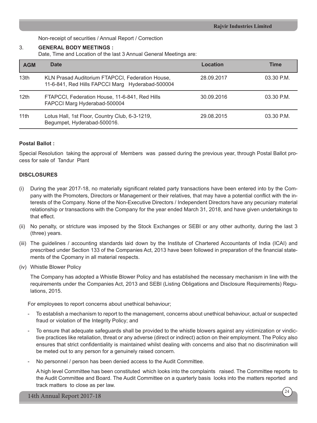Non-receipt of securities / Annual Report / Correction

#### 3. **GENERAL BODY MEETINGS :**

Date, Time and Location of the last 3 Annual General Meetings are:

| <b>AGM</b>       | <b>Date</b>                                                                                          | Location   | Time         |
|------------------|------------------------------------------------------------------------------------------------------|------------|--------------|
| 13th             | KLN Prasad Auditorium FTAPCCI, Federation House,<br>11-6-841, Red Hills FAPCCI Marg Hyderabad-500004 | 28.09.2017 | $03.30$ P.M. |
| 12 <sub>th</sub> | FTAPCCI, Federation House, 11-6-841, Red Hills<br>FAPCCI Marg Hyderabad-500004                       | 30.09.2016 | $03.30$ P.M. |
| 11th             | Lotus Hall, 1st Floor, Country Club, 6-3-1219,<br>Begumpet, Hyderabad-500016.                        | 29.08.2015 | $03.30$ P.M. |

#### **Postal Ballot :**

Special Resolution taking the approval of Members was passed during the previous year, through Postal Ballot process for sale of Tandur Plant

#### **DISCLOSURES**

- (i) During the year 2017-18, no materially significant related party transactions have been entered into by the Company with the Promoters, Directors or Management or their relatives, that may have a potential conflict with the interests of the Company. None of the Non-Executive Directors / Independent Directors have any pecuniary material relationship or transactions with the Company for the year ended March 31, 2018, and have given undertakings to that effect.
- (ii) No penalty, or stricture was imposed by the Stock Exchanges or SEBI or any other authority, during the last 3 (three) years.
- (iii) The guidelines / accounting standards laid down by the Institute of Chartered Accountants of India (ICAI) and prescribed under Section 133 of the Companies Act, 2013 have been followed in preparation of the financial statements of the Cpomany in all material respects.
- (iv) Whistle Blower Policy

The Company has adopted a Whistle Blower Policy and has established the necessary mechanism in line with the requirements under the Companies Act, 2013 and SEBI (Listing Obligations and Disclosure Requirements) Regulations, 2015.

For employees to report concerns about unethical behaviour;

- To establish a mechanism to report to the management, concerns about unethical behaviour, actual or suspected fraud or violation of the Integrity Policy; and
- To ensure that adequate safeguards shall be provided to the whistle blowers against any victimization or vindictive practices like retaliation, threat or any adverse (direct or indirect) action on their employment. The Policy also ensures that strict confidentiality is maintained whilst dealing with concerns and also that no discrimination will be meted out to any person for a genuinely raised concern.
- No personnel / person has been denied access to the Audit Committee.

 A high level Committee has been constituted which looks into the complaints raised. The Committee reports to the Audit Committee and Board. The Audit Committee on a quarterly basis looks into the matters reported and track matters to close as per law.

24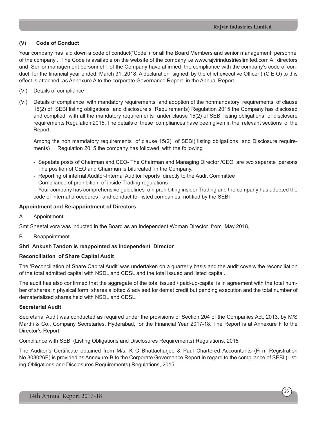#### **(V) Code of Conduct**

Your company has laid down a code of conduct("Code") for all the Board Members and senior management personnel of the company . The Code is available on the website of the company i.e www.rajvirindustrieslimited.com All directors and Senior management personnel l of the Company have affirmed the compliance with the company's code of conduct for the financial year ended March 31, 2018. A declaration signed by the chief executive Officer ( (C E O) to this effect is attached as Annexure A to the corporate Governance Report in the Annual Report .

- (Vi) Details of compliance
- (Vi) Details of compliance with mandatory requirements and adoption of the nonmandatory requirements of clause 15(2) of SEBI listing obligations and disclosure s Requirements) Regulation 2015 the Company has disclosed and complied with all the mandatory requirements under clause 15(2) of SEBI listing obligations of disclosure requirements Regulation 2015. The details of these compliances have been given in the relevant sections of the Report.

 Among the non mamdatory requirements of clause 15(2) of SEBI( listing obligations and Disclosure requirements) Regulation 2015 the company has followed with the following

- Sepatate posts of Chairman and CEO- The Chairman and Managing Director /CEO are two separate persons The position of CEO and Chairman is bifurcated in the Company.
- Reporting of internal Auditor-Internal Auditor reports directly to the Audit Committee
- Compliance of prohibition of inside Trading regulations
- Your company has comprehensive guidelines o n prohibiting insider Trading and the company has adopted the code of internal procedures and conduct for listed companies notified by the SEBI

#### **Appointment and Re-appointment of Directors**

A. Appointment

Smt Sheetal vora was inducted in the Board as an Independent Woman Director from May 2018,

B. Reappointment

#### **Shri Ankush Tandon is reappointed as independent Director**

#### **Reconciliation of Share Capital Audit**

The 'Reconciliation of Share Capital Audit' was undertaken on a quarterly basis and the audit covers the reconciliation of the total admitted capital with NSDL and CDSL and the total issued and listed capital.

The audit has also confirmed that the aggregate of the total issued / paid-up-capital is in agreement with the total number of shares in physical form, shares allotted & advised for demat credit but pending execution and the total number of dematerialized shares held with NSDL and CDSL.

#### **Secretarial Audit**

Secretarial Audit was conducted as required under the provisions of Section 204 of the Companies Act, 2013, by M/S Marthi & Co., Company Secretaries, Hyderabad, for the Financial Year 2017-18. The Report is at Annexure F to the Director's Report.

Compliance with SEBI (Listing Obligations and Disclosures Requirements) Regulations, 2015

The Auditor's Certificate obtained from M/s. K C Bhattacharjee & Paul Chartered Accountants (Firm Registration No.303026E) is provided as Annexure-B to the Corporate Governance Report in regard to the compliance of SEBI (Listing Obligations and Disclosures Requirements) Regulations, 2015.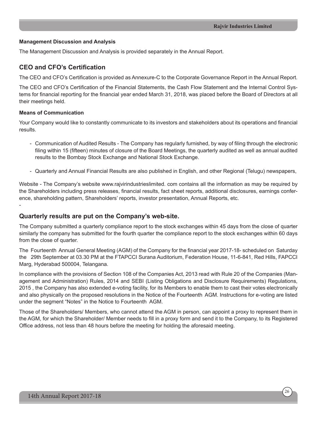#### **Management Discussion and Analysis**

The Management Discussion and Analysis is provided separately in the Annual Report.

#### **CEO and CFO's Certification**

The CEO and CFO's Certification is provided as Annexure-C to the Corporate Governance Report in the Annual Report.

The CEO and CFO's Certification of the Financial Statements, the Cash Flow Statement and the Internal Control Systems for financial reporting for the financial year ended March 31, 2018, was placed before the Board of Directors at all their meetings held.

#### **Means of Communication**

-

Your Company would like to constantly communicate to its investors and stakeholders about its operations and financial results.

- Communication of Audited Results The Company has regularly furnished, by way of filing through the electronic filing within 15 (fifteen) minutes of closure of the Board Meetings, the quarterly audited as well as annual audited results to the Bombay Stock Exchange and National Stock Exchange.
- Quarterly and Annual Financial Results are also published in English, and other Regional (Telugu) newspapers,

Website - The Company's website www.rajvirindustrieslimited. com contains all the information as may be required by the Shareholders including press releases, financial results, fact sheet reports, additional disclosures, earnings conference, shareholding pattern, Shareholders' reports, investor presentation, Annual Reports, etc.

#### **Quarterly results are put on the Company's web-site.**

The Company submitted a quarterly compliance report to the stock exchanges within 45 days from the close of quarter similarly the company has submitted for the fourth quarter the compliance report to the stock exchanges within 60 days from the close of quarter.

The Fourteenth Annual General Meeting (AGM) of the Company for the financial year 2017-18- scheduled on Saturday the 29th September at 03.30 PM at the FTAPCCI Surana Auditorium, Federation House, 11-6-841, Red Hills, FAPCCI Marg, Hyderabad 500004, Telangana.

In compliance with the provisions of Section 108 of the Companies Act, 2013 read with Rule 20 of the Companies (Management and Administration) Rules, 2014 and SEBI (Listing Obligations and Disclosure Requirements) Regulations, 2015 , the Company has also extended e-voting facility, for its Members to enable them to cast their votes electronically and also physically on the proposed resolutions in the Notice of the Fourteenth AGM. Instructions for e-voting are listed under the segment "Notes" in the Notice to Fourteenth AGM.

Those of the Shareholders/ Members, who cannot attend the AGM in person, can appoint a proxy to represent them in the AGM, for which the Shareholder/ Member needs to fill in a proxy form and send it to the Company, to its Registered Office address, not less than 48 hours before the meeting for holding the aforesaid meeting.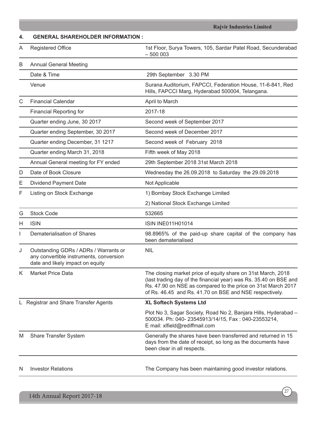|    |                                                                                                                      | <b>Rajvir Industries Limited</b>                                                                                                                                                                                                                             |
|----|----------------------------------------------------------------------------------------------------------------------|--------------------------------------------------------------------------------------------------------------------------------------------------------------------------------------------------------------------------------------------------------------|
| 4. | <b>GENERAL SHAREHOLDER INFORMATION:</b>                                                                              |                                                                                                                                                                                                                                                              |
| A  | <b>Registered Office</b>                                                                                             | 1st Floor, Surya Towers, 105, Sardar Patel Road, Secunderabad<br>$-500003$                                                                                                                                                                                   |
| B  | <b>Annual General Meeting</b>                                                                                        |                                                                                                                                                                                                                                                              |
|    | Date & Time                                                                                                          | 29th September 3.30 PM                                                                                                                                                                                                                                       |
|    | Venue                                                                                                                | Surana Auditorium, FAPCCI, Federation House, 11-6-841, Red<br>Hills, FAPCCI Marg, Hyderabad 500004, Telangana.                                                                                                                                               |
| C  | <b>Financial Calendar</b>                                                                                            | April to March                                                                                                                                                                                                                                               |
|    | <b>Financial Reporting for</b>                                                                                       | 2017-18                                                                                                                                                                                                                                                      |
|    | Quarter ending June, 30 2017                                                                                         | Second week of September 2017                                                                                                                                                                                                                                |
|    | Quarter ending September, 30 2017                                                                                    | Second week of December 2017                                                                                                                                                                                                                                 |
|    | Quarter ending December, 31 1217                                                                                     | Second week of February 2018                                                                                                                                                                                                                                 |
|    | Quarter ending March 31, 2018                                                                                        | Fifth week of May 2018                                                                                                                                                                                                                                       |
|    | Annual General meeting for FY ended                                                                                  | 29th September 2018 31st March 2018                                                                                                                                                                                                                          |
| D  | Date of Book Closure                                                                                                 | Wednesday the 26.09.2018 to Saturday the 29.09.2018                                                                                                                                                                                                          |
| Ε  | Dividend Payment Date                                                                                                | Not Applicable                                                                                                                                                                                                                                               |
| F  | Listing on Stock Exchange                                                                                            | 1) Bombay Stock Exchange Limited                                                                                                                                                                                                                             |
|    |                                                                                                                      | 2) National Stock Exchange Limited                                                                                                                                                                                                                           |
| G  | <b>Stock Code</b>                                                                                                    | 532665                                                                                                                                                                                                                                                       |
| Н  | <b>ISIN</b>                                                                                                          | <b>ISIN INE011H01014</b>                                                                                                                                                                                                                                     |
|    | Dematerialisation of Shares                                                                                          | 98.8965% of the paid-up share capital of the company has<br>been dematerialised                                                                                                                                                                              |
| J  | Outstanding GDRs / ADRs / Warrants or<br>any convertible instruments, conversion<br>date and likely impact on equity | <b>NIL</b>                                                                                                                                                                                                                                                   |
| Κ  | <b>Market Price Data</b>                                                                                             | The closing market price of equity share on 31st March, 2018<br>(last trading day of the financial year) was Rs. 35.40 on BSE and<br>Rs. 47.90 on NSE as compared to the price on 31st March 2017<br>of Rs. 46.45 and Rs. 41.70 on BSE and NSE respectively. |
|    | L Registrar and Share Transfer Agents                                                                                | <b>XL Softech Systems Ltd</b>                                                                                                                                                                                                                                |
|    |                                                                                                                      | Plot No 3, Sagar Society, Road No 2, Banjara Hills, Hyderabad -<br>500034. Ph: 040- 23545913/14/15, Fax: 040-23553214,<br>E mail: xlfield@rediffmail.com                                                                                                     |
| M  | Share Transfer System                                                                                                | Generally the shares have been transferred and returned in 15<br>days from the date of receipt, so long as the documents have<br>been clear in all respects.                                                                                                 |
| N  | <b>Investor Relations</b>                                                                                            | The Company has been maintaining good investor relations.                                                                                                                                                                                                    |

 $\circled{27}$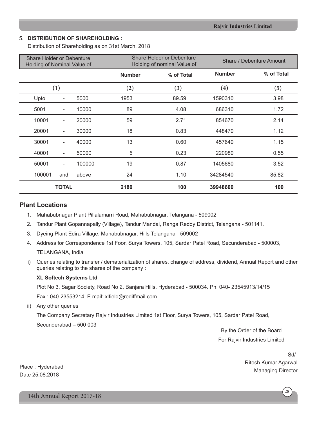#### 5. **DISTRIBUTION OF SHAREHOLDING :**

Distribution of Shareholding as on 31st March, 2018

| <b>Share Holder or Debenture</b><br>Holding of Nominal Value of |              |       |               | Share Holder or Debenture<br>Holding of nominal Value of | Share / Debenture Amount |            |  |
|-----------------------------------------------------------------|--------------|-------|---------------|----------------------------------------------------------|--------------------------|------------|--|
|                                                                 |              |       | <b>Number</b> | % of Total                                               | <b>Number</b>            | % of Total |  |
| (1)                                                             |              | (2)   | (3)           | (4)                                                      | (5)                      |            |  |
| Upto                                                            | -            | 5000  | 1953          | 89.59                                                    | 1590310                  | 3.98       |  |
| 5001                                                            |              | 10000 | 89            | 4.08                                                     | 686310                   | 1.72       |  |
| 10001                                                           | 20000        |       | 59            | 2.71                                                     | 854670                   | 2.14       |  |
| 20001                                                           | 30000<br>۳   |       | 18            | 0.83                                                     | 448470                   | 1.12       |  |
| 30001                                                           | 40000<br>۳   |       | 13            | 0.60                                                     | 457640                   | 1.15       |  |
| 40001                                                           | 50000<br>۰   |       | 5             | 0.23                                                     | 220980                   | 0.55       |  |
| 50001<br>100000<br>$\overline{\phantom{a}}$                     |              |       | 19            | 0.87                                                     | 1405680                  | 3.52       |  |
| 100001<br>above<br>and                                          |              | 24    | 1.10          | 34284540                                                 | 85.82                    |            |  |
|                                                                 | <b>TOTAL</b> |       | 2180          | 100                                                      | 39948600                 | 100        |  |

### **Plant Locations**

- 1. Mahabubnagar Plant Pillalamarri Road, Mahabubnagar, Telangana 509002
- 2. Tandur Plant Gopannapally (Village), Tandur Mandal, Ranga Reddy District, Telangana 501141.
- 3. Dyeing Plant Edira Village, Mahabubnagar, Hills Telangana 509002
- 4. Address for Correspondence 1st Foor, Surya Towers, 105, Sardar Patel Road, Secunderabad 500003, TELANGANA, India
- i) Queries relating to transfer / dematerialization of shares, change of address, dividend, Annual Report and other queries relating to the shares of the company :

#### **XL Softech Systems Ltd**

Plot No 3, Sagar Society, Road No 2, Banjara Hills, Hyderabad - 500034. Ph: 040- 23545913/14/15

Fax : 040-23553214, E mail: xlfield@rediffmail.com

ii) Any other queries

The Company Secretary Rajvir Industries Limited 1st Floor, Surya Towers, 105, Sardar Patel Road, Secunderabad – 500 003

By the Order of the Board For Rajvir Industries Limited

Sd/- Ritesh Kumar Agarwal Managing Director Place : Hyderabad

Date 25.08.2018

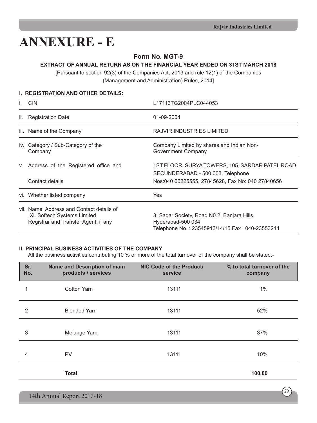# **ANNEXURE - E**

### **Form No. MGT-9**

#### **EXTRACT OF ANNUAL RETURN AS ON THE FINANCIAL YEAR ENDED ON 31ST MARCH 2018**

[Pursuant to section 92(3) of the Companies Act, 2013 and rule 12(1) of the Companies (Management and Administration) Rules, 2014]

#### **I. REGISTRATION AND OTHER DETAILS:**

|      | <b>CIN</b>                                                                                                       | L17116TG2004PLC044053                                                                                                                     |
|------|------------------------------------------------------------------------------------------------------------------|-------------------------------------------------------------------------------------------------------------------------------------------|
| ii.  | <b>Registration Date</b>                                                                                         | 01-09-2004                                                                                                                                |
| iii. | Name of the Company                                                                                              | RAJVIR INDUSTRIES LIMITED                                                                                                                 |
| IV.  | Category / Sub-Category of the<br>Company                                                                        | Company Limited by shares and Indian Non-<br><b>Government Company</b>                                                                    |
| V.   | Address of the Registered office and<br>Contact details                                                          | 1ST FLOOR, SURYA TOWERS, 105, SARDAR PATEL ROAD,<br>SECUNDERABAD - 500 003. Telephone<br>Nos:040 66225555, 27845628, Fax No: 040 27840656 |
|      |                                                                                                                  |                                                                                                                                           |
|      | vi. Whether listed company                                                                                       | <b>Yes</b>                                                                                                                                |
|      | vii. Name, Address and Contact details of<br>.XL Softech Systems Limited<br>Registrar and Transfer Agent, if any | 3, Sagar Society, Road N0.2, Banjara Hills,<br>Hyderabad-500 034<br>Telephone No.: 23545913/14/15 Fax: 040-23553214                       |
|      |                                                                                                                  |                                                                                                                                           |

#### **II. PRINCIPAL BUSINESS ACTIVITIES OF THE COMPANY**

All the business activities contributing 10 % or more of the total turnover of the company shall be stated:-

| Sr.<br>No.     | <b>Name and Description of main</b><br>products / services | NIC Code of the Product/<br>service | % to total turnover of the<br>company |
|----------------|------------------------------------------------------------|-------------------------------------|---------------------------------------|
|                | <b>Cotton Yarn</b>                                         | 13111                               | $1\%$                                 |
| $\overline{2}$ | <b>Blended Yarn</b>                                        | 13111                               | 52%                                   |
| 3              | Melange Yarn                                               | 13111                               | 37%                                   |
| 4              | <b>PV</b>                                                  | 13111                               | 10%                                   |
|                | <b>Total</b>                                               |                                     | 100.00                                |

14th Annual Report 2017-18

 $\frac{29}{2}$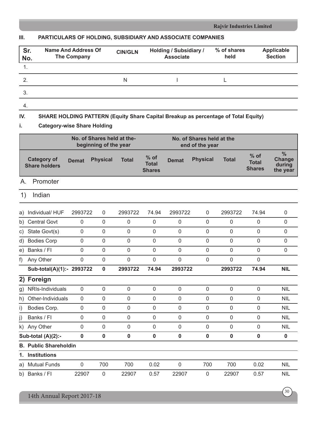### **III. PARTICULARS OF HOLDING, SUBSIDIARY AND ASSOCIATE COMPANIES**

| Sr.<br>No. | <b>Name And Address Of</b><br>The Company | <b>CIN/GLN</b> | <b>Holding / Subsidiary /</b><br><b>Associate</b> | % of shares<br>held | Applicable<br><b>Section</b> |
|------------|-------------------------------------------|----------------|---------------------------------------------------|---------------------|------------------------------|
| .,         |                                           |                |                                                   |                     |                              |
| 2.         |                                           | Ν              |                                                   |                     |                              |
| 3.         |                                           |                |                                                   |                     |                              |
| -4.        |                                           |                |                                                   |                     |                              |

### **IV. SHARE HOLDING PATTERN (Equity Share Capital Breakup as percentage of Total Equity)**

#### **i. Category-wise Share Holding**

|         |                                            |                  | No. of Shares held at the-<br>beginning of the year |                |                                         | No. of Shares held at the<br>end of the year |                 |                |                                         |                                               |
|---------|--------------------------------------------|------------------|-----------------------------------------------------|----------------|-----------------------------------------|----------------------------------------------|-----------------|----------------|-----------------------------------------|-----------------------------------------------|
|         | <b>Category of</b><br><b>Share holders</b> | <b>Demat</b>     | <b>Physical</b>                                     | <b>Total</b>   | $%$ of<br><b>Total</b><br><b>Shares</b> | <b>Demat</b>                                 | <b>Physical</b> | <b>Total</b>   | $%$ of<br><b>Total</b><br><b>Shares</b> | $\frac{0}{0}$<br>Change<br>during<br>the year |
| $A_{1}$ | Promoter                                   |                  |                                                     |                |                                         |                                              |                 |                |                                         |                                               |
| 1)      | Indian                                     |                  |                                                     |                |                                         |                                              |                 |                |                                         |                                               |
| a)      | Individual/ HUF                            | 2993722          | $\mathbf 0$                                         | 2993722        | 74.94                                   | 2993722                                      | $\mathbf{0}$    | 2993722        | 74.94                                   | $\mathbf 0$                                   |
| b)      | <b>Central Govt</b>                        | $\overline{0}$   | $\mathbf 0$                                         | $\overline{0}$ | $\mathbf 0$                             | 0                                            | $\overline{0}$  | $\overline{0}$ | $\overline{0}$                          | $\mathbf 0$                                   |
| c)      | State Govt(s)                              | 0                | $\mathbf 0$                                         | $\overline{0}$ | $\mathbf 0$                             | 0                                            | 0               | $\overline{0}$ | $\mathbf 0$                             | 0                                             |
| d)      | <b>Bodies Corp</b>                         | 0                | $\mathbf 0$                                         | $\overline{0}$ | $\mathbf 0$                             | $\boldsymbol{0}$                             | 0               | $\overline{0}$ | $\mathbf 0$                             | 0                                             |
| e)      | Banks / Fl                                 | $\mathbf 0$      | $\mathbf 0$                                         | $\overline{0}$ | $\mathbf 0$                             | $\boldsymbol{0}$                             | 0               | $\overline{0}$ | $\mathbf 0$                             | $\mathbf 0$                                   |
| $f$ )   | Any Other                                  | $\overline{0}$   | $\mathbf 0$                                         | $\overline{0}$ | $\overline{0}$                          | 0                                            | $\overline{0}$  | $\Omega$       | $\overline{0}$                          |                                               |
|         | Sub-total(A)(1):- 2993722                  |                  | $\mathbf 0$                                         | 2993722        | 74.94                                   | 2993722                                      |                 | 2993722        | 74.94                                   | <b>NIL</b>                                    |
| 2)      | <b>Foreign</b>                             |                  |                                                     |                |                                         |                                              |                 |                |                                         |                                               |
| g)      | NRIs-Individuals                           | $\overline{0}$   | $\overline{0}$                                      | $\overline{0}$ | $\overline{0}$                          | $\overline{0}$                               | $\overline{0}$  | $\overline{0}$ | $\overline{0}$                          | <b>NIL</b>                                    |
| h)      | Other-Individuals                          | $\boldsymbol{0}$ | $\mathbf 0$                                         | $\overline{0}$ | 0                                       | $\overline{0}$                               | 0               | $\overline{0}$ | $\mathbf 0$                             | <b>NIL</b>                                    |
| i)      | Bodies Corp.                               | $\mathbf 0$      | $\mathbf 0$                                         | $\overline{0}$ | 0                                       | 0                                            | 0               | $\overline{0}$ | $\mathbf 0$                             | <b>NIL</b>                                    |
| j)      | Banks / Fl                                 | 0                | $\mathbf 0$                                         | $\Omega$       | 0                                       | 0                                            | 0               | $\Omega$       | $\mathbf 0$                             | <b>NIL</b>                                    |
| k)      | Any Other                                  | 0                | $\overline{0}$                                      | $\overline{0}$ | 0                                       | 0                                            | 0               | $\mathbf 0$    | $\overline{0}$                          | <b>NIL</b>                                    |
|         | Sub-total (A)(2):-                         | $\mathbf 0$      | $\mathbf 0$                                         | $\bf{0}$       | $\mathbf 0$                             | $\mathbf 0$                                  | 0               | $\mathbf 0$    | $\mathbf 0$                             | $\mathbf 0$                                   |
|         | <b>B. Public Shareholdin</b>               |                  |                                                     |                |                                         |                                              |                 |                |                                         |                                               |
| 1.      | <b>Institutions</b>                        |                  |                                                     |                |                                         |                                              |                 |                |                                         |                                               |
| a)      | <b>Mutual Funds</b>                        | $\mathbf 0$      | 700                                                 | 700            | 0.02                                    | $\mathbf 0$                                  | 700             | 700            | 0.02                                    | <b>NIL</b>                                    |
|         | b) Banks / Fl                              | 22907            | $\mathbf 0$                                         | 22907          | 0.57                                    | 22907                                        | $\mathbf{0}$    | 22907          | 0.57                                    | <b>NIL</b>                                    |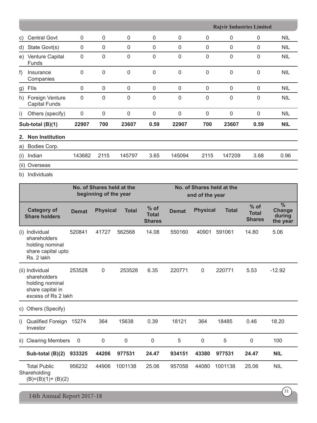|      | <b>Rajvir Industries Limited</b>        |              |              |              |             |             |      |              |              |            |
|------|-----------------------------------------|--------------|--------------|--------------|-------------|-------------|------|--------------|--------------|------------|
| C)   | <b>Central Govt</b>                     | 0            | $\mathbf 0$  | $\mathbf 0$  | $\mathbf 0$ | 0           | 0    | 0            | 0            | <b>NIL</b> |
| d)   | State Govt(s)                           | 0            | 0            | $\mathbf 0$  | $\mathbf 0$ | 0           | 0    | $\mathbf{0}$ | 0            | <b>NIL</b> |
| e)   | Venture Capital<br>Funds                | 0            | $\mathbf 0$  | 0            | 0           | 0           | 0    | 0            | 0            | <b>NIL</b> |
| f)   | Insurance<br>Companies                  | 0            | $\mathbf 0$  | 0            | 0           | $\mathbf 0$ | 0    | 0            | 0            | <b>NIL</b> |
| g)   | Flls                                    | 0            | $\mathbf 0$  | $\mathbf 0$  | 0           | 0           | 0    | $\mathbf 0$  | 0            | <b>NIL</b> |
| h)   | Foreign Venture<br><b>Capital Funds</b> | $\mathbf{0}$ | $\mathbf{0}$ | $\mathbf{0}$ | 0           | 0           | 0    | 0            | $\mathbf{0}$ | <b>NIL</b> |
| i)   | Others (specify)                        | 0            | $\mathbf 0$  | $\mathbf 0$  | $\mathbf 0$ | 0           | 0    | $\mathbf 0$  | $\mathbf 0$  | <b>NIL</b> |
|      | Sub-total (B)(1)                        | 22907        | 700          | 23607        | 0.59        | 22907       | 700  | 23607        | 0.59         | <b>NIL</b> |
| 2.   | <b>Non Institution</b>                  |              |              |              |             |             |      |              |              |            |
| a)   | Bodies Corp.                            |              |              |              |             |             |      |              |              |            |
| (i)  | Indian                                  | 143682       | 2115         | 145797       | 3.65        | 145094      | 2115 | 147209       | 3.68         | 0.96       |
| (ii) | Overseas                                |              |              |              |             |             |      |              |              |            |

b) Individuals

|     | No. of Shares held at the<br>beginning of the year                                            |              |                 |              | No. of Shares held at the<br>end of the year |              |                 |              |                                         |                                                      |
|-----|-----------------------------------------------------------------------------------------------|--------------|-----------------|--------------|----------------------------------------------|--------------|-----------------|--------------|-----------------------------------------|------------------------------------------------------|
|     | <b>Category of</b><br><b>Share holders</b>                                                    | <b>Demat</b> | <b>Physical</b> | <b>Total</b> | $%$ of<br><b>Total</b><br><b>Shares</b>      | <b>Demat</b> | <b>Physical</b> | <b>Total</b> | $%$ of<br><b>Total</b><br><b>Shares</b> | $\frac{0}{2}$<br><b>Change</b><br>during<br>the year |
| (i) | Individual<br>shareholders<br>holding nominal<br>share capital upto<br>Rs. 2 lakh             | 520841       | 41727           | 562568       | 14.08                                        | 550160       | 40901           | 591061       | 14.80                                   | 5.06                                                 |
|     | (ii) Individual<br>shareholders<br>holding nominal<br>share capital in<br>excess of Rs 2 lakh | 253528       | $\mathbf 0$     | 253528       | 6.35                                         | 220771       | 0               | 220771       | 5.53                                    | $-12.92$                                             |
|     | c) Others (Specify)                                                                           |              |                 |              |                                              |              |                 |              |                                         |                                                      |
|     | i) Qualified Foreign 15274<br>Investor                                                        |              | 364             | 15638        | 0.39                                         | 18121        | 364             | 18485        | 0.46                                    | 18.20                                                |
|     | ii) Clearing Members                                                                          | 0            | 0               | 0            | $\mathbf{0}$                                 | 5            | 0               | 5            | $\mathbf 0$                             | 100                                                  |
|     | Sub-total (B)(2)                                                                              | 933325       | 44206           | 977531       | 24.47                                        | 934151       | 43380           | 977531       | 24.47                                   | <b>NIL</b>                                           |
|     | <b>Total Public</b><br>Shareholding<br>$(B)=(B)(1)+(B)(2)$                                    | 956232       | 44906           | 1001138      | 25.06                                        | 957058       | 44080           | 1001138      | 25.06                                   | <b>NIL</b>                                           |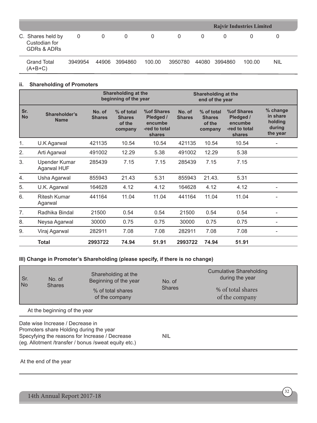|                                                              |         |          |         |        |          |   | <b>Rajvir Industries Limited</b> |        |            |  |
|--------------------------------------------------------------|---------|----------|---------|--------|----------|---|----------------------------------|--------|------------|--|
| C. Shares held by<br>Custodian for<br><b>GDRs &amp; ADRs</b> | 0       | $\Omega$ | 0       | 0      | $\Omega$ | 0 | 0                                |        | 0          |  |
| <b>Grand Total</b><br>$(A+B+C)$                              | 3949954 | 44906    | 3994860 | 100.00 | 3950780  |   | 44080 3994860                    | 100.00 | <b>NIL</b> |  |

### **ii. Shareholding of Promoters**

|                  |                                | <b>Shareholding at the</b><br>beginning of the year |                                                  |                                                                | <b>Shareholding at the</b><br>end of the year |                                                  |                                                                |                                                       |  |
|------------------|--------------------------------|-----------------------------------------------------|--------------------------------------------------|----------------------------------------------------------------|-----------------------------------------------|--------------------------------------------------|----------------------------------------------------------------|-------------------------------------------------------|--|
| Sr.<br><b>No</b> | Shareholder's<br><b>Name</b>   | No. of<br><b>Shares</b>                             | % of total<br><b>Shares</b><br>of the<br>company | % of Shares<br>Pledged /<br>encumbe<br>-red to total<br>shares | No. of<br><b>Shares</b>                       | % of total<br><b>Shares</b><br>of the<br>company | % of Shares<br>Pledged /<br>encumbe<br>-red to total<br>shares | % change<br>in share<br>holding<br>during<br>the year |  |
| 1.               | U.K Agarwal                    | 421135                                              | 10.54                                            | 10.54                                                          | 421135                                        | 10.54                                            | 10.54                                                          |                                                       |  |
| 2.               | Arti Agarwal                   | 491002                                              | 12.29                                            | 5.38                                                           | 491002                                        | 12.29                                            | 5.38                                                           |                                                       |  |
| 3.               | Upender Kumar<br>Agarwal HUF   | 285439                                              | 7.15                                             | 7.15                                                           | 285439                                        | 7.15                                             | 7.15                                                           |                                                       |  |
| 4.               | Usha Agarwal                   | 855943                                              | 21.43                                            | 5.31                                                           | 855943                                        | 21.43.                                           | 5.31                                                           |                                                       |  |
| 5.               | U.K. Agarwal                   | 164628                                              | 4.12                                             | 4.12                                                           | 164628                                        | 4.12                                             | 4.12                                                           | ۰                                                     |  |
| 6.               | <b>Ritesh Kumar</b><br>Agarwal | 441164                                              | 11.04                                            | 11.04                                                          | 441164                                        | 11.04                                            | 11.04                                                          |                                                       |  |
| 7.               | Radhika Bindal                 | 21500                                               | 0.54                                             | 0.54                                                           | 21500                                         | 0.54                                             | 0.54                                                           | ۰                                                     |  |
| 8.               | Neysa Agarwal                  | 30000                                               | 0.75                                             | 0.75                                                           | 30000                                         | 0.75                                             | 0.75                                                           |                                                       |  |
| 9.               | Viraj Agarwal                  | 282911                                              | 7.08                                             | 7.08                                                           | 282911                                        | 7.08                                             | 7.08                                                           | ٠                                                     |  |
|                  | Total                          | 2993722                                             | 74.94                                            | 51.91                                                          | 2993722                                       | 74.94                                            | 51.91                                                          |                                                       |  |

### **III) Change in Promoter's Shareholding (please specify, if there is no change)**

| Sr.<br>l No | $No.$ of<br><b>Shares</b>        | Shareholding at the<br>Beginning of the year<br>% of total shares<br>of the company                                                               | No. of<br><b>Shares</b> | <b>Cumulative Shareholding</b><br>during the year<br>% of total shares<br>of the company |  |  |  |  |
|-------------|----------------------------------|---------------------------------------------------------------------------------------------------------------------------------------------------|-------------------------|------------------------------------------------------------------------------------------|--|--|--|--|
|             | At the beginning of the year     |                                                                                                                                                   |                         |                                                                                          |  |  |  |  |
|             | Date wise Increase / Decrease in | Promoters share Holding during the year<br>Specyfying the reasons for Increase / Decrease<br>(eg. Allotment /transfer / bonus /sweat equity etc.) | <b>NIL</b>              |                                                                                          |  |  |  |  |

 $\left(32\right)$ 

At the end of the year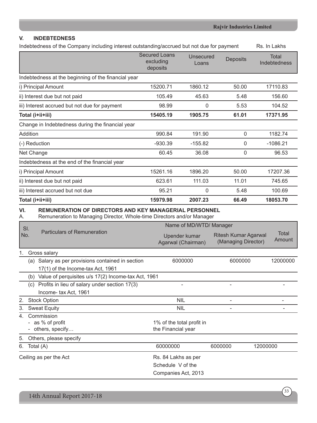#### **V. INDEBTEDNESS**

Indebtedness of the Company including interest outstanding/accrued but not due for payment Rs. In Lakhs

|                  |                                                                                                                                  | macbicances of the Company including interest outstanding/accrued but not due for payment |                                     |                          |                                                                       |  |  |  |  |  |
|------------------|----------------------------------------------------------------------------------------------------------------------------------|-------------------------------------------------------------------------------------------|-------------------------------------|--------------------------|-----------------------------------------------------------------------|--|--|--|--|--|
|                  |                                                                                                                                  | <b>Secured Loans</b><br>excluding<br>deposits                                             | <b>Unsecured</b><br>Loans           | <b>Deposits</b>          | <b>Total</b><br>Indebtedness                                          |  |  |  |  |  |
|                  | Indebtedness at the beginning of the financial year                                                                              |                                                                                           |                                     |                          |                                                                       |  |  |  |  |  |
|                  | i) Principal Amount                                                                                                              | 15200.71                                                                                  | 1860.12                             | 50.00                    | 17110.83                                                              |  |  |  |  |  |
|                  | ii) Interest due but not paid                                                                                                    | 105.49                                                                                    | 45.63                               | 5.48                     | 156.60                                                                |  |  |  |  |  |
|                  | iii) Interest accrued but not due for payment                                                                                    | 98.99                                                                                     | $\Omega$                            | 5.53                     | 104.52                                                                |  |  |  |  |  |
| Total (i+ii+iii) |                                                                                                                                  | 15405.19                                                                                  | 1905.75                             | 61.01                    | 17371.95                                                              |  |  |  |  |  |
|                  | Change in Indebtedness during the financial year                                                                                 |                                                                                           |                                     |                          |                                                                       |  |  |  |  |  |
| Addition         |                                                                                                                                  | 990.84                                                                                    | 191.90                              | $\mathbf 0$              | 1182.74                                                               |  |  |  |  |  |
| (-) Reduction    |                                                                                                                                  | $-930.39$                                                                                 | $-155.82$                           | $\mathbf 0$              | $-1086.21$                                                            |  |  |  |  |  |
| Net Change       |                                                                                                                                  | 60.45                                                                                     | 36.08                               | $\mathbf 0$              | 96.53                                                                 |  |  |  |  |  |
|                  | Indebtedness at the end of the financial year                                                                                    |                                                                                           |                                     |                          |                                                                       |  |  |  |  |  |
|                  | i) Principal Amount                                                                                                              | 15261.16                                                                                  | 1896.20                             | 50.00                    | 17207.36                                                              |  |  |  |  |  |
|                  | ii) Interest due but not paid                                                                                                    | 623.61                                                                                    | 111.03                              | 11.01                    | 745.65                                                                |  |  |  |  |  |
|                  | iii) Interest accrued but not due                                                                                                | 95.21                                                                                     | $\mathbf{0}$                        | 5.48                     | 100.69                                                                |  |  |  |  |  |
| Total (i+ii+iii) |                                                                                                                                  | 15979.98                                                                                  | 2007.23                             | 66.49                    | 18053.70                                                              |  |  |  |  |  |
| VI.<br>А.        | REMUNERATION OF DIRECTORS AND KEY MANAGERIAL PERSONNEL<br>Remuneration to Managing Director, Whole-time Directors and/or Manager |                                                                                           |                                     |                          |                                                                       |  |  |  |  |  |
| SI.              |                                                                                                                                  |                                                                                           | Name of MD/WTD/ Manager             |                          |                                                                       |  |  |  |  |  |
| No.              | <b>Particulars of Remuneration</b>                                                                                               |                                                                                           | Upender kumar<br>Agarwal (Chairman) |                          | Total<br><b>Ritesh Kumar Agarwal</b><br>Amount<br>(Managing Director) |  |  |  |  |  |
| 1.               | Gross salary                                                                                                                     |                                                                                           |                                     |                          |                                                                       |  |  |  |  |  |
|                  | (a) Salary as per provisions contained in section                                                                                |                                                                                           | 6000000                             | 6000000                  | 12000000                                                              |  |  |  |  |  |
|                  | 17(1) of the Income-tax Act, 1961                                                                                                |                                                                                           |                                     |                          |                                                                       |  |  |  |  |  |
|                  | (b) Value of perquisites u/s 17(2) Income-tax Act, 1961                                                                          |                                                                                           |                                     |                          |                                                                       |  |  |  |  |  |
| (c)              | Profits in lieu of salary under section 17(3)                                                                                    |                                                                                           |                                     | $\overline{\phantom{a}}$ | $\sim$                                                                |  |  |  |  |  |
|                  | Income- tax Act, 1961                                                                                                            |                                                                                           |                                     |                          |                                                                       |  |  |  |  |  |

2. Stock Option **All According to the Contract Option Contract of Contract Option**  $\mathsf{NIL}$  **-**3. Sweat Equity **All Accord Equity CONSUMING A SWEAT AND ACCORD AND ACCORD A SWEAT AND ACCORD A SWEAT AND ACCORD A** 

- others, specify... the Financial year 5. Others, please specify 6. Total (A) 600000000 60000000 60000000 6000000 12000000 Ceiling as per the Act **Rs. 84 Lakhs as per** Rs. 84 Lakhs as per

 Schedule V of the Companies Act, 2013

1% of the total profit in

4. Commission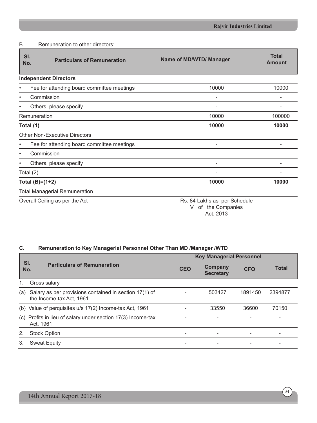$\left(34\right)$ 

B. Remuneration to other directors:

|           | SI.<br><b>Particulars of Remuneration</b><br>No. | Name of MD/WTD/ Manager                                            | <b>Total</b><br>Amount |  |  |  |
|-----------|--------------------------------------------------|--------------------------------------------------------------------|------------------------|--|--|--|
|           | <b>Independent Directors</b>                     |                                                                    |                        |  |  |  |
| $\bullet$ | Fee for attending board committee meetings       | 10000                                                              | 10000                  |  |  |  |
|           | Commission                                       |                                                                    |                        |  |  |  |
|           | Others, please specify                           |                                                                    |                        |  |  |  |
|           | Remuneration                                     | 10000                                                              | 100000                 |  |  |  |
|           | Total (1)                                        | 10000                                                              | 10000                  |  |  |  |
|           | <b>Other Non-Executive Directors</b>             |                                                                    |                        |  |  |  |
| ٠         | Fee for attending board committee meetings       |                                                                    |                        |  |  |  |
| $\bullet$ | Commission                                       |                                                                    |                        |  |  |  |
| $\bullet$ | Others, please specify                           |                                                                    |                        |  |  |  |
|           | Total (2)                                        |                                                                    |                        |  |  |  |
|           | Total (B)=(1+2)                                  | 10000                                                              | 10000                  |  |  |  |
|           | <b>Total Managerial Remuneration</b>             |                                                                    |                        |  |  |  |
|           | Overall Ceiling as per the Act                   | Rs. 84 Lakhs as per Schedule<br>of the Companies<br>V<br>Act, 2013 |                        |  |  |  |

### **C. Remuneration to Key Managerial Personnel Other Than MD /Manager /WTD**

|                |                                                                                    | <b>Key Managerial Personnel</b> |                             |            |              |
|----------------|------------------------------------------------------------------------------------|---------------------------------|-----------------------------|------------|--------------|
| SI.<br>No.     | <b>Particulars of Remuneration</b>                                                 | <b>CEO</b>                      | Company<br><b>Secretary</b> | <b>CFO</b> | <b>Total</b> |
|                | Gross salary                                                                       |                                 |                             |            |              |
| (a)            | Salary as per provisions contained in section 17(1) of<br>the Income-tax Act, 1961 |                                 | 503427                      | 1891450    | 2394877      |
|                | (b) Value of perquisites u/s 17(2) Income-tax Act, 1961                            |                                 | 33550                       | 36600      | 70150        |
|                | (c) Profits in lieu of salary under section 17(3) Income-tax<br>Act, 1961          |                                 |                             |            |              |
| 2 <sub>1</sub> | <b>Stock Option</b>                                                                |                                 | $\overline{\phantom{a}}$    |            |              |
| 3.             | <b>Sweat Equity</b>                                                                |                                 |                             |            |              |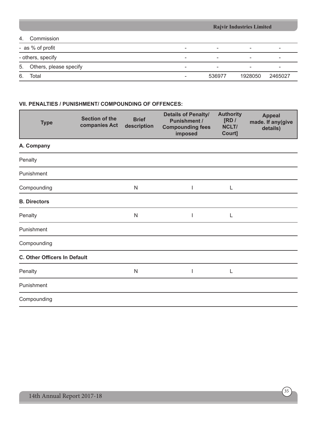| <b>Rajvir Industries Limited</b> |        |         |         |  |
|----------------------------------|--------|---------|---------|--|
|                                  |        |         |         |  |
| $\overline{\phantom{a}}$         | $\sim$ | -       | -       |  |
| $\overline{\phantom{a}}$         | -      | -       |         |  |
| $\overline{\phantom{a}}$         | -      | -       |         |  |
| $\overline{\phantom{a}}$         | 536977 | 1928050 | 2465027 |  |
|                                  |        |         |         |  |

#### **VII. PENALTIES / PUNISHMENT/ COMPOUNDING OF OFFENCES:**

| <b>Type</b>                         | <b>Section of the</b><br>companies Act | <b>Brief</b><br>description | <b>Details of Penalty/</b><br><b>Punishment /</b><br><b>Compounding fees</b><br>imposed | <b>Authority</b><br>[RD/<br><b>NCLT/</b><br>Court] | <b>Appeal</b><br>made. If any(give<br>details) |
|-------------------------------------|----------------------------------------|-----------------------------|-----------------------------------------------------------------------------------------|----------------------------------------------------|------------------------------------------------|
| A. Company                          |                                        |                             |                                                                                         |                                                    |                                                |
| Penalty                             |                                        |                             |                                                                                         |                                                    |                                                |
| Punishment                          |                                        |                             |                                                                                         |                                                    |                                                |
| Compounding                         |                                        | N                           |                                                                                         | L                                                  |                                                |
| <b>B. Directors</b>                 |                                        |                             |                                                                                         |                                                    |                                                |
| Penalty                             |                                        | $\mathsf{N}$                |                                                                                         | L                                                  |                                                |
| Punishment                          |                                        |                             |                                                                                         |                                                    |                                                |
| Compounding                         |                                        |                             |                                                                                         |                                                    |                                                |
| <b>C. Other Officers In Default</b> |                                        |                             |                                                                                         |                                                    |                                                |
| Penalty                             |                                        | N                           |                                                                                         | L                                                  |                                                |
| Punishment                          |                                        |                             |                                                                                         |                                                    |                                                |
| Compounding                         |                                        |                             |                                                                                         |                                                    |                                                |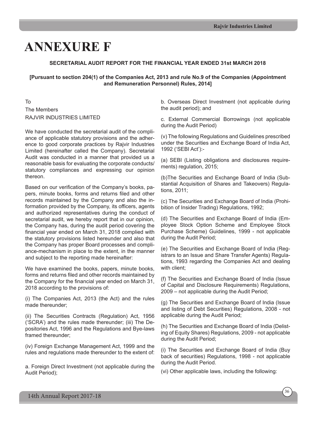# **ANNEXURE F**

#### **SECRETARIAL AUDIT REPORT FOR THE FINANCIAL YEAR ENDED 31st MARCH 2018**

**[Pursuant to section 204(1) of the Companies Act, 2013 and rule No.9 of the Companies (Appointment and Remuneration Personnel) Rules, 2014]**

To The Members RAJVIR INDUSTRIES LIMITED

We have conducted the secretarial audit of the compliance of applicable statutory provisions and the adherence to good corporate practices by Rajvir Industries Limited (hereinafter called the Company). Secretarial Audit was conducted in a manner that provided us a reasonable basis for evaluating the corporate conducts/ statutory compliances and expressing our opinion thereon.

Based on our verification of the Company's books, papers, minute books, forms and returns filed and other records maintained by the Company and also the information provided by the Company, its officers, agents and authorized representatives during the conduct of secretarial audit, we hereby report that in our opinion, the Company has, during the audit period covering the financial year ended on March 31, 2018 complied with the statutory provisions listed hereunder and also that the Company has proper Board processes and compliance-mechanism in place to the extent, in the manner and subject to the reporting made hereinafter:

We have examined the books, papers, minute books, forms and returns filed and other records maintained by the Company for the financial year ended on March 31, 2018 according to the provisions of:

(i) The Companies Act, 2013 (the Act) and the rules made thereunder;

(ii) The Securities Contracts (Regulation) Act, 1956 ('SCRA') and the rules made thereunder; (iii) The Depositories Act, 1996 and the Regulations and Bye-laws framed thereunder;

(iv) Foreign Exchange Management Act, 1999 and the rules and regulations made thereunder to the extent of:

a. Foreign Direct Investment (not applicable during the Audit Period);

b. Overseas Direct Investment (not applicable during the audit period); and

c. External Commercial Borrowings (not applicable during the Audit Period)

(v) The following Regulations and Guidelines prescribed under the Securities and Exchange Board of India Act, 1992 ('SEBI Act'):-

(a) SEBI (Listing obligations and disclosures requirements) regulation, 2015;

(b)The Securities and Exchange Board of India (Substantial Acquisition of Shares and Takeovers) Regulations, 2011;

(c) The Securities and Exchange Board of India (Prohibition of Insider Trading) Regulations, 1992;

(d) The Securities and Exchange Board of India (Employee Stock Option Scheme and Employee Stock Purchase Scheme) Guidelines, 1999 - not applicable during the Audit Period;

(e) The Securities and Exchange Board of India (Registrars to an Issue and Share Transfer Agents) Regulations, 1993 regarding the Companies Act and dealing with client:

(f) The Securities and Exchange Board of India (Issue of Capital and Disclosure Requirements) Regulations, 2009 – not applicable during the Audit Period;

(g) The Securities and Exchange Board of India (Issue and listing of Debt Securities) Regulations, 2008 - not applicable during the Audit Period;

(h) The Securities and Exchange Board of India (Delisting of Equity Shares) Regulations, 2009 - not applicable during the Audit Period;

(i) The Securities and Exchange Board of India (Buy back of securities) Regulations, 1998 - not applicable during the Audit Period.

(vi) Other applicable laws, including the following: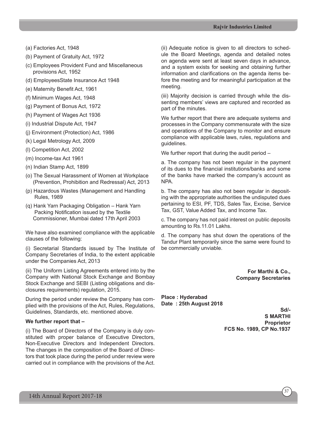- (a) Factories Act, 1948
- (b) Payment of Gratuity Act, 1972
- (c) Employees Provident Fund and Miscellaneous provisions Act, 1952
- (d) EmployeesState Insurance Act 1948
- (e) Maternity Benefit Act, 1961
- (f) Minimum Wages Act, 1948
- (g) Payment of Bonus Act, 1972
- (h) Payment of Wages Act 1936
- (i) Industrial Dispute Act, 1947
- (j) Environment (Protection) Act, 1986
- (k) Legal Metrology Act, 2009
- (l) Competition Act, 2002
- (m) Income-tax Act 1961
- (n) Indian Stamp Act, 1899
- (o) The Sexual Harassment of Women at Workplace (Prevention, Prohibition and Redressal) Act, 2013
- (p) Hazardous Wastes (Management and Handling Rules, 1989
- (q) Hank Yarn Packaging Obligation Hank Yarn Packing Notification issued by the Textile Commissioner, Mumbai dated 17th April 2003

We have also examined compliance with the applicable clauses of the following:

(i) Secretarial Standards issued by The Institute of Company Secretaries of India, to the extent applicable under the Companies Act, 2013

(ii) The Uniform Listing Agreements entered into by the Company with National Stock Exchange and Bombay Stock Exchange and SEBI (Listing obligations and disclosures requirements) regulation, 2015.

During the period under review the Company has complied with the provisions of the Act, Rules, Regulations, Guidelines, Standards, etc. mentioned above.

#### **We further report that –**

(i) The Board of Directors of the Company is duly constituted with proper balance of Executive Directors, Non-Executive Directors and Independent Directors. The changes in the composition of the Board of Directors that took place during the period under review were carried out in compliance with the provisions of the Act.

(ii) Adequate notice is given to all directors to schedule the Board Meetings, agenda and detailed notes on agenda were sent at least seven days in advance, and a system exists for seeking and obtaining further information and clarifications on the agenda items before the meeting and for meaningful participation at the meeting.

(iii) Majority decision is carried through while the dissenting members' views are captured and recorded as part of the minutes.

We further report that there are adequate systems and processes in the Company commensurate with the size and operations of the Company to monitor and ensure compliance with applicable laws, rules, regulations and guidelines.

We further report that during the audit period -

a. The company has not been regular in the payment of its dues to the financial institutions/banks and some of the banks have marked the company's account as NPA.

b. The company has also not been regular in depositing with the appropriate authorities the undisputed dues pertaining to ESI, PF, TDS, Sales Tax, Excise, Service Tax, GST, Value Added Tax, and Income Tax.

c. The company has not paid interest on public deposits amounting to Rs.11.01 Lakhs.

d. The company has shut down the operations of the Tandur Plant temporarily since the same were found to be commercially unviable.

> **For Marthi & Co., Company Secretaries**

**Place : Hyderabad Date : 25th August 2018**

**Sd/- S MARTHI Proprietor FCS No. 1989, CP No.1937**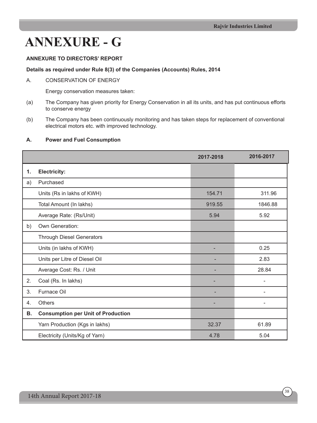# **ANNEXURE - G**

#### **ANNEXURE TO DIRECTORS' REPORT**

### **Details as required under Rule 8(3) of the Companies (Accounts) Rules, 2014**

A. CONSERVATION OF ENERGY

Energy conservation measures taken:

- (a) The Company has given priority for Energy Conservation in all its units, and has put continuous efforts to conserve energy
- (b) The Company has been continuously monitoring and has taken steps for replacement of conventional electrical motors etc. with improved technology.

#### **A. Power and Fuel Consumption**

|    |                                           | 2017-2018 | 2016-2017 |
|----|-------------------------------------------|-----------|-----------|
| 1. | <b>Electricity:</b>                       |           |           |
| a) | Purchased                                 |           |           |
|    | Units (Rs in lakhs of KWH)                | 154.71    | 311.96    |
|    | Total Amount (In lakhs)                   | 919.55    | 1846.88   |
|    | Average Rate: (Rs/Unit)                   | 5.94      | 5.92      |
| b) | Own Generation:                           |           |           |
|    | <b>Through Diesel Generators</b>          |           |           |
|    | Units (in lakhs of KWH)                   | ۰         | 0.25      |
|    | Units per Litre of Diesel Oil             |           | 2.83      |
|    | Average Cost: Rs. / Unit                  |           | 28.84     |
| 2. | Coal (Rs. In lakhs)                       |           |           |
| 3. | <b>Furnace Oil</b>                        |           |           |
| 4. | <b>Others</b>                             | -         |           |
| В. | <b>Consumption per Unit of Production</b> |           |           |
|    | Yarn Production (Kgs in lakhs)            | 32.37     | 61.89     |
|    | Electricity (Units/Kg of Yarn)            | 4.78      | 5.04      |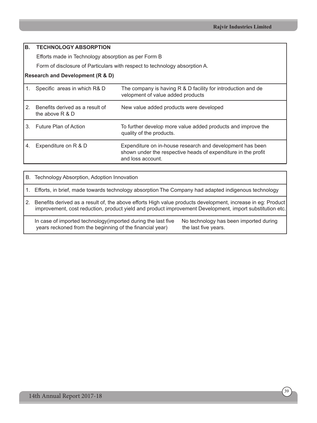#### **B. TECHNOLOGY ABSORPTION**

Efforts made in Technology absorption as per Form B

Form of disclosure of Particulars with respect to technology absorption A.

## **Research and Development (R & D)**

|                | Specific areas in which R& D                          | The company is having $R & D$ facility for introduction and de<br>velopment of value added products                                             |
|----------------|-------------------------------------------------------|-------------------------------------------------------------------------------------------------------------------------------------------------|
| 2 <sub>1</sub> | Benefits derived as a result of<br>the above $R \& D$ | New value added products were developed                                                                                                         |
|                | Future Plan of Action                                 | To further develop more value added products and improve the<br>quality of the products.                                                        |
|                | Expenditure on R & D                                  | Expenditure on in-house research and development has been<br>shown under the respective heads of expenditure in the profit<br>and loss account. |

| IB.  | Technology Absorption, Adoption Innovation                                                                                                                                                                              |                                                                |  |
|------|-------------------------------------------------------------------------------------------------------------------------------------------------------------------------------------------------------------------------|----------------------------------------------------------------|--|
|      | 1. Efforts, in brief, made towards technology absorption The Company had adapted indigenous technology                                                                                                                  |                                                                |  |
| l 2. | Benefits derived as a result of, the above efforts High value products development, increase in eg: Product<br>improvement, cost reduction, product yield and product improvement Development, import substitution etc. |                                                                |  |
|      | In case of imported technology (imported during the last five<br>years reckoned from the beginning of the financial year)                                                                                               | No technology has been imported during<br>the last five years. |  |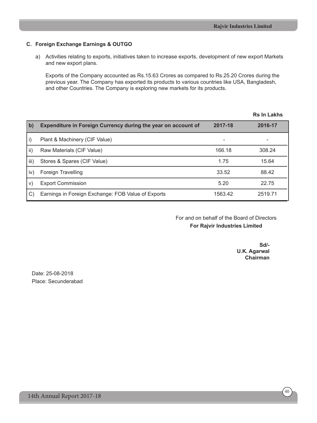#### **C. Foreign Exchange Earnings & OUTGO**

a) Activities relating to exports, initiatives taken to increase exports, development of new export Markets and new export plans.

 Exports of the Company accounted as Rs.15.63 Crores as compared to Rs.25.20 Crores during the previous year. The Company has exported its products to various countries like USA, Bangladesh, and other Countries. The Company is exploring new markets for its products.

|              |                                                               |         | <b>Rs In Lakhs</b> |
|--------------|---------------------------------------------------------------|---------|--------------------|
| $\mathbf{b}$ | Expenditure in Foreign Currency during the year on account of | 2017-18 | 2016-17            |
| i)           | Plant & Machinery (CIF Value)                                 | ۰       |                    |
| ii)          | Raw Materials (CIF Value)                                     | 166.18  | 308.24             |
| iii)         | Stores & Spares (CIF Value)                                   | 1.75    | 15.64              |
| iv)          | <b>Foreign Travelling</b>                                     | 33.52   | 88.42              |
| V)           | <b>Export Commission</b>                                      | 5.20    | 22.75              |
| $\mathbf{C}$ | Earnings in Foreign Exchange: FOB Value of Exports            | 1563.42 | 2519.71            |

For and on behalf of the Board of Directors **For Rajvir Industries Limited**

> **Sd/- U.K. Agarwal Chairman**

Date: 25-08-2018 Place: Secunderabad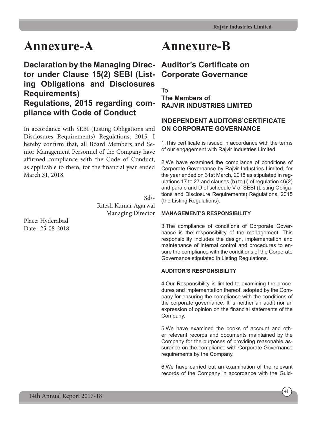# Annexure-A

# **Declaration by the Managing Director under Clause 15(2) SEBI (Listing Obligations and Disclosures Requirements) Regulations, 2015 regarding compliance with Code of Conduct**

In accordance with SEBI (Listing Obligations and Disclosures Requirements) Regulations, 2015, I hereby confirm that, all Board Members and Senior Management Personnel of the Company have affirmed compliance with the Code of Conduct, as applicable to them, for the financial year ended March 31, 2018.

> $Sd$  /-Ritesh Kumar Agarwal Managing Director

Place: Hyderabad Date : 25-08-2018

# Annexure-B

# **Auditor's Certificate on Corporate Governance**

To **The Members of RAJVIR INDUSTRIES LIMITED**

# **INDEPENDENT AUDITORS'CERTIFICATE ON CORPORATE GOVERNANCE**

1.This certificate is issued in accordance with the terms of our engagement with Rajvir Industries Limited.

2.We have examined the compliance of conditions of Corporate Governance by Rajvir Industries Limited, for the year ended on 31st March, 2018 as stipulated in regulations 17 to 27 and clauses (b) to (i) of regulation 46(2) and para c and D of schedule V of SEBI (Listing Obligations and Disclosure Requirements) Regulations, 2015 (the Listing Regulations).

#### **MANAGEMENT'S RESPONSIBILITY**

3.The compliance of conditions of Corporate Governance is the responsibility of the management. This responsibility includes the design, implementation and maintenance of internal control and procedures to ensure the compliance with the conditions of the Corporate Governance stipulated in Listing Regulations.

#### **AUDITOR'S RESPONSIBILITY**

4.Our Responsibility is limited to examining the procedures and implementation thereof, adopted by the Company for ensuring the compliance with the conditions of the corporate governance. It is neither an audit nor an expression of opinion on the financial statements of the Company.

5.We have examined the books of account and other relevant records and documents maintained by the Company for the purposes of providing reasonable assurance on the compliance with Corporate Governance requirements by the Company.

6.We have carried out an examination of the relevant records of the Company in accordance with the Guid-

41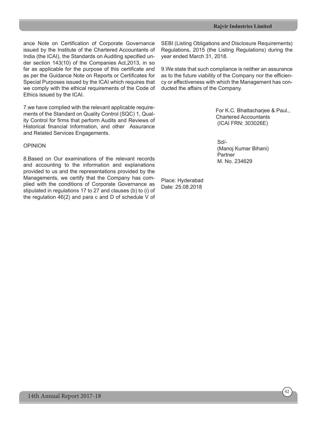ance Note on Certification of Corporate Governance issued by the Institute of the Chartered Accountants of India (the ICAI), the Standards on Auditing specified under section 143(10) of the Companies Act,2013, in so far as applicable for the purpose of this certificate and as per the Guidance Note on Reports or Certificates for Special Purposes issued by the ICAI which requires that we comply with the ethical requirements of the Code of Ethics issued by the ICAI.

7.we have complied with the relevant applicable requirements of the Standard on Quality Control (SQC) 1, Quality Control for firms that perform Audits and Reviews of Historical financial Information, and other Assurance and Related Services Engagements.

#### OPINION

8.Based on Our examinations of the relevant records and accounting to the information and explanations provided to us and the representations provided by the Managements, we certify that the Company has complied with the conditions of Corporate Governance as stipulated in regulations 17 to 27 and clauses (b) to (i) of the regulation 46(2) and para c and D of schedule V of

SEBI (Listing Obligations and Disclosure Requirements) Regulations, 2015 (the Listing Regulations) during the year ended March 31, 2018.

9.We state that such compliance is neither an assurance as to the future viability of the Company nor the efficiency or effectiveness with which the Management has conducted the affairs of the Company.

> For K.C. Bhattacharjee & Paul., Chartered Accountants (ICAI FRN: 303026E)

 Sd/- (Manoj Kumar Bihani) Partner M. No. 234629

Place: Hyderabad Date: 25.08.2018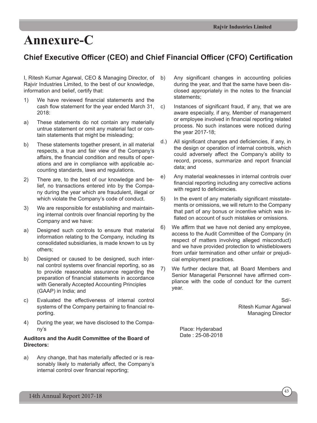# Annexure-C

# **Chief Executive Officer (CEO) and Chief Financial Officer (CFO) Certification**

I, Ritesh Kumar Agarwal, CEO & Managing Director, of Rajvir Industries Limited, to the best of our knowledge, information and belief, certify that:

- 1) We have reviewed financial statements and the cash flow statement for the year ended March 31, 2018:
- a) These statements do not contain any materially untrue statement or omit any material fact or contain statements that might be misleading;
- b) These statements together present, in all material respects, a true and fair view of the Company's affairs, the financial condition and results of operations and are in compliance with applicable accounting standards, laws and regulations.
- 2) There are, to the best of our knowledge and belief, no transactions entered into by the Company during the year which are fraudulent, illegal or which violate the Company's code of conduct.
- 3) We are responsible for establishing and maintaining internal controls over financial reporting by the Company and we have:
- a) Designed such controls to ensure that material information relating to the Company, including its consolidated subsidiaries, is made known to us by others;
- b) Designed or caused to be designed, such internal control systems over financial reporting, so as to provide reasonable assurance regarding the preparation of financial statements in accordance with Generally Accepted Accounting Principles (GAAP) in India; and
- c) Evaluated the effectiveness of internal control systems of the Company pertaining to financial reporting.
- 4) During the year, we have disclosed to the Company's

#### **Auditors and the Audit Committee of the Board of Directors:**

a) Any change, that has materially affected or is reasonably likely to materially affect, the Company's internal control over financial reporting;

- b) Any significant changes in accounting policies during the year, and that the same have been disclosed appropriately in the notes to the financial statements;
- c) Instances of significant fraud, if any, that we are aware especially, if any, Member of management or employee involved in financial reporting related process. No such instances were noticed during the year 2017-18;
- d.) All significant changes and deficiencies, if any, in the design or operation of internal controls, which could adversely affect the Company's ability to record, process, summarize and report financial data; and
- e) Any material weaknesses in internal controls over financial reporting including any corrective actions with regard to deficiencies.
- 5) In the event of any materially significant misstatements or omissions, we will return to the Company that part of any bonus or incentive which was inflated on account of such mistakes or omissions.
- 6) We affirm that we have not denied any employee, access to the Audit Committee of the Company (in respect of matters involving alleged misconduct) and we have provided protection to whistleblowers from unfair termination and other unfair or prejudicial employment practices.
- 7) We further declare that, all Board Members and Senior Managerial Personnel have affirmed compliance with the code of conduct for the current year.

Sd/- Ritesh Kumar Agarwal Managing Director

Place: Hyderabad Date : 25-08-2018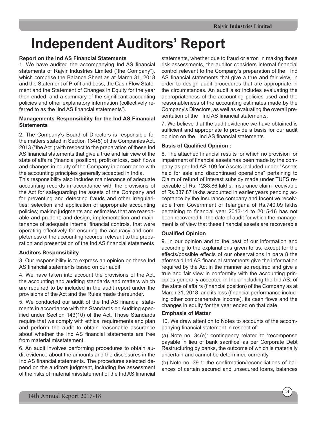# **Independent Auditors' Report**

#### **Report on the Ind AS Financial Statements**

1. We have audited the accompanying Ind AS financial statements of Rajvir Industries Limited ("the Company"), which comprise the Balance Sheet as at March 31, 2018 and the Statement of Profit and Loss, the Cash Flow Statement and the Statement of Changes in Equity for the year then ended, and a summary of the significant accounting policies and other explanatory information (collectively referred to as the 'Ind AS financial statements').

#### **Managements Responsibility for the Ind AS Financial Statements**

2. The Company's Board of Directors is responsible for the matters stated in Section 134(5) of the Companies Act, 2013 ("the Act") with respect to the preparation of these Ind AS financial statements that give a true and fair view of the state of affairs (financial position), profit or loss, cash flows and changes in equity of the Company in accordance with the accounting principles generally accepted in India.

This responsibility also includes maintenance of adequate accounting records in accordance with the provisions of the Act for safeguarding the assets of the Company and for preventing and detecting frauds and other irregularities; selection and application of appropriate accounting policies; making judgments and estimates that are reasonable and prudent; and design, implementation and maintenance of adequate internal financial controls, that were operating effectively for ensuring the accuracy and completeness of the accounting records, relevant to the preparation and presentation of the Ind AS financial statements

#### **Auditors Responsibility**

3. Our responsibility is to express an opinion on these Ind AS financial statements based on our audit.

4. We have taken into account the provisions of the Act, the accounting and auditing standards and matters which are required to be included in the audit report under the provisions of the Act and the Rules made thereunder.

5. We conducted our audit of the Ind AS financial statements in accordance with the Standards on Auditing specified under Section 143(10) of the Act. Those Standards require that we comply with ethical requirements and plan and perform the audit to obtain reasonable assurance about whether the Ind AS financial statements are free from material misstatement.

6. An audit involves performing procedures to obtain audit evidence about the amounts and the disclosures in the Ind AS financial statements. The procedures selected depend on the auditors judgment, including the assessment of the risks of material misstatement of the Ind AS financial statements, whether due to fraud or error. In making those risk assessments, the auditor considers internal financial control relevant to the Company's preparation of the Ind AS financial statements that give a true and fair view, in order to design audit procedures that are appropriate in the circumstances. An audit also includes evaluating the appropriateness of the accounting policies used and the reasonableness of the accounting estimates made by the Company's Directors, as well as evaluating the overall presentation of the Ind AS financial statements.

7. We believe that the audit evidence we have obtained is sufficient and appropriate to provide a basis for our audit opinion on the Ind AS financial statements.

#### **Basis of Qualified Opinion :**

8. The attached financial results for which no provision for impairment of financial assets has been made by the company as per Ind AS 109 for Assets included under "Assets held for sale and discontinued operations" pertaining to Claim of refund of interest subsidy made under TUFS receivable of Rs. 1288.86 lakhs, Insurance claim receivable of Rs.337.87 lakhs accounted in earlier years pending acceptance by the Insurance company and Incentive receivable from Government of Telangana of Rs.740.09 lakhs pertaining to financial year 2013-14 to 2015-16 has not been recovered till the date of audit for which the management is of view that these financial assets are recoverable

#### **Qualified Opinion**

9. In our opinion and to the best of our information and according to the explanations given to us, except for the effects/possible effects of our observations in para 8 the aforesaid Ind AS financial statements give the information required by the Act in the manner so required and give a true and fair view in conformity with the accounting principles generally accepted in India including the Ind AS, of the state of affairs (financial position) of the Company as at March 31, 2018, and its loss (financial performance including other comprehensive income), its cash flows and the changes in equity for the year ended on that date.

#### **Emphasis of Matter**

10. We draw attention to Notes to accounts of the accompanying financial statement in respect of:

(a) Note no. 34(e): contingency related to 'recompense payable in lieu of bank sacrifice' as per Corporate Debt Restructuring by banks, the outcome of which is materially uncertain and cannot be determined currently

(b) Note no. 39.1: the confirmation/reconciliations of balances of certain secured and unsecured loans, balances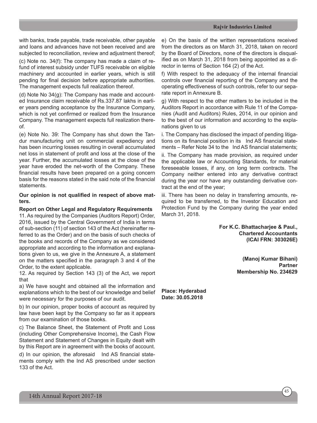#### Rajvir Industries Limited

with banks, trade payable, trade receivable, other payable and loans and advances have not been received and are subjected to reconciliation, review and adjustment thereof;

(c) Note no. 34(f): The company has made a claim of refund of interest subsidy under TUFS receivable on eligible machinery and accounted in earlier years, which is still pending for final decision before appropriate authorities. The management expects full realization thereof.

(d) Note No 34(g): The Company has made and accounted Insurance claim receivable of Rs.337.87 lakhs in earlier years pending acceptance by the Insurance Company, which is not yet confirmed or realized from the Insurance Company. The management expects full realization thereof.

(e) Note No. 39: The Company has shut down the Tandur manufacturing unit on commercial expediency and has been incurring losses resulting in overall accumulated net loss in statement of profit and loss at the close of the year. Further, the accumulated losses at the close of the year have eroded the net-worth of the Company. These financial results have been prepared on a going concern basis for the reasons stated in the said note of the financial statements.

#### **Our opinion is not qualified in respect of above matters.**

**Report on Other Legal and Regulatory Requirements**  11. As required by the Companies (Auditors Report) Order, 2016, issued by the Central Government of India in terms of sub-section (11) of section 143 of the Act (hereinafter referred to as the Order) and on the basis of such checks of the books and records of the Company as we considered appropriate and according to the information and explanations given to us, we give in the Annexure A, a statement on the matters specified in the paragraph 3 and 4 of the Order, to the extent applicable.

12. As required by Section 143 (3) of the Act, we report that

a) We have sought and obtained all the information and explanations which to the best of our knowledge and belief were necessary for the purposes of our audit.

b) In our opinion, proper books of account as required by law have been kept by the Company so far as it appears from our examination of those books.

c) The Balance Sheet, the Statement of Profit and Loss (including Other Comprehensive Income), the Cash Flow Statement and Statement of Changes in Equity dealt with by this Report are in agreement with the books of account.

d) In our opinion, the aforesaid Ind AS financial statements comply with the Ind AS prescribed under section 133 of the Act.

e) On the basis of the written representations received from the directors as on March 31, 2018, taken on record by the Board of Directors, none of the directors is disqualified as on March 31, 2018 from being appointed as a director in terms of Section 164 (2) of the Act.

f) With respect to the adequacy of the internal financial controls over financial reporting of the Company and the operating effectiveness of such controls, refer to our separate report in Annexure B.

g) With respect to the other matters to be included in the Auditors Report in accordance with Rule 11 of the Companies (Audit and Auditors) Rules, 2014, in our opinion and to the best of our information and according to the explanations given to us

i. The Company has disclosed the impact of pending litigations on its financial position in its Ind AS financial statements – Refer Note 34 to the Ind AS financial statements;

ii. The Company has made provision, as required under the applicable law or Accounting Standards, for material foreseeable losses, if any, on long term contracts. The Company neither entered into any derivative contract during the year nor have any outstanding derivative contract at the end of the year;

iii. There has been no delay in transferring amounts, required to be transferred, to the Investor Education and Protection Fund by the Company during the year ended March 31, 2018.

> **For K.C. Bhattacharjee & Paul., Chartered Accountants (ICAI FRN: 303026E)**

> > **(Manoj Kumar Bihani) Partner Membership No. 234629**

> > > 45

**Place: Hyderabad Date: 30.05.2018**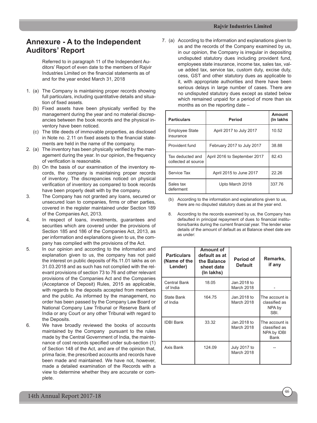# **Annexure - A to the Independent Auditors' Report**

Referred to in paragraph 11 of the Independent Auditors' Report of even date to the members of Rajvir Industries Limited on the financial statements as of and for the year ended March 31, 2018

- 1. (a) The Company is maintaining proper records showing full particulars, including quantitative details and situation of fixed assets.
	- (b) Fixed assets have been physically verified by the management during the year and no material discrepancies between the book records and the physical inventory have been noticed.
	- (c) The title deeds of immovable properties, as disclosed in Note no. 2.11 on fixed assets to the financial statements are held in the name of the company.
- 2. (a) The inventory has been physically verified by the management during the year. In our opinion, the frequency of verification is reasonable.
	- (b) On the basis of our examination of the inventory records, the company is maintaining proper records of inventory. The discrepancies noticed on physical verification of inventory as compared to book records have been properly dealt with by the company.
- 3. The Company has not granted any loans, secured or unsecured loan to companies, firms or other parties, covered in the register maintained under Section 189 of the Companies Act, 2013.
- 4. In respect of loans, investments, guarantees and securities which are covered under the provisions of Section 185 and 186 of the Companies Act, 2013, as per information and explanations given to us, the company has complied with the provisions of the Act.
- 5. In our opinion and according to the information and explanation given to us, the company has not paid the interest on public deposits of Rs.11.01 lakhs as on 31.03.2018 and as such has not complied with the relevant provisions of section 73 to 76 and other relevant provisions of the Companies Act and the Companies (Acceptance of Deposit) Rules, 2015 as applicable, with regards to the deposits accepted from members and the public. As informed by the management, no order has been passed by the Company Law Board or National Company Law Tribunal or Reserve Bank of India or any Court or any other Tribunal with regard to the Deposits.
- 6. We have broadly reviewed the books of accounts maintained by the Company pursuant to the rules made by the Central Government of India, the maintenance of cost records specified under sub-section (1) of Section 148 of the Act, and are of the opinion that, prima facie, the prescribed accounts and records have been made and maintained. We have not, however, made a detailed examination of the Records with a view to determine whether they are accurate or complete.

7. (a) According to the information and explanations given to us and the records of the Company examined by us, in our opinion, the Company is irregular in depositing undisputed statutory dues including provident fund, employees state insurance, income tax, sales tax, value added tax, service tax, custom duty, excise duty, cess, GST and other statutory dues as applicable to it, with appropriate authorities and there have been serious delays in large number of cases. There are no undisputed statutory dues except as stated below which remained unpaid for a period of more than six months as on the reporting date –

| <b>Particulars</b>                      | Period                       | Amount<br>(In lakhs) |
|-----------------------------------------|------------------------------|----------------------|
| <b>Employee State</b><br>insurance      | April 2017 to July 2017      | 10.52                |
| Provident fund                          | February 2017 to July 2017   | 38.88                |
| Tax deducted and<br>collected at source | April 2016 to September 2017 | 82.43                |
| Service Tax                             | April 2015 to June 2017      | 22.26                |
| Sales tax<br>deferment                  | Upto March 2018              | 337.76               |

<sup>(</sup>b) According to the information and explanations given to us, there are no disputed statutory dues as at the year end.

According to the records examined by us, the Company has defaulted in principal repayment of dues to financial institutions/banks during the current financial year. The lender wise details of the amount of default as at Balance sheet date are as under:

| <b>Particulars</b><br>(Name of the<br>Lender) | Amount of<br>default as at<br>the Balance<br>sheet date<br>(In lakhs) | Period of<br><b>Default</b> | Remarks,<br>if any                                     |
|-----------------------------------------------|-----------------------------------------------------------------------|-----------------------------|--------------------------------------------------------|
| <b>Central Bank</b><br>of India               | 18.05                                                                 | Jan.2018 to<br>March 2018   |                                                        |
| State Bank<br>of India                        | 164.75                                                                | Jan.2018 to<br>March 2018   | The account is<br>classified as<br>NPA by<br>SBI       |
| <b>IDBI Bank</b>                              | 33.32                                                                 | Jan.2018 to<br>March 2018   | The account is<br>classified as<br>NPA by IDBI<br>Bank |
| Axis Bank                                     | 124.09                                                                | July 2017 to<br>March 2018  |                                                        |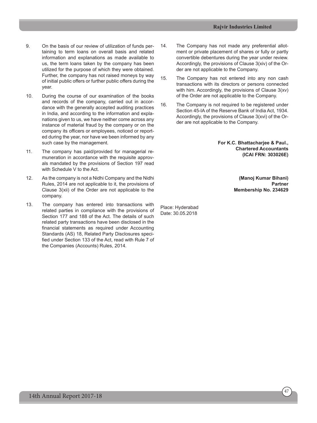- 9. On the basis of our review of utilization of funds pertaining to term loans on overall basis and related information and explanations as made available to us, the term loans taken by the company has been utilized for the purpose of which they were obtained. Further, the company has not raised moneys by way of initial public offers or further public offers during the year.
- 10. During the course of our examination of the books and records of the company, carried out in accordance with the generally accepted auditing practices in India, and according to the information and explanations given to us, we have neither come across any instance of material fraud by the company or on the company its officers or employees, noticed or reported during the year, nor have we been informed by any such case by the management.
- 11. The company has paid/provided for managerial remuneration in accordance with the requisite approvals mandated by the provisions of Section 197 read with Schedule V to the Act.
- 12. As the company is not a Nidhi Company and the Nidhi Rules, 2014 are not applicable to it, the provisions of Clause 3(xii) of the Order are not applicable to the company.
- 13. The company has entered into transactions with related parties in compliance with the provisions of Section 177 and 188 of the Act. The details of such related party transactions have been disclosed in the financial statements as required under Accounting Standards (AS) 18, Related Party Disclosures specified under Section 133 of the Act, read with Rule 7 of the Companies (Accounts) Rules, 2014.
- 14. The Company has not made any preferential allotment or private placement of shares or fully or partly convertible debentures during the year under review. Accordingly, the provisions of Clause 3(xiv) of the Order are not applicable to the Company.
- 15. The Company has not entered into any non cash transactions with its directors or persons connected with him. Accordingly, the provisions of Clause 3(xv) of the Order are not applicable to the Company.
- 16. The Company is not required to be registered under Section 45-IA of the Reserve Bank of India Act, 1934. Accordingly, the provisions of Clause 3(xvi) of the Order are not applicable to the Company.

**For K.C. Bhattacharjee & Paul., Chartered Accountants (ICAI FRN: 303026E)**

> **(Manoj Kumar Bihani) Partner Membership No. 234629**

Place: Hyderabad Date: 30.05.2018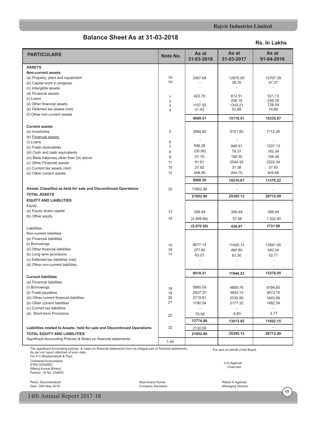#### **Balance Sheet As at 31-03-2018**

**Rs. In Lakhs**

| <b>PARTICULARS</b>                                                      | Note No.                     | As at<br>31-03-2018      | As at<br>31-03-2017      | As at<br>01-04-2016      |
|-------------------------------------------------------------------------|------------------------------|--------------------------|--------------------------|--------------------------|
| <b>ASSETS</b>                                                           |                              |                          |                          |                          |
| <b>Non-current assets</b>                                               |                              |                          |                          |                          |
| (a) Property, plant and equipment                                       | 1A                           | 3367.68                  | 12875.00                 | 13707.39                 |
| (b) Capital work in progress                                            | 1A                           |                          | 38.76                    | 47.37                    |
| (c) Intangible assets                                                   |                              | $\overline{\phantom{a}}$ | $\overline{\phantom{a}}$ | $\overline{\phantom{a}}$ |
| (d) Financial assets:                                                   |                              | 422.79                   | 612.51                   | 521.73                   |
| (i) Loans                                                               | 1<br>$\overline{\mathbf{c}}$ | $\overline{\phantom{a}}$ | 256.16                   | 256.16                   |
| (ii) Other financial assets                                             | 3                            | 1157.52                  | 1343.21                  | 728.54                   |
| (e) Deferred tax assest (net)                                           | $\overline{4}$               | 51.53                    | 52.88                    | 74.68                    |
| (f) Other non-current assets                                            |                              | 4999.51                  | 15178.51                 | 15335.87                 |
| <b>Current assets</b>                                                   |                              |                          |                          |                          |
| (a) Invertories                                                         | 5                            | 3888.80                  | 6101.60                  | 7112.26                  |
| (b) Financial assets:                                                   |                              |                          |                          |                          |
| (i) Loans                                                               | 6                            |                          |                          |                          |
| (ii) Trade receivables                                                  | $\overline{7}$               | 506.28                   | 946.91                   | 1207.13                  |
| (iii) Cash and cash equivalents                                         | 8                            | (30.06)                  | 79.37                    | 182.34                   |
| (iv) Bank balances other than (iii) above                               | 9                            | 57.79                    | 108.35                   | 109.36                   |
| (v) Other Financial assets                                              | 11                           | 91.61                    | 2544.30                  | 2322.34                  |
| (c) Current tax assets (net)                                            | 10                           | 27.82                    | 31.38                    | 37.93                    |
| (d) Other current assets                                                | 12                           | 458.06                   | 404.70                   | 404.86                   |
|                                                                         |                              | 5000.30                  | 10216.61                 | 11376.22                 |
| Assets Classified as held for sale and Discontinued Operations          | 32                           | 11852.99                 | $\overline{a}$           | L,                       |
| <b>TOTAL ASSETS</b>                                                     |                              | 21852.80                 | 25395.12                 | 26712.09                 |
| <b>EQUITY AND LIABILITIES</b><br>Equity                                 |                              |                          |                          |                          |
| (a) Equity share capital                                                | 13                           | 399.49                   | 399.49                   | 399.49                   |
| (b) Other equity                                                        | 14                           | (2,469.89)               | 37.48                    | 1,332.40                 |
| Liabilities                                                             |                              | (2,070.40)               | 436.97                   | 1731.89                  |
| Non-current liabilities                                                 |                              |                          |                          |                          |
| (a) Financial liabilities                                               |                              |                          |                          |                          |
| (i) Borrowings                                                          |                              | 8677.14                  | 11420.13                 | 12841.00                 |
| (ii) Other financial liabilities                                        | 15<br>16                     | 277.85                   | 460.80                   | 483.34                   |
| (b) Long term provisions                                                | 17                           | 63.23                    | 63.30                    | 53.71                    |
| (c) Deferred tax liabilities (net)                                      |                              |                          |                          | ÷.                       |
| (d) Other non-current liabilities                                       |                              | $\overline{\phantom{a}}$ |                          |                          |
| <b>Current liabilities</b>                                              |                              | 9018.21                  | 11944.23                 | 13378.05                 |
| (a) Financial liabilities                                               |                              |                          |                          |                          |
| (i) Borrowings                                                          |                              | 5860.59                  | 4869.76                  | 4794.65                  |
| (ii) Trade payables                                                     | 18<br>19                     | 2927.37                  | 3924.12                  | 3673.15                  |
| (iii) Other current financial liabilities                               | 20                           | 2719.81                  | 2035.90                  | 1645.99                  |
| (b) Other current liabilities                                           | 21                           | 1190.54                  | 2177.32                  | 1482.59                  |
| (c) Current tax liabilities                                             |                              | $\blacksquare$           | $\overline{\phantom{a}}$ | $\overline{\phantom{a}}$ |
| (d) Short-term Provisions                                               | 22                           | 76.58                    | 6.83                     | 5.77                     |
|                                                                         |                              | 12774.90                 | 13013.92                 | 11602.15                 |
| Liabilities related to Assets held for sale and Discontinued Operations | 32                           | 2130.09                  |                          |                          |
| <b>TOTAL EQUITY AND LIABILITIES</b>                                     |                              | 21852.80                 | 25395.12                 | 26712.09                 |
| Significant Accounting Policies & Notes on financial statements         | $1 - 40$                     |                          |                          |                          |

The significant Accounting policies & notes on financial statements form an integral part of financial statements<br>As per our report attached of even date<br>For K.C.Bhattacharjee & Paul.,

Chartered Accountants (FRN 303026E) (Manoj Kumar Bihani) Partner - M.No. 234629 For and on behalf of the Board

U.K.Agarwal Chairman

Place: Secunderabad Date :30th May 2018

14th Annual Report 2017-18

Attal Anand Kumar Company Secretary Ritesh K Agarwal Managing Director

 $\left( 48\right)$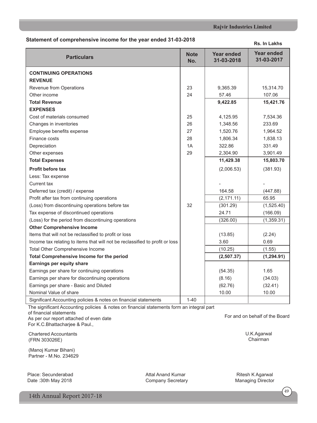14th Annual Report 2017-18

|  | <b>Rajvir Industries Limited</b> |  |
|--|----------------------------------|--|
|  |                                  |  |

**Rs. In Lakhs**

#### **Statement of comprehensive income for the year ended 31-03-2018**

| <b>Particulars</b>                                                           | <b>Note</b><br>No. | <b>Year ended</b><br>31-03-2018 | <b>Year ended</b><br>31-03-2017 |
|------------------------------------------------------------------------------|--------------------|---------------------------------|---------------------------------|
| <b>CONTINUING OPERATIONS</b>                                                 |                    |                                 |                                 |
| <b>REVENUE</b>                                                               |                    |                                 |                                 |
| Revenue from Operations                                                      | 23                 | 9,365.39                        | 15,314.70                       |
| Other income                                                                 | 24                 | 57.46                           | 107.06                          |
| <b>Total Revenue</b>                                                         |                    | 9,422.85                        | 15,421.76                       |
| <b>EXPENSES</b>                                                              |                    |                                 |                                 |
| Cost of materials consumed                                                   | 25                 | 4,125.95                        | 7,534.36                        |
| Changes in inventories                                                       | 26                 | 1,348.56                        | 233.69                          |
| Employee benefits expense                                                    | 27                 | 1,520.76                        | 1,964.52                        |
| Finance costs                                                                | 28                 | 1,806.34                        | 1,838.13                        |
| Depreciation                                                                 | 1A                 | 322.86                          | 331.49                          |
| Other expenses                                                               | 29                 | 2,304.90                        | 3,901.49                        |
| <b>Total Expenses</b>                                                        |                    | 11,429.38                       | 15,803.70                       |
| Profit before tax                                                            |                    | (2,006.53)                      | (381.93)                        |
| Less: Tax expense                                                            |                    |                                 |                                 |
| Current tax                                                                  |                    |                                 |                                 |
| Deferred tax (credit) / expense                                              |                    | 164.58                          | (447.88)                        |
| Profit after tax from continuing operations                                  |                    | (2, 171.11)                     | 65.95                           |
| (Loss) from discontinuing operations before tax                              | 32                 | (301.29)                        | (1,525.40)                      |
| Tax expense of discontinued operations                                       |                    | 24.71                           | (166.09)                        |
| (Loss) for the period from discontinuing operations                          |                    | (326.00)                        | (1,359.31)                      |
| <b>Other Comprehensive Income</b>                                            |                    |                                 |                                 |
| Items that will not be reclassified to profit or loss                        |                    | (13.85)                         | (2.24)                          |
| Income tax relating to items that will not be reclassified to profit or loss |                    | 3.60                            | 0.69                            |
| Total Other Comprehensive Income                                             |                    | (10.25)                         | (1.55)                          |
| <b>Total Comprehensive Income for the period</b>                             |                    | (2,507.37)                      | (1, 294.91)                     |
| <b>Earnings per equity share</b>                                             |                    |                                 |                                 |
| Earnings per share for continuing operations                                 |                    | (54.35)                         | 1.65                            |
| Earnings per share for discontinuing operations                              |                    | (8.16)                          | (34.03)                         |
| Earnings per share - Basic and Diluted                                       |                    | (62.76)                         | (32.41)                         |
| Nominal Value of share                                                       |                    | 10.00                           | 10.00                           |
| Significant Accounting policies & notes on financial statements              | $1 - 40$           |                                 |                                 |

The significant Accounting policies & notes on financial statements form an integral part

As per our report attached of even date For K.C.Bhattacharjee & Paul.,

Chartered Accountants (FRN 303026E)

(Manoj Kumar Bihani) Partner - M.No. 234629

Place: Secunderabad Date :30th May 2018

For and on behalf of the Board

U.K.Agarwal Chairman

Ritesh K Agarwal Managing Director

of financial statements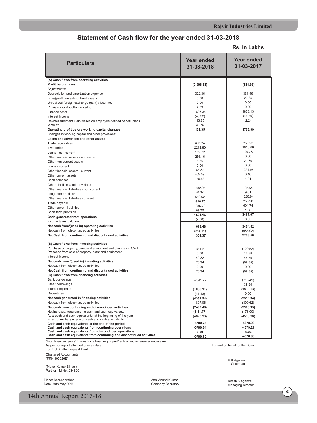# **Statement of Cash flow for the year ended 31-03-2018**

**Rs. In Lakhs**

| <b>Particulars</b>                                                                                                                                          | Year ended<br>31-03-2018 | <b>Year ended</b><br>31-03-2017 |  |
|-------------------------------------------------------------------------------------------------------------------------------------------------------------|--------------------------|---------------------------------|--|
| (A) Cash flows from operating activities                                                                                                                    |                          |                                 |  |
| Profit before taxes                                                                                                                                         | (2,006.53)               | (381.93)                        |  |
| Adjustments:                                                                                                                                                |                          |                                 |  |
| Depreciation and amortization expense                                                                                                                       | 322.86                   | 331.49                          |  |
| Loss/(profit) on sale of fixed assets                                                                                                                       | 0.00                     | 29.65                           |  |
| Unrealized foreign exchange (gain) / loss, net                                                                                                              | 0.00                     | 0.00                            |  |
| Provision for doubtful debts/ECL                                                                                                                            | 4.39                     | 0.00                            |  |
| Finance costs                                                                                                                                               | 1806.34                  | 1838.13                         |  |
| Interest income                                                                                                                                             | (40.32)                  | (45.59)                         |  |
| Re-measurement Gain/losses on employee defined benefit plans<br>Write off                                                                                   | 13.85<br>38.76           | 2.24                            |  |
| Operating profit before working capital changes                                                                                                             | 139.35                   | 1773.99                         |  |
| Changes in working capital and other provisions:                                                                                                            |                          |                                 |  |
| Loans and advances and other assets                                                                                                                         |                          |                                 |  |
| Trade receivables                                                                                                                                           | 436.24                   | 260.22                          |  |
| Inventories                                                                                                                                                 | 2212.80                  | 1010.66                         |  |
| Loans - non current                                                                                                                                         | 189.72                   | $-90.78$                        |  |
| Other financial assets - non current                                                                                                                        | 256.16                   | 0.00                            |  |
| Other non-current assets                                                                                                                                    | 1.35                     | 21.80                           |  |
| Loans - current                                                                                                                                             | 0.00                     | 0.00                            |  |
| Other financial assets - current                                                                                                                            | 85.87                    | $-221.96$                       |  |
| Other current assets                                                                                                                                        | $-65.59$                 | 0.16                            |  |
| <b>Bank balances</b>                                                                                                                                        | $-50.56$                 | 1.01                            |  |
| Other Liabilities and provisions                                                                                                                            |                          |                                 |  |
| Other financial liabilities - non current                                                                                                                   | $-182.95$                | $-22.54$                        |  |
| Long term provision                                                                                                                                         | $-0.07$                  | 9.61                            |  |
| Other financial liabilities - current                                                                                                                       | 512.62                   | $-220.94$                       |  |
| Trade payable                                                                                                                                               | $-996.75$<br>$-986.78$   | 250.96<br>694.74                |  |
| Other current liabilities                                                                                                                                   | 69.75                    | 1.06                            |  |
| Short term provision                                                                                                                                        | 1621.16                  | 3467.97                         |  |
| Cash generated from operations                                                                                                                              | (2.68)                   | 6.55                            |  |
| Income taxes paid, net                                                                                                                                      |                          |                                 |  |
| Net cash from/(used in) operating activities                                                                                                                | 1618.48                  | 3474.52                         |  |
| Net cash from discontinued activities                                                                                                                       | (314.11)                 | (685.02)                        |  |
| Net Cash from continuing and discontinued activities                                                                                                        | 1304.37                  | 2789.50                         |  |
| (B) Cash flows from investing activities                                                                                                                    |                          |                                 |  |
| Purchase of property, plant and equipment and changes in CWIP<br>Proceeds from sale of property, plant and equipment                                        | 36.02                    | (120.52)                        |  |
| Interest income                                                                                                                                             | 0.00                     | 16.38                           |  |
| Net cash from /(used in) investing activities                                                                                                               | 40.32                    | 45.59                           |  |
| Net cash from discontinued activities                                                                                                                       | 76.34                    | (58.55)<br>0.00                 |  |
| Net Cash from continuing and discontinued activities                                                                                                        | 0.00<br>76.34            | (58.55)                         |  |
| (C) Cash flows from financing activities                                                                                                                    |                          |                                 |  |
| <b>Bank borrowings</b>                                                                                                                                      | $-2541.77$               | (718.49)                        |  |
| Other borrowings                                                                                                                                            |                          | 38.29                           |  |
| Interest expense                                                                                                                                            | (1806.34)                | (1838.13)                       |  |
| Debentures                                                                                                                                                  | (41.43)                  | 0.00                            |  |
| Net cash generated in financing activities                                                                                                                  | (4389.54)                | (2518.34)                       |  |
| Net cash from discontinued activities                                                                                                                       | 1897.06                  | (390.62)                        |  |
| Net cash from continuing and discontinued activities                                                                                                        | (2492.48)                | (2908.95)                       |  |
| Net increase/ (decrease) in cash and cash equivalents                                                                                                       | (1111.77)                | (178.00)                        |  |
| Add: cash and cash equivalents at the beginning of the year<br>Effect of exchange gain on cash and cash equivalents                                         | (4678.98)                | (4500.98)                       |  |
| Cash and cash equivalents at the end of the period                                                                                                          | $-5790.75$               | -4678.98                        |  |
| Cash and cash equivalents from continuing operations                                                                                                        | -5790.84                 | -4679.21                        |  |
| Cash and cash equivalents from discontinued operations                                                                                                      | 0.09                     | 0.23                            |  |
| Cash and cash equivalents from continuing and discontinued activities<br>Note: Province vegre' figures have been regrouped/reclassified whereever necessary | -5790.75                 | -4678.98                        |  |

een regrouped/reclassified whereever necessary. As per our report attached of even date For and on behalf of the Board For K.C.Bhattacharjee & Paul.,

Chartered Accountants (FRN 303026E)

(Manoj Kumar Bihani) Partner - M.No. 234629

Place: Secunderabad Date :30th May 2018

Attal Anand Kumar **Company Secretary** 

U.K.Agarwal Chairman

14th Annual Report 2017-18

Ritesh K Agarwal<br>Managing Director

 $\left(50\right)$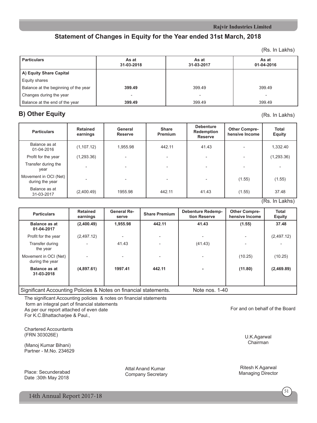#### Rajvir Industries Limited

## **Statement of Changes in Equity for the Year ended 31st March, 2018**

(Rs. In Lakhs)

| <b>Particulars</b>                   | As at<br>31-03-2018 | As at<br>31-03-2017      | As at<br>01-04-2016 |
|--------------------------------------|---------------------|--------------------------|---------------------|
| A) Equity Share Capital              |                     |                          |                     |
| Equity shares                        |                     |                          |                     |
| Balance at the beginning of the year | 399.49              | 399.49                   | 399.49              |
| Changes during the year              |                     | $\overline{\phantom{a}}$ |                     |
| Balance at the end of the year       | 399.49              | 399.49                   | 399.49              |

## **B) Other Equity**

(Rs. In Lakhs)

| <b>Particulars</b>                       | <b>Retained</b><br>earnings | General<br><b>Reserve</b> | <b>Share</b><br><b>Premium</b> | <b>Debenture</b><br>Redemption<br><b>Reserve</b> | <b>Other Compre-</b><br>hensive Income | <b>Total</b><br><b>Equity</b> |
|------------------------------------------|-----------------------------|---------------------------|--------------------------------|--------------------------------------------------|----------------------------------------|-------------------------------|
| Balance as at<br>01-04-2016              | (1, 107.12)                 | 1.955.98                  | 442.11                         | 41.43                                            |                                        | 1,332.40                      |
| Profit for the year                      | (1,293.36)                  |                           | $\overline{\phantom{0}}$       | ٠                                                | $\overline{\phantom{0}}$               | (1,293.36)                    |
| Transfer during the<br>year              | $\overline{\phantom{0}}$    | $\overline{\phantom{0}}$  | $\overline{\phantom{0}}$       | $\overline{\phantom{0}}$                         | $\overline{\phantom{0}}$               |                               |
| Movement in OCI (Net)<br>during the year |                             | $\overline{\phantom{0}}$  |                                | ٠                                                | (1.55)                                 | (1.55)                        |
| Balance as at<br>31-03-2017              | (2,400.49)                  | 1955.98                   | 442.11                         | 41.43                                            | (1.55)                                 | 37.48                         |
|                                          |                             |                           |                                |                                                  |                                        | (Rs. In Lakhs)                |

| <b>Particulars</b>                       | <b>Retained</b><br>earnings | <b>General Re-</b><br>serve | <b>Share Premium</b>     | <b>Debenture Redemp-</b><br>tion Reserve | <b>Other Compre-</b><br>hensive Income | <b>Total</b><br><b>Equity</b> |
|------------------------------------------|-----------------------------|-----------------------------|--------------------------|------------------------------------------|----------------------------------------|-------------------------------|
| <b>Balance as at</b><br>01-04-2017       | (2,400.49)                  | 1,955.98                    | 442.11                   | 41.43                                    | (1.55)                                 | 37.48                         |
| Profit for the year                      | (2,497.12)                  |                             | $\overline{\phantom{0}}$ | $\overline{\phantom{0}}$                 |                                        | (2,497.12)                    |
| Transfer during<br>the year              | $\overline{\phantom{a}}$    | 41.43                       |                          | (41.43)                                  |                                        |                               |
| Movement in OCI (Net)<br>during the year | $\overline{\phantom{a}}$    |                             |                          |                                          | (10.25)                                | (10.25)                       |
| <b>Balance as at</b><br>31-03-2018       | (4,897.61)                  | 1997.41                     | 442.11                   | ٠                                        | (11.80)                                | (2,469.89)                    |

Significant Accounting Policies & Notes on financial statements. Note nos. 1-40

The significant Accounting policies & notes on financial statements form an integral part of financial statements As per our report attached of even date For K.C.Bhattacharjee & Paul.,

Chartered Accountants (FRN 303026E)

(Manoj Kumar Bihani) Partner - M.No. 234629

Place: Secunderabad Date :30th May 2018

Attal Anand Kumar Company Secretary For and on behalf of the Board

U.K.Agarwal Chairman

Ritesh K Agarwal Managing Director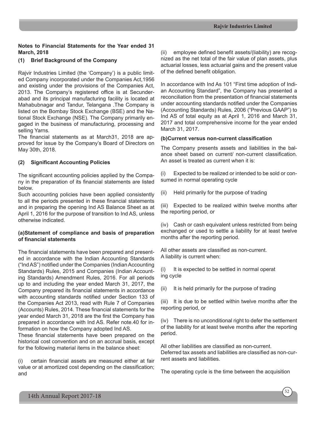#### **(1) Brief Background of the Company**

Rajvir Industries Limited (the 'Company') is a public limited Company incorporated under the Companies Act,1956 and existing under the provisions of the Companies Act, 2013. The Company's registered office is at Secunderabad and its principal manufacturing facility is located at Mahabubnagar and Tandur, Telangana .The Company is listed on the Bombay Stock Exchange (BSE) and the National Stock Exchange (NSE). The Company primarily engaged in the business of manufacturing, processing and selling Yarns.

The financial statements as at March31, 2018 are approved for issue by the Company's Board of Directors on May 30th, 2018.

#### **(2) Significant Accounting Policies**

The significant accounting policies applied by the Company in the preparation of its financial statements are listed below.

Such accounting policies have been applied consistently to all the periods presented in these financial statements and in preparing the opening Ind AS Balance Sheet as at April 1, 2016 for the purpose of transition to Ind AS, unless otherwise indicated.

#### **(a)Statement of compliance and basis of preparation of financial statements**

The financial statements have been prepared and presented in accordance with the Indian Accounting Standards ("Ind AS") notified under the Companies (Indian Accounting Standards) Rules, 2015 and Companies (Indian Accounting Standards) Amendment Rules, 2016. For all periods up to and including the year ended March 31, 2017, the Company prepared its financial statements in accordance with accounting standards notified under Section 133 of the Companies Act 2013, read with Rule 7 of Companies (Accounts) Rules, 2014. These financial statements for the year ended March 31, 2018 are the first the Company has prepared in accordance with Ind AS. Refer note.40 for information on how the Company adopted Ind AS.

These financial statements have been prepared on the historical cost convention and on an accrual basis, except for the following material items in the balance sheet:

(i) certain financial assets are measured either at fair value or at amortized cost depending on the classification; and

(ii) employee defined benefit assets/(liability) are recognized as the net total of the fair value of plan assets, plus actuarial losses, less actuarial gains and the present value of the defined benefit obligation.

In accordance with Ind As 101 "First time adoption of Indian Accounting Standard", the Company has presented a reconciliation from the presentation of financial statements under accounting standards notified under the Companies (Accounting Standards) Rules, 2006 ("Previous GAAP") to Ind AS of total equity as at April 1, 2016 and March 31, 2017 and total comprehensive income for the year ended March 31, 2017.

#### **(b)Current versus non-current classification**

The Company presents assets and liabilities in the balance sheet based on current/ non-current classification. An asset is treated as current when it is:

(i) Expected to be realized or intended to be sold or consumed in normal operating cycle

(ii) Held primarily for the purpose of trading

(iii) Expected to be realized within twelve months after the reporting period, or

(iv) Cash or cash equivalent unless restricted from being exchanged or used to settle a liability for at least twelve months after the reporting period.

All other assets are classified as non-current. A liability is current when:

(i) It is expected to be settled in normal operat ing cycle

(ii) It is held primarily for the purpose of trading

(iii) It is due to be settled within twelve months after the reporting period, or

(iv) There is no unconditional right to defer the settlement of the liability for at least twelve months after the reporting period.

All other liabilities are classified as non-current. Deferred tax assets and liabilities are classified as non-current assets and liabilities.

The operating cycle is the time between the acquisition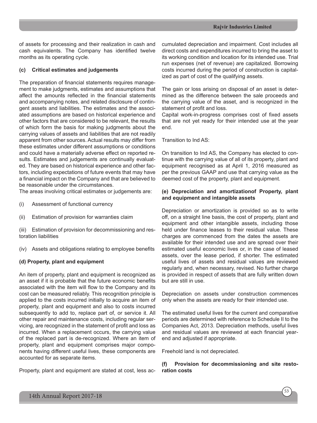of assets for processing and their realization in cash and cash equivalents. The Company has identified twelve months as its operating cycle.

#### **(c) Critical estimates and judgements**

The preparation of financial statements requires management to make judgments, estimates and assumptions that affect the amounts reflected in the financial statements and accompanying notes, and related disclosure of contingent assets and liabilities. The estimates and the associated assumptions are based on historical experience and other factors that are considered to be relevant, the results of which form the basis for making judgments about the carrying values of assets and liabilities that are not readily apparent from other sources. Actual results may differ from these estimates under different assumptions or conditions and could have a materially adverse effect on reported results. Estimates and judgements are continually evaluated. They are based on historical experience and other factors, including expectations of future events that may have a financial impact on the Company and that are believed to be reasonable under the circumstances.

The areas involving critical estimates or judgements are:

- (i) Assessment of functional currency
- (ii) Estimation of provision for warranties claim

(iii) Estimation of provision for decommissioning and restoration liabilities

(iv) Assets and obligations relating to employee benefits

#### **(d) Property, plant and equipment**

An item of property, plant and equipment is recognized as an asset if it is probable that the future economic benefits associated with the item will flow to the Company and its cost can be measured reliably. This recognition principle is applied to the costs incurred initially to acquire an item of property, plant and equipment and also to costs incurred subsequently to add to, replace part of, or service it. All other repair and maintenance costs, including regular servicing, are recognized in the statement of profit and loss as incurred. When a replacement occurs, the carrying value of the replaced part is de-recognized. Where an item of property, plant and equipment comprises major components having different useful lives, these components are accounted for as separate items.

Property, plant and equipment are stated at cost, less ac-

cumulated depreciation and impairment. Cost includes all direct costs and expenditures incurred to bring the asset to its working condition and location for its intended use. Trial run expenses (net of revenue) are capitalized. Borrowing costs incurred during the period of construction is capitalized as part of cost of the qualifying assets.

The gain or loss arising on disposal of an asset is determined as the difference between the sale proceeds and the carrying value of the asset, and is recognized in the statement of profit and loss.

Capital work-in-progress comprises cost of fixed assets that are not yet ready for their intended use at the year end.

Transition to Ind AS:

On transition to Ind AS, the Company has elected to continue with the carrying value of all of its property, plant and equipment recognised as at April 1, 2016 measured as per the previous GAAP and use that carrying value as the deemed cost of the property, plant and equipment.

#### **(e) Depreciation and amortizationof Property, plant and equipment and intangible assets**

Depreciation or amortization is provided so as to write off, on a straight line basis, the cost of property, plant and equipment and other intangible assets, including those held under finance leases to their residual value. These charges are commenced from the dates the assets are available for their intended use and are spread over their estimated useful economic lives or, in the case of leased assets, over the lease period, if shorter. The estimated useful lives of assets and residual values are reviewed regularly and, when necessary, revised. No further charge is provided in respect of assets that are fully written down but are still in use.

Depreciation on assets under construction commences only when the assets are ready for their intended use.

The estimated useful lives for the current and comparative periods are determined with reference to Schedule II to the Companies Act, 2013. Depreciation methods, useful lives and residual values are reviewed at each financial yearend and adjusted if appropriate.

Freehold land is not depreciated.

#### **(f) Provision for decommissioning and site restoration costs**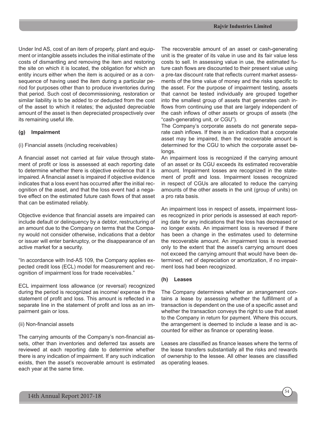Under Ind AS, cost of an item of property, plant and equipment or intangible assets includes the initial estimate of the costs of dismantling and removing the item and restoring the site on which it is located, the obligation for which an entity incurs either when the item is acquired or as a consequence of having used the item during a particular period for purposes other than to produce inventories during that period. Such cost of decommissioning, restoration or similar liability is to be added to or deducted from the cost of the asset to which it relates; the adjusted depreciable amount of the asset is then depreciated prospectively over its remaining useful life.

#### **(g) Impairment**

(i) Financial assets (including receivables)

A financial asset not carried at fair value through statement of profit or loss is assessed at each reporting date to determine whether there is objective evidence that it is impaired. A financial asset is impaired if objective evidence indicates that a loss event has occurred after the initial recognition of the asset, and that the loss event had a negative effect on the estimated future cash flows of that asset that can be estimated reliably.

Objective evidence that financial assets are impaired can include default or delinquency by a debtor, restructuring of an amount due to the Company on terms that the Company would not consider otherwise, indications that a debtor or issuer will enter bankruptcy, or the disappearance of an active market for a security.

"In accordance with Ind-AS 109, the Company applies expected credit loss (ECL) model for measurement and recognition of impairment loss for trade receivables."

ECL impairment loss allowance (or reversal) recognized during the period is recognized as income/ expense in the statement of profit and loss. This amount is reflected in a separate line in the statement of profit and loss as an impairment gain or loss.

#### (ii) Non-financial assets

The carrying amounts of the Company's non-financial assets, other than inventories and deferred tax assets are reviewed at each reporting date to determine whether there is any indication of impairment. If any such indication exists, then the asset's recoverable amount is estimated each year at the same time.

The recoverable amount of an asset or cash-generating unit is the greater of its value in use and its fair value less costs to sell. In assessing value in use, the estimated future cash flows are discounted to their present value using a pre-tax discount rate that reflects current market assessments of the time value of money and the risks specific to the asset. For the purpose of impairment testing, assets that cannot be tested individually are grouped together into the smallest group of assets that generates cash inflows from continuing use that are largely independent of the cash inflows of other assets or groups of assets (the "cash-generating unit, or CGU").

The Company's corporate assets do not generate separate cash inflows. If there is an indication that a corporate asset may be impaired, then the recoverable amount is determined for the CGU to which the corporate asset belongs.

An impairment loss is recognized if the carrying amount of an asset or its CGU exceeds its estimated recoverable amount. Impairment losses are recognized in the statement of profit and loss. Impairment losses recognized in respect of CGUs are allocated to reduce the carrying amounts of the other assets in the unit (group of units) on a pro rata basis.

An impairment loss in respect of assets, impairment losses recognized in prior periods is assessed at each reporting date for any indications that the loss has decreased or no longer exists. An impairment loss is reversed if there has been a change in the estimates used to determine the recoverable amount. An impairment loss is reversed only to the extent that the asset's carrying amount does not exceed the carrying amount that would have been determined, net of depreciation or amortization, if no impairment loss had been recognized.

#### **(h) Leases**

The Company determines whether an arrangement contains a lease by assessing whether the fulfillment of a transaction is dependent on the use of a specific asset and whether the transaction conveys the right to use that asset to the Company in return for payment. Where this occurs, the arrangement is deemed to include a lease and is accounted for either as finance or operating lease.

Leases are classified as finance leases where the terms of the lease transfers substantially all the risks and rewards of ownership to the lessee. All other leases are classified as operating leases.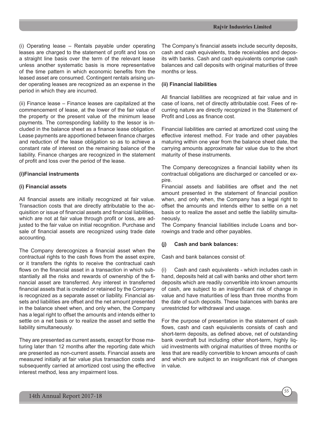(i) Operating lease – Rentals payable under operating leases are charged to the statement of profit and loss on a straight line basis over the term of the relevant lease unless another systematic basis is more representative of the time pattern in which economic benefits from the leased asset are consumed. Contingent rentals arising under operating leases are recognized as an expense in the period in which they are incurred.

(ii) Finance lease – Finance leases are capitalized at the commencement of lease, at the lower of the fair value of the property or the present value of the minimum lease payments. The corresponding liability to the lessor is included in the balance sheet as a finance lease obligation. Lease payments are apportioned between finance charges and reduction of the lease obligation so as to achieve a constant rate of interest on the remaining balance of the liability. Finance charges are recognized in the statement of profit and loss over the period of the lease.

#### **(i)Financial instruments**

#### **(i) Financial assets**

All financial assets are initially recognized at fair value. Transaction costs that are directly attributable to the acquisition or issue of financial assets and financial liabilities, which are not at fair value through profit or loss, are adjusted to the fair value on initial recognition. Purchase and sale of financial assets are recognized using trade date accounting.

The Company derecognizes a financial asset when the contractual rights to the cash flows from the asset expire, or it transfers the rights to receive the contractual cash flows on the financial asset in a transaction in which substantially all the risks and rewards of ownership of the financial asset are transferred. Any interest in transferred financial assets that is created or retained by the Company is recognized as a separate asset or liability. Financial assets and liabilities are offset and the net amount presented in the balance sheet when, and only when, the Company has a legal right to offset the amounts and intends either to settle on a net basis or to realize the asset and settle the liability simultaneously.

They are presented as current assets, except for those maturing later than 12 months after the reporting date which are presented as non-current assets. Financial assets are measured initially at fair value plus transaction costs and subsequently carried at amortized cost using the effective interest method, less any impairment loss.

The Company's financial assets include security deposits, cash and cash equivalents, trade receivables and deposits with banks. Cash and cash equivalents comprise cash balances and call deposits with original maturities of three months or less.

#### **(ii) Financial liabilities**

All financial liabilities are recognized at fair value and in case of loans, net of directly attributable cost. Fees of recurring nature are directly recognized in the Statement of Profit and Loss as finance cost.

Financial liabilities are carried at amortized cost using the effective interest method. For trade and other payables maturing within one year from the balance sheet date, the carrying amounts approximate fair value due to the short maturity of these instruments.

The Company derecognizes a financial liability when its contractual obligations are discharged or cancelled or expire.

Financial assets and liabilities are offset and the net amount presented in the statement of financial position when, and only when, the Company has a legal right to offset the amounts and intends either to settle on a net basis or to realize the asset and settle the liability simultaneously.

The Company financial liabilities include Loans and borrowings and trade and other payables.

#### **(j) Cash and bank balances:**

Cash and bank balances consist of:

(i) Cash and cash equivalents - which includes cash in hand, deposits held at call with banks and other short term deposits which are readily convertible into known amounts of cash, are subject to an insignificant risk of change in value and have maturities of less than three months from the date of such deposits. These balances with banks are unrestricted for withdrawal and usage.

For the purpose of presentation in the statement of cash flows, cash and cash equivalents consists of cash and short-term deposits, as defined above, net of outstanding bank overdraft but including other short-term, highly liquid investments with original maturities of three months or less that are readily convertible to known amounts of cash and which are subject to an insignificant risk of changes in value.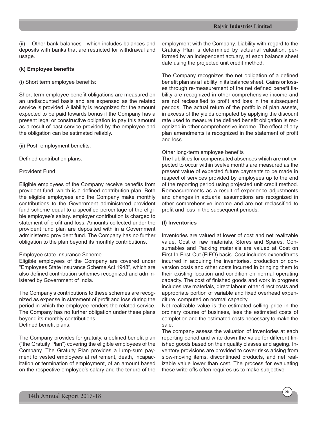(ii) Other bank balances - which includes balances and deposits with banks that are restricted for withdrawal and usage.

#### **(k) Employee benefits**

(i) Short term employee benefits:

Short-term employee benefit obligations are measured on an undiscounted basis and are expensed as the related service is provided. A liability is recognized for the amount expected to be paid towards bonus if the Company has a present legal or constructive obligation to pay this amount as a result of past service provided by the employee and the obligation can be estimated reliably.

(ii) Post -employment benefits:

Defined contribution plans:

#### Provident Fund

Eligible employees of the Company receive benefits from provident fund, which is a defined contribution plan. Both the eligible employees and the Company make monthly contributions to the Government administered provident fund scheme equal to a specified percentage of the eligible employee's salary. employer contribution is charged to statement of profit and loss. Amounts collected under the provident fund plan are deposited with in a Government administered provident fund. The Company has no further obligation to the plan beyond its monthly contributions.

#### Employee state Insurance Scheme

Eligible employees of the Company are covered under "Employees State Insurance Scheme Act 1948", which are also defined contribution schemes recognized and administered by Government of India.

The Company's contributions to these schemes are recognized as expense in statement of profit and loss during the period in which the employee renders the related service. The Company has no further obligation under these plans beyond its monthly contributions. Defined benefit plans:

The Company provides for gratuity, a defined benefit plan ("the Gratuity Plan") covering the eligible employees of the Company. The Gratuity Plan provides a lump-sum payment to vested employees at retirement, death, incapacitation or termination of employment, of an amount based on the respective employee's salary and the tenure of the

employment with the Company. Liability with regard to the Gratuity Plan is determined by actuarial valuation, performed by an independent actuary, at each balance sheet date using the projected unit credit method.

The Company recognizes the net obligation of a defined benefit plan as a liability in its balance sheet. Gains or losses through re-measurement of the net defined benefit liability are recognized in other comprehensive income and are not reclassified to profit and loss in the subsequent periods. The actual return of the portfolio of plan assets, in excess of the yields computed by applying the discount rate used to measure the defined benefit obligation is recognized in other comprehensive income. The effect of any plan amendments is recognized in the statement of profit and loss.

#### Other long-term employee benefits

The liabilities for compensated absences which are not expected to occur within twelve months are measured as the present value of expected future payments to be made in respect of services provided by employees up to the end of the reporting period using projected unit credit method. Remeasurements as a result of experience adjustments and changes in actuarial assumptions are recognized in other comprehensive income and are not reclassified to profit and loss in the subsequent periods.

#### **(l) Inventories**

Inventories are valued at lower of cost and net realizable value. Cost of raw materials, Stores and Spares, Consumables and Packing materials are valued at Cost on First-In-First-Out (FIFO) basis. Cost includes expenditures incurred in acquiring the inventories, production or conversion costs and other costs incurred in bringing them to their existing location and condition on normal operating capacity. The cost of finished goods and work in progress includes raw materials, direct labour, other direct costs and appropriate portion of variable and fixed overhead expenditure, computed on normal capacity.

Net realizable value is the estimated selling price in the ordinary course of business, less the estimated costs of completion and the estimated costs necessary to make the sale.

The company assess the valuation of Inventories at each reporting period and write down the value for different finished goods based on their quality classes and ageing. Inventory provisions are provided to cover risks arising from slow-moving items, discontinued products, and net realizable value lower than cost. The process for evaluating these write-offs often requires us to make subjective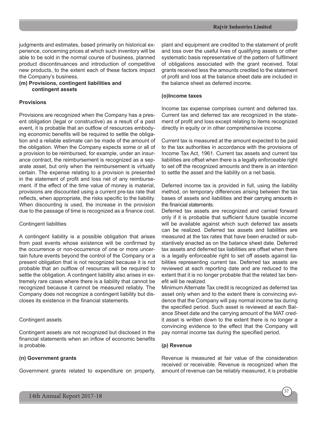judgments and estimates, based primarily on historical experience, concerning prices at which such inventory will be able to be sold in the normal course of business, planned product discontinuances and introduction of competitive new products, to the extent each of these factors impact the Company's business.

#### **(m) Provisions, contingent liabilities and contingent assets**

#### **Provisions**

Provisions are recognized when the Company has a present obligation (legal or constructive) as a result of a past event, it is probable that an outflow of resources embodying economic benefits will be required to settle the obligation and a reliable estimate can be made of the amount of the obligation. When the Company expects some or all of a provision to be reimbursed, for example, under an insurance contract, the reimbursement is recognized as a separate asset, but only when the reimbursement is virtually certain. The expense relating to a provision is presented in the statement of profit and loss net of any reimbursement. If the effect of the time value of money is material, provisions are discounted using a current pre-tax rate that reflects, when appropriate, the risks specific to the liability. When discounting is used, the increase in the provision due to the passage of time is recognized as a finance cost.

#### Contingent liabilities

A contingent liability is a possible obligation that arises from past events whose existence will be confirmed by the occurrence or non-occurrence of one or more uncertain future events beyond the control of the Company or a present obligation that is not recognized because it is not probable that an outflow of resources will be required to settle the obligation. A contingent liability also arises in extremely rare cases where there is a liability that cannot be recognized because it cannot be measured reliably. The Company does not recognize a contingent liability but discloses its existence in the financial statements.

#### Contingent assets

Contingent assets are not recognized but disclosed in the financial statements when an inflow of economic benefits is probable.

#### **(n) Government grants**

Government grants related to expenditure on property,

plant and equipment are credited to the statement of profit and loss over the useful lives of qualifying assets or other systematic basis representative of the pattern of fulfilment of obligations associated with the grant received. Total grants received less the amounts credited to the statement of profit and loss at the balance sheet date are included in the balance sheet as deferred income.

#### **(o)Income taxes**

Income tax expense comprises current and deferred tax. Current tax and deferred tax are recognized in the statement of profit and loss except relating to items recognized directly in equity or in other comprehensive income.

Current tax is measured at the amount expected to be paid to the tax authorities in accordance with the provisions of Income Tax Act, 1961. Current tax assets and current tax liabilities are offset when there is a legally enforceable right to set off the recognized amounts and there is an intention to settle the asset and the liability on a net basis.

Deferred income tax is provided in full, using the liability method, on temporary differences arising between the tax bases of assets and liabilities and their carrying amounts in the financial statements.

Deferred tax assets are recognized and carried forward only if it is probable that sufficient future taxable income will be available against which such deferred tax assets can be realized. Deferred tax assets and liabilities are measured at the tax rates that have been enacted or substantively enacted as on the balance sheet date. Deferred tax assets and deferred tax liabilities are offset when there is a legally enforceable right to set off assets against liabilities representing current tax. Deferred tax assets are reviewed at each reporting date and are reduced to the extent that it is no longer probable that the related tax benefit will be realized.

Minimum Alternate Tax credit is recognized as deferred tax asset only when and to the extent there is convincing evidence that the Company will pay normal income tax during the specified period. Such asset is reviewed at each Balance Sheet date and the carrying amount of the MAT credit asset is written down to the extent there is no longer a convincing evidence to the effect that the Company will pay normal income tax during the specified period.

#### **(p) Revenue**

Revenue is measured at fair value of the consideration received or receivable. Revenue is recognized when the amount of revenue can be reliably measured, it is probable

57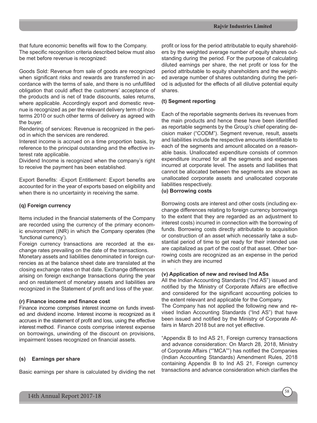that future economic benefits will flow to the Company. The specific recognition criteria described below must also be met before revenue is recognized:

Goods Sold: Revenue from sale of goods are recognized when significant risks and rewards are transferred in accordance with the terms of sale, and there is no unfulfilled obligation that could affect the customers' acceptance of the products and is net of trade discounts, sales returns, where applicable. Accordingly export and domestic revenue is recognized as per the relevant delivery term of Incoterms 2010 or such other terms of delivery as agreed with the buyer.

Rendering of services: Revenue is recognized in the period in which the services are rendered.

Interest income is accrued on a time proportion basis, by reference to the principal outstanding and the effective interest rate applicable.

Dividend Income is recognized when the company's right to receive the payment has been established.

Export Benefits: -Export Entitlement: Export benefits are accounted for in the year of exports based on eligibility and when there is no uncertainty in receiving the same.

#### **(q) Foreign currency**

Items included in the financial statements of the Company are recorded using the currency of the primary economic environment (INR) in which the Company operates (the 'functional currency').

Foreign currency transactions are recorded at the exchange rates prevailing on the date of the transactions.

Monetary assets and liabilities denominated in foreign currencies as at the balance sheet date are translated at the closing exchange rates on that date. Exchange differences arising on foreign exchange transactions during the year and on restatement of monetary assets and liabilities are recognized in the Statement of profit and loss of the year.

#### **(r) Finance income and finance cost**

Finance income comprises interest income on funds invested and dividend income. Interest income is recognized as it accrues in the statement of profit and loss, using the effective interest method. Finance costs comprise interest expense on borrowings, unwinding of the discount on provisions, impairment losses recognized on financial assets.

#### **(s) Earnings per share**

Basic earnings per share is calculated by dividing the net

profit or loss for the period attributable to equity shareholders by the weighted average number of equity shares outstanding during the period. For the purpose of calculating diluted earnings per share, the net profit or loss for the period attributable to equity shareholders and the weighted average number of shares outstanding during the period is adjusted for the effects of all dilutive potential equity shares.

#### **(t) Segment reporting**

Each of the reportable segments derives its revenues from the main products and hence these have been identified as reportable segments by the Group's chief operating decision maker ("CODM"). Segment revenue, result, assets and liabilities include the respective amounts identifiable to each of the segments and amount allocated on a reasonable basis. Unallocated expenditure consists of common expenditure incurred for all the segments and expenses incurred at corporate level. The assets and liabilities that cannot be allocated between the segments are shown as unallocated corporate assets and unallocated corporate liabilities respectively.

#### **(u) Borrowing costs**

Borrowing costs are interest and other costs (including exchange differences relating to foreign currency borrowings to the extent that they are regarded as an adjustment to interest costs) incurred in connection with the borrowing of funds. Borrowing costs directly attributable to acquisition or construction of an asset which necessarily take a substantial period of time to get ready for their intended use are capitalized as part of the cost of that asset. Other borrowing costs are recognized as an expense in the period in which they are incurred

#### . **(v) Application of new and revised Ind ASs**

All the Indian Accounting Standards ("Ind AS") issued and notified by the Ministry of Corporate Affairs are effective and considered for the significant accounting policies to the extent relevant and applicable for the Company.

The Company has not applied the following new and revised Indian Accounting Standards ("Ind AS") that have been issued and notified by the Ministry of Corporate Affairs in March 2018 but are not yet effective.

"Appendix B to Ind AS 21, Foreign currency transactions and advance consideration: On March 28, 2018, Ministry of Corporate Affairs (""MCA"") has notified the Companies (Indian Accounting Standards) Amendment Rules, 2018 containing Appendix B to Ind AS 21, Foreign currency transactions and advance consideration which clarifies the

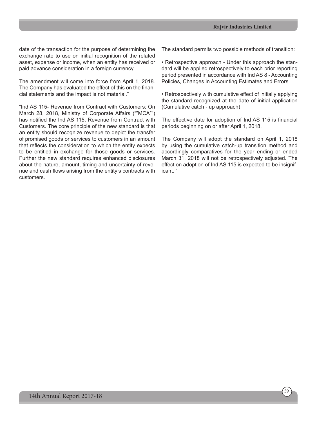date of the transaction for the purpose of determining the exchange rate to use on initial recognition of the related asset, expense or income, when an entity has received or paid advance consideration in a foreign currency.

The amendment will come into force from April 1, 2018. The Company has evaluated the effect of this on the financial statements and the impact is not material."

"Ind AS 115- Revenue from Contract with Customers: On March 28, 2018, Ministry of Corporate Affairs (""MCA"") has notified the Ind AS 115, Revenue from Contract with Customers. The core principle of the new standard is that an entity should recognize revenue to depict the transfer of promised goods or services to customers in an amount that reflects the consideration to which the entity expects to be entitled in exchange for those goods or services. Further the new standard requires enhanced disclosures about the nature, amount, timing and uncertainty of revenue and cash flows arising from the entity's contracts with customers.

The standard permits two possible methods of transition:

• Retrospective approach - Under this approach the standard will be applied retrospectively to each prior reporting period presented in accordance with Ind AS 8 - Accounting Policies, Changes in Accounting Estimates and Errors

• Retrospectively with cumulative effect of initially applying the standard recognized at the date of initial application (Cumulative catch - up approach)

The effective date for adoption of Ind AS 115 is financial periods beginning on or after April 1, 2018.

The Company will adopt the standard on April 1, 2018 by using the cumulative catch-up transition method and accordingly comparatives for the year ending or ended March 31, 2018 will not be retrospectively adjusted. The effect on adoption of Ind AS 115 is expected to be insignificant. "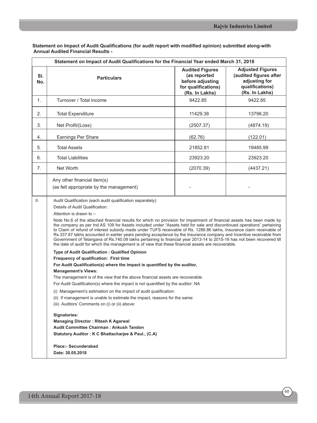$\circledcirc$ 

**Statement on Impact of Audit Qualifications (for audit report with modified opinion) submitted along-with Annual Audited Financial Results -**

|            | Statement on Impact of Audit Qualifications for the Financial Year ended March 31, 2018                                                                                                                                                                                                                                                                                                                                                                                                                                                                                                                                                                                                                                                                                                                                                                                                                                                                                                                                                                                                                                                                                                                                                                                                                                                                                                                                                                                                                                                                                                                                                                           |                                                                                                     |                                                                                                         |  |  |
|------------|-------------------------------------------------------------------------------------------------------------------------------------------------------------------------------------------------------------------------------------------------------------------------------------------------------------------------------------------------------------------------------------------------------------------------------------------------------------------------------------------------------------------------------------------------------------------------------------------------------------------------------------------------------------------------------------------------------------------------------------------------------------------------------------------------------------------------------------------------------------------------------------------------------------------------------------------------------------------------------------------------------------------------------------------------------------------------------------------------------------------------------------------------------------------------------------------------------------------------------------------------------------------------------------------------------------------------------------------------------------------------------------------------------------------------------------------------------------------------------------------------------------------------------------------------------------------------------------------------------------------------------------------------------------------|-----------------------------------------------------------------------------------------------------|---------------------------------------------------------------------------------------------------------|--|--|
| SI.<br>No. | <b>Particulars</b>                                                                                                                                                                                                                                                                                                                                                                                                                                                                                                                                                                                                                                                                                                                                                                                                                                                                                                                                                                                                                                                                                                                                                                                                                                                                                                                                                                                                                                                                                                                                                                                                                                                | <b>Audited Figures</b><br>(as reported<br>before adjusting<br>for qualifications)<br>(Rs. In Lakhs) | <b>Adjusted Figures</b><br>(audited figures after<br>adjusting for<br>qualifications)<br>(Rs. In Lakhs) |  |  |
| 1.         | Turnover / Total income                                                                                                                                                                                                                                                                                                                                                                                                                                                                                                                                                                                                                                                                                                                                                                                                                                                                                                                                                                                                                                                                                                                                                                                                                                                                                                                                                                                                                                                                                                                                                                                                                                           | 9422.85                                                                                             | 9422.85                                                                                                 |  |  |
| 2.         | <b>Total Expenditure</b>                                                                                                                                                                                                                                                                                                                                                                                                                                                                                                                                                                                                                                                                                                                                                                                                                                                                                                                                                                                                                                                                                                                                                                                                                                                                                                                                                                                                                                                                                                                                                                                                                                          | 11429.38                                                                                            | 13796.20                                                                                                |  |  |
| 3.         | Net Profit/(Loss)                                                                                                                                                                                                                                                                                                                                                                                                                                                                                                                                                                                                                                                                                                                                                                                                                                                                                                                                                                                                                                                                                                                                                                                                                                                                                                                                                                                                                                                                                                                                                                                                                                                 | (2507.37)                                                                                           | (4874.19)                                                                                               |  |  |
| 4.         | Earnings Per Share                                                                                                                                                                                                                                                                                                                                                                                                                                                                                                                                                                                                                                                                                                                                                                                                                                                                                                                                                                                                                                                                                                                                                                                                                                                                                                                                                                                                                                                                                                                                                                                                                                                | (62.76)                                                                                             | (122.01)                                                                                                |  |  |
| 5.         | <b>Total Assets</b>                                                                                                                                                                                                                                                                                                                                                                                                                                                                                                                                                                                                                                                                                                                                                                                                                                                                                                                                                                                                                                                                                                                                                                                                                                                                                                                                                                                                                                                                                                                                                                                                                                               | 21852.81                                                                                            | 19485.99                                                                                                |  |  |
| 6.         | <b>Total Liabilities</b>                                                                                                                                                                                                                                                                                                                                                                                                                                                                                                                                                                                                                                                                                                                                                                                                                                                                                                                                                                                                                                                                                                                                                                                                                                                                                                                                                                                                                                                                                                                                                                                                                                          | 23923.20                                                                                            | 23923.20                                                                                                |  |  |
| 7.         | Net Worth                                                                                                                                                                                                                                                                                                                                                                                                                                                                                                                                                                                                                                                                                                                                                                                                                                                                                                                                                                                                                                                                                                                                                                                                                                                                                                                                                                                                                                                                                                                                                                                                                                                         | (2070.39)                                                                                           | (4437.21)                                                                                               |  |  |
|            | Any other financial item(s)<br>(as felt appropriate by the management)                                                                                                                                                                                                                                                                                                                                                                                                                                                                                                                                                                                                                                                                                                                                                                                                                                                                                                                                                                                                                                                                                                                                                                                                                                                                                                                                                                                                                                                                                                                                                                                            |                                                                                                     |                                                                                                         |  |  |
| ΙΙ.        | Audit Qualification (each audit qualification separately):<br>Details of Audit Qualification:<br>Attention is drawn to -<br>Note No.6 of the attached financial results for which no provision for impairment of financial assets has been made by<br>the company as per Ind AS 109 for Assets included under "Assets held for sale and discontinued operations" pertaining<br>to Claim of refund of interest subsidy made under TUFS receivable of Rs. 1288.86 lakhs, Insurance claim receivable of<br>Rs.337.87 lakhs accounted in earlier years pending acceptance by the Insurance company and Incentive receivable from<br>Government of Telangana of Rs.740.09 lakhs pertaining to financial year 2013-14 to 2015-16 has not been recovered till<br>the date of audit for which the management is of view that these financial assets are recoverable.<br>Type of Audit Qualification: Qualified Opinion<br>Frequency of qualification: First time<br>For Audit Qualification(s) where the impact is quantified by the auditor,<br><b>Management's Views:</b><br>The management is of the view that the above financial assets are recoverable.<br>For Audit Qualification(s) where the impact is not quantified by the auditor: NA<br>(i) Management's estimation on the impact of audit qualification:<br>(ii) If management is unable to estimate the impact, reasons for the same:<br>(iii) Auditors' Comments on (i) or (ii) above:<br>Signatories:<br><b>Managing Director: Ritesh K Agarwal</b><br>Audit Committee Chairman: Ankush Tandon<br>Statutory Auditor: K C Bhattacharjee & Paul., (C.A)<br><b>Place:- Secunderabad</b><br>Date: 30.05.2018 |                                                                                                     |                                                                                                         |  |  |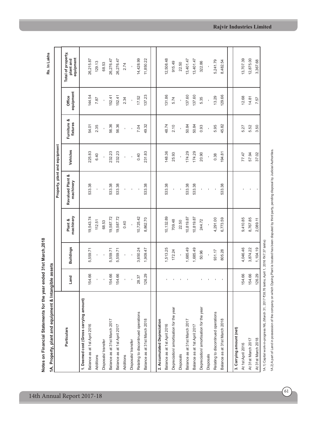| , |
|---|
|   |
|   |
|   |
|   |
| ۱ |
|   |
|   |
|   |
| í |
|   |

| 1A. Property, plant and equipment & Intangible assets |                |                  |                      | Property, plant and equipment |              |                         |                     |                                              |
|-------------------------------------------------------|----------------|------------------|----------------------|-------------------------------|--------------|-------------------------|---------------------|----------------------------------------------|
| Particulars                                           | Land           | <b>Buildings</b> | machinery<br>Plant & | Revalued Plant &<br>machinery | Vehicles     | Furniture &<br>fixtures | equipment<br>Office | Total of property,<br>equipment<br>plant and |
| 1. Deemed cost (Gross carrying amount)                |                |                  |                      |                               |              |                         |                     |                                              |
| Balance as at 1st April 2016                          | 154.66         | 5,559.71         | 19,543.74            | 533.38                        | 225.83       | 54.01                   | 144.54              | 26,215.87                                    |
| Additions                                             | $\blacksquare$ | $\blacksquare$   | 112.51               | $\blacksquare$                | 6.40         | 2.35                    | 7.87                | 129.13                                       |
| Disposals/transfer                                    | $\blacksquare$ |                  | 68.53                | ı,                            | ĭ,           | Î,                      | í.                  | 68.53                                        |
| Balance as at 31st March 2017                         | 154.66         | 5,559.71         | 19,587.72            | 533.38                        | 232.23       | 56.36                   | 152.41              | 26,276.47                                    |
| Balance as at 1st April 2017                          | 154.66         | 5,559.71         | 19,587.72            | 533.38                        | 232.23       | 56.36                   | 152.41              | 26,276.47                                    |
| Additions                                             | $\blacksquare$ | ı,               | 0.40                 | $\blacksquare$                | f,           | f,                      | 2.34                | 2.74                                         |
| Disposals/transfer                                    | $\blacksquare$ |                  |                      | $\blacksquare$                | $\mathbf{r}$ | $\mathbf{r}$            | $\mathbf{r}$        | $\blacksquare$                               |
| Relating to discontinued operations                   | 28.37          | 3,650.24         | 10,725.42            |                               | 0.40         | 7.04                    | 17.52               | 14,428.99                                    |
| Balance as at 31st March 2018                         | 126.29         | 1,909.47         | 8,862.70             | 533.38                        | 231.83       | 49.32                   | 137.23              | 11,850.22                                    |
|                                                       |                |                  |                      |                               |              |                         |                     |                                              |
| 2. Accumulated Depreciation                           |                |                  |                      |                               |              |                         |                     |                                              |
| Balance as at 1st April 2016                          |                | 1,513.25         | 10,132.89            | 533.38                        | 148.36       | 48.74                   | 131.86              | 12,508.48                                    |
| Depreciation/ amortisation for the year               | $\blacksquare$ | 172.24           | 709.48               | $\blacksquare$                | 25.93        | 2.10                    | 5.74                | 915.49                                       |
| Disposals                                             | $\mathbf{I}$   | l,               | 22.50                | $\blacksquare$                | Î,           | ï                       | $\bar{\phantom{a}}$ | 22.50                                        |
| Balance as at 31st March 2017                         | ٠              | 1,685.49         | 10,819.87            | 533.38                        | 174.29       | 50.84                   | 137.60              | 13,401.47                                    |
| Balance as at 1st April 2017                          |                | 1,685.49         | 10,819.87            | 533.38                        | 174.29       | 50.84                   | 137.60              | 13,401.47                                    |
| Depreciation/ amortisation for the year               | 1              | 50.96            | 244.72               | $\blacksquare$                | 20.90        | 0.93                    | 5.35                | 322.86                                       |
| <b>Disposals</b>                                      | ٠              |                  |                      | $\blacksquare$                | ï            |                         | ï                   |                                              |
| Relating to discontinued operations                   | ٠              | 931.17           | 4,291.00             |                               | 0.38         | 5.95                    | 13.29               | 5,241.79                                     |
| Balance as at 31st March 2018                         | $\blacksquare$ | 805.28           | 6,773.59             | 533.38                        | 194.81       | 45.82                   | 129.66              | 8,482.54                                     |
|                                                       |                |                  |                      |                               |              |                         |                     |                                              |
| 3. Carrying amount (net)                              |                |                  |                      |                               |              |                         |                     |                                              |
| At 1st April 2016                                     | 154.66         | 4,046.46         | 9,410.85             |                               | 77.47        | 5.27                    | 12.68               | 13,707.39                                    |
| At 31st March 2017                                    | 154.66         | 3,874.22         | 8,767.85             | ٠                             | 57.94        | 5.52                    | 14.81               | 12,875.00                                    |
| At 31st March 2018                                    | 126.29         | 1,104.19         | 2,089.11             |                               | 37.02        | 3.50                    | 7.57                | 3,367.68                                     |

1A.1) Capital work-in-progress NIL (March 31, 2017 ₹38.76 lakhs; April 1, 2016 ₹47.37 lakhs) 1A.1) Capital work-in-progress NIL (March 31, 2017 ₹38.76 lakhs; April 1, 2016 ₹47.37 lakhs)

1A.2) A part of Land in possession of the company on which Dyeing Plant is located has been disputed by third party, pending disposal by Judicial Authorities. 1A.2) A part of Land in possession of the company on which Dyeing Plant is located has been disputed by third party, pending disposal by Judicial Authorities.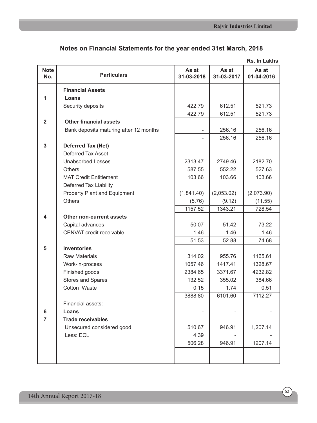|                         |                                        |                     |                     | Rs. In Lakhs        |
|-------------------------|----------------------------------------|---------------------|---------------------|---------------------|
| <b>Note</b><br>No.      | <b>Particulars</b>                     | As at<br>31-03-2018 | As at<br>31-03-2017 | As at<br>01-04-2016 |
|                         | <b>Financial Assets</b>                |                     |                     |                     |
| 1                       | Loans                                  |                     |                     |                     |
|                         | Security deposits                      | 422.79              | 612.51              | 521.73              |
|                         |                                        | 422.79              | 612.51              | 521.73              |
| $\overline{\mathbf{2}}$ | <b>Other financial assets</b>          |                     |                     |                     |
|                         | Bank deposits maturing after 12 months |                     | 256.16              | 256.16              |
|                         |                                        |                     | 256.16              | 256.16              |
| 3                       | Deferred Tax (Net)                     |                     |                     |                     |
|                         | Deferred Tax Asset                     |                     |                     |                     |
|                         | <b>Unabsorbed Losses</b>               | 2313.47             | 2749.46             | 2182.70             |
|                         | <b>Others</b>                          | 587.55              | 552.22              | 527.63              |
|                         | <b>MAT Credit Entitlement</b>          | 103.66              | 103.66              | 103.66              |
|                         | Deferred Tax Liability                 |                     |                     |                     |
|                         | <b>Property Plant and Equipment</b>    | (1,841.40)          | (2,053.02)          | (2,073.90)          |
|                         | <b>Others</b>                          | (5.76)              | (9.12)              | (11.55)             |
|                         |                                        | 1157.52             | 1343.21             | 728.54              |
| 4                       | <b>Other non-current assets</b>        |                     |                     |                     |
|                         | Capital advances                       | 50.07               | 51.42               | 73.22               |
|                         | CENVAT credit receivable               | 1.46                | 1.46                | 1.46                |
|                         |                                        | 51.53               | 52.88               | 74.68               |
| 5                       | <b>Inventories</b>                     |                     |                     |                     |
|                         | <b>Raw Materials</b>                   | 314.02              | 955.76              | 1165.61             |
|                         | Work-in-process                        | 1057.46             | 1417.41             | 1328.67             |
|                         | Finished goods                         | 2384.65             | 3371.67             | 4232.82             |
|                         | <b>Stores and Spares</b>               | 132.52              | 355.02              | 384.66              |
|                         | Cotton Waste                           | 0.15                | 1.74                | 0.51                |
|                         |                                        | 3888.80             | 6101.60             | 7112.27             |
|                         | Financial assets:                      |                     |                     |                     |
| 6                       | Loans                                  |                     |                     |                     |
| $\overline{7}$          | <b>Trade receivables</b>               |                     |                     |                     |
|                         | Unsecured considered good              | 510.67              | 946.91              | 1,207.14            |
|                         | Less: ECL                              | 4.39                |                     |                     |
|                         |                                        | 506.28              | 946.91              | 1207.14             |
|                         |                                        |                     |                     |                     |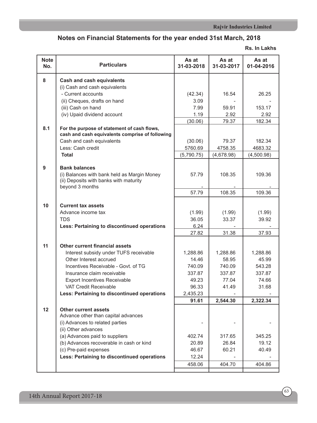Rajvir Industries Limited

# **Notes on Financial Statements for the year ended 31st March, 2018**

**Rs. In Lakhs**

| <b>Note</b><br>No. | <b>Particulars</b>                                                                                                                                                                                                                                                                 | As at<br>31-03-2018                         | As at<br>31-03-2017                | As at<br>01-04-2016                |
|--------------------|------------------------------------------------------------------------------------------------------------------------------------------------------------------------------------------------------------------------------------------------------------------------------------|---------------------------------------------|------------------------------------|------------------------------------|
| 8                  | <b>Cash and cash equivalents</b>                                                                                                                                                                                                                                                   |                                             |                                    |                                    |
|                    | (i) Cash and cash equivalents                                                                                                                                                                                                                                                      |                                             |                                    |                                    |
|                    | - Current accounts                                                                                                                                                                                                                                                                 | (42.34)                                     | 16.54                              | 26.25                              |
|                    | (ii) Cheques, drafts on hand                                                                                                                                                                                                                                                       | 3.09                                        |                                    |                                    |
|                    | (iii) Cash on hand                                                                                                                                                                                                                                                                 | 7.99                                        | 59.91                              | 153.17                             |
|                    | (iv) Upaid dividend account                                                                                                                                                                                                                                                        | 1.19                                        | 2.92                               | 2.92                               |
|                    |                                                                                                                                                                                                                                                                                    | (30.06)                                     | 79.37                              | 182.34                             |
| 8.1                | For the purpose of statement of cash flows,                                                                                                                                                                                                                                        |                                             |                                    |                                    |
|                    | cash and cash equivalents comprise of following<br>Cash and cash equivalents                                                                                                                                                                                                       | (30.06)                                     | 79.37                              | 182.34                             |
|                    | Less: Cash credit                                                                                                                                                                                                                                                                  | 5760.69                                     | 4758.35                            | 4683.32                            |
|                    | <b>Total</b>                                                                                                                                                                                                                                                                       | (5,790.75)                                  | (4,678.98)                         | (4,500.98)                         |
|                    |                                                                                                                                                                                                                                                                                    |                                             |                                    |                                    |
| 9                  | <b>Bank balances</b><br>(i) Balances with bank held as Margin Money<br>(ii) Deposits with banks with maturity                                                                                                                                                                      | 57.79                                       | 108.35                             | 109.36                             |
|                    | beyond 3 months                                                                                                                                                                                                                                                                    | 57.79                                       | 108.35                             | 109.36                             |
|                    |                                                                                                                                                                                                                                                                                    |                                             |                                    |                                    |
| 10                 | <b>Current tax assets</b>                                                                                                                                                                                                                                                          |                                             |                                    |                                    |
|                    | Advance income tax                                                                                                                                                                                                                                                                 | (1.99)                                      | (1.99)                             | (1.99)                             |
|                    | <b>TDS</b>                                                                                                                                                                                                                                                                         | 36.05                                       | 33.37                              | 39.92                              |
|                    | Less: Pertaining to discontinued operations                                                                                                                                                                                                                                        | 6.24                                        |                                    |                                    |
|                    |                                                                                                                                                                                                                                                                                    | 27.82                                       | 31.38                              | 37.93                              |
|                    |                                                                                                                                                                                                                                                                                    |                                             |                                    |                                    |
| 11                 | <b>Other current financial assets</b>                                                                                                                                                                                                                                              |                                             |                                    |                                    |
|                    | Interest subsidy under TUFS receivable<br>Other Interest accrued                                                                                                                                                                                                                   | 1,288.86<br>14.46                           | 1,288.86<br>58.95                  | 1,288.86<br>45.99                  |
|                    | Incentives Receivable - Govt. of TG                                                                                                                                                                                                                                                | 740.09                                      | 740.09                             | 543.28                             |
|                    | Insurance claim receivable                                                                                                                                                                                                                                                         | 337.87                                      | 337.87                             | 337.87                             |
|                    | <b>Export Incentives Receivable</b>                                                                                                                                                                                                                                                | 49.23                                       | 77.04                              | 74.66                              |
|                    | <b>VAT Credit Receivable</b>                                                                                                                                                                                                                                                       | 96.33                                       | 41.49                              | 31.68                              |
|                    | Less: Pertaining to discontinued operations                                                                                                                                                                                                                                        | 2,435.23                                    |                                    |                                    |
|                    |                                                                                                                                                                                                                                                                                    | 91.61                                       | 2,544.30                           | 2,322.34                           |
| 12                 | <b>Other current assets</b><br>Advance other than capital advances<br>(i) Advances to related parties<br>(ii) Other advances<br>(a) Advances paid to suppliers<br>(b) Advances recoverable in cash or kind<br>(c) Pre-paid expenses<br>Less: Pertaining to discontinued operations | 402.74<br>20.89<br>46.67<br>12.24<br>458.06 | 317.65<br>26.84<br>60.21<br>404.70 | 345.25<br>19.12<br>40.49<br>404.86 |
|                    |                                                                                                                                                                                                                                                                                    |                                             |                                    |                                    |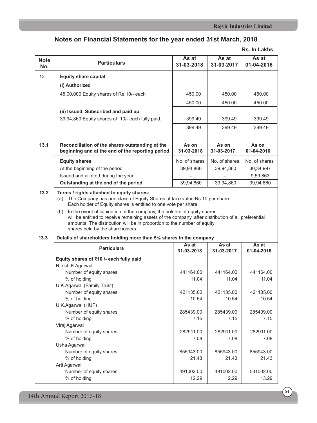**Rs. In Lakhs**

| <b>Note</b><br>No. | <b>Particulars</b>                                                                                                                                                                                                                                                                                                                                                                                                                                                                                                                 | As at<br>31-03-2018 | As at<br>31-03-2017 | As at<br>01-04-2016 |
|--------------------|------------------------------------------------------------------------------------------------------------------------------------------------------------------------------------------------------------------------------------------------------------------------------------------------------------------------------------------------------------------------------------------------------------------------------------------------------------------------------------------------------------------------------------|---------------------|---------------------|---------------------|
| 13                 | <b>Equity share capital</b>                                                                                                                                                                                                                                                                                                                                                                                                                                                                                                        |                     |                     |                     |
|                    | (i) Authorized                                                                                                                                                                                                                                                                                                                                                                                                                                                                                                                     |                     |                     |                     |
|                    | 45,00,000 Equity shares of Re.10/- each                                                                                                                                                                                                                                                                                                                                                                                                                                                                                            | 450.00              | 450.00              | 450.00              |
|                    |                                                                                                                                                                                                                                                                                                                                                                                                                                                                                                                                    | 450.00              | 450.00              | 450.00              |
|                    | (ii) Issued, Subscribed and paid up                                                                                                                                                                                                                                                                                                                                                                                                                                                                                                |                     |                     |                     |
|                    | 39,94,860 Equity shares of '10/- each fully paid.                                                                                                                                                                                                                                                                                                                                                                                                                                                                                  | 399.49              | 399.49              | 399.49              |
|                    |                                                                                                                                                                                                                                                                                                                                                                                                                                                                                                                                    | 399.49              | 399.49              | 399.49              |
|                    |                                                                                                                                                                                                                                                                                                                                                                                                                                                                                                                                    |                     |                     |                     |
| 13.1               | Reconciliation of the shares outstanding at the<br>beginning and at the end of the reporting period                                                                                                                                                                                                                                                                                                                                                                                                                                | As on<br>31-03-2018 | As on<br>31-03-2017 | As on<br>01-04-2016 |
|                    | <b>Equity shares</b>                                                                                                                                                                                                                                                                                                                                                                                                                                                                                                               | No. of shares       | No. of shares       | No. of shares       |
|                    | At the beginning of the period                                                                                                                                                                                                                                                                                                                                                                                                                                                                                                     | 39,94,860           | 39,94,860           | 30,34,997           |
|                    | Issued and allotted during the year                                                                                                                                                                                                                                                                                                                                                                                                                                                                                                |                     |                     | 9,59,863            |
|                    | Outstanding at the end of the period                                                                                                                                                                                                                                                                                                                                                                                                                                                                                               | 39,94,860           | 39,94,860           | 39,94,860           |
| 13.3               | The Company has one class of Equity Shares of face value Rs.10 per share.<br>(a)<br>Each holder of Equity shares is entitled to one vote per share.<br>In the event of liquidation of the company, the holders of equity shares<br>(b)<br>will be entitled to receive remaining assets of the company, after distribution of all preferential<br>amounts. The distribution will be in proportion to the number of equity<br>shares held by the shareholders.<br>Details of shareholders holding more than 5% shares in the company |                     |                     |                     |
|                    | <b>Particulars</b>                                                                                                                                                                                                                                                                                                                                                                                                                                                                                                                 | As at<br>31-03-2018 | As at<br>31-03-2017 | As at<br>01-04-2016 |
|                    | Equity shares of ₹10 /- each fully paid                                                                                                                                                                                                                                                                                                                                                                                                                                                                                            |                     |                     |                     |
|                    | Ritesh K Agarwal                                                                                                                                                                                                                                                                                                                                                                                                                                                                                                                   |                     |                     |                     |
|                    | Number of equity shares                                                                                                                                                                                                                                                                                                                                                                                                                                                                                                            | 441164.00           | 441164.00           | 441164.00           |
|                    | % of holding<br>U.K.Agarwal (Family Trust)                                                                                                                                                                                                                                                                                                                                                                                                                                                                                         | 11.04               | 11.04               | 11.04               |
|                    | Number of equity shares                                                                                                                                                                                                                                                                                                                                                                                                                                                                                                            | 421135.00           | 421135.00           | 421135.00           |
|                    | % of holding                                                                                                                                                                                                                                                                                                                                                                                                                                                                                                                       | 10.54               | 10.54               | 10.54               |
|                    | U.K.Agarwal (HUF)                                                                                                                                                                                                                                                                                                                                                                                                                                                                                                                  |                     |                     |                     |
|                    | Number of equity shares                                                                                                                                                                                                                                                                                                                                                                                                                                                                                                            | 285439.00           | 285439.00           | 285439.00           |
|                    | % of holding                                                                                                                                                                                                                                                                                                                                                                                                                                                                                                                       | 7.15                | 7.15                | 7.15                |
|                    | Viraj Agarwal                                                                                                                                                                                                                                                                                                                                                                                                                                                                                                                      |                     |                     |                     |
|                    | Number of equity shares                                                                                                                                                                                                                                                                                                                                                                                                                                                                                                            | 282911.00           | 282911.00           | 282911.00           |
|                    | % of holding<br>Usha Agarwal                                                                                                                                                                                                                                                                                                                                                                                                                                                                                                       | 7.08                | 7.08                | 7.08                |
|                    | Number of equity shares                                                                                                                                                                                                                                                                                                                                                                                                                                                                                                            | 855943.00           | 855943.00           | 855943.00           |
|                    | % of holding                                                                                                                                                                                                                                                                                                                                                                                                                                                                                                                       | 21.43               | 21.43               | 21.43               |
|                    | Arti Agarwal                                                                                                                                                                                                                                                                                                                                                                                                                                                                                                                       |                     |                     |                     |
|                    | Number of equity shares                                                                                                                                                                                                                                                                                                                                                                                                                                                                                                            | 491002.00           | 491002.00           | 531002.00           |
|                    | % of holding                                                                                                                                                                                                                                                                                                                                                                                                                                                                                                                       | 12.29               | 12.29               | 13.29               |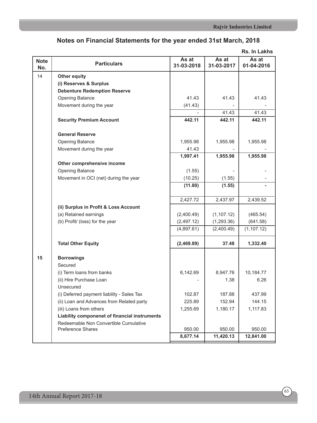**Rs. In Lakhs**

| <b>Note</b><br>No. | <b>Particulars</b>                                                | As at<br>31-03-2018 | As at<br>31-03-2017 | As at<br>01-04-2016 |
|--------------------|-------------------------------------------------------------------|---------------------|---------------------|---------------------|
| 14                 | Other equity                                                      |                     |                     |                     |
|                    | (i) Reserves & Surplus                                            |                     |                     |                     |
|                    | <b>Debenture Redemption Reserve</b>                               |                     |                     |                     |
|                    | <b>Opening Balance</b>                                            | 41.43               | 41.43               | 41.43               |
|                    | Movement during the year                                          | (41.43)             |                     |                     |
|                    |                                                                   |                     | 41.43               | 41.43               |
|                    | <b>Security Premium Account</b>                                   | 442.11              | 442.11              | 442.11              |
|                    | <b>General Reserve</b>                                            |                     |                     |                     |
|                    | <b>Opening Balance</b>                                            | 1,955.98            | 1,955.98            | 1,955.98            |
|                    | Movement during the year                                          | 41.43               |                     |                     |
|                    |                                                                   | 1,997.41            | 1,955.98            | 1,955.98            |
|                    | Other comprehensive income                                        |                     |                     |                     |
|                    | <b>Opening Balance</b>                                            | (1.55)              |                     |                     |
|                    | Movement in OCI (net) during the year                             | (10.25)             | (1.55)              |                     |
|                    |                                                                   | (11.80)             | (1.55)              |                     |
|                    |                                                                   | 2,427.72            | 2,437.97            | 2,439.52            |
|                    | (ii) Surplus in Profit & Loss Account                             |                     |                     |                     |
|                    | (a) Retained earnings                                             | (2,400.49)          | (1, 107.12)         | (465.54)            |
|                    | (b) Profit/ (loss) for the year                                   | (2,497.12)          | (1,293.36)          | (641.58)            |
|                    |                                                                   | (4,897.61)          | (2,400.49)          | (1, 107.12)         |
|                    | <b>Total Other Equity</b>                                         | (2,469.89)          | 37.48               | 1,332.40            |
| 15                 | <b>Borrowings</b>                                                 |                     |                     |                     |
|                    | Secured                                                           |                     |                     |                     |
|                    | (i) Term loans from banks                                         | 6,142.69            | 8,947.76            | 10,184.77           |
|                    | (ii) Hire Purchase Loan                                           |                     | 1.38                | 6.26                |
|                    | Unsecured                                                         |                     |                     |                     |
|                    | (i) Deferred payment liability - Sales Tax                        | 102.87              | 187.88              | 437.99              |
|                    | (ii) Loan and Advances from Related party                         | 225.89              | 152.94              | 144.15              |
|                    | (iii) Loans from others                                           | 1,255.69            | 1,180.17            | 1,117.83            |
|                    | Liability componenet of financial instruments                     |                     |                     |                     |
|                    | Redeemable Non Convertible Cumulative<br><b>Preference Shares</b> | 950.00              | 950.00              | 950.00              |
|                    |                                                                   | 8,677.14            | 11,420.13           | 12,841.00           |

ֺ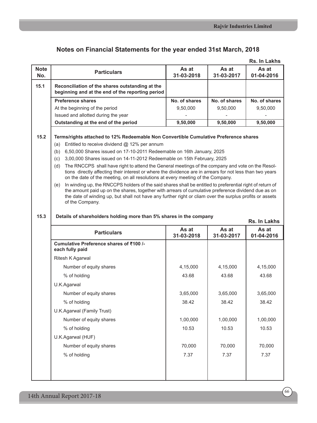|                    |                                                                                                                                                                                                                                                                                                                                                        |                     |                     | Rs. In Lakhs        |  |
|--------------------|--------------------------------------------------------------------------------------------------------------------------------------------------------------------------------------------------------------------------------------------------------------------------------------------------------------------------------------------------------|---------------------|---------------------|---------------------|--|
| <b>Note</b><br>No. | <b>Particulars</b>                                                                                                                                                                                                                                                                                                                                     | As at<br>31-03-2018 | As at<br>31-03-2017 | As at<br>01-04-2016 |  |
| 15.1               | Reconciliation of the shares outstanding at the<br>beginning and at the end of the reporting period                                                                                                                                                                                                                                                    |                     |                     |                     |  |
|                    | <b>Preference shares</b>                                                                                                                                                                                                                                                                                                                               | No. of shares       | No. of shares       | No. of shares       |  |
|                    | At the beginning of the period                                                                                                                                                                                                                                                                                                                         | 9,50,000            | 9,50,000            | 9,50,000            |  |
|                    | Issued and allotted during the year                                                                                                                                                                                                                                                                                                                    |                     |                     |                     |  |
|                    | Outstanding at the end of the period                                                                                                                                                                                                                                                                                                                   | 9,50,000            | 9,50,000            | 9,50,000            |  |
| 15.2               | Terms/rights attached to 12% Redeemable Non Convertible Cumulative Preference shares                                                                                                                                                                                                                                                                   |                     |                     |                     |  |
|                    | Entitled to receive dividend $@$ 12% per annum<br>(a)                                                                                                                                                                                                                                                                                                  |                     |                     |                     |  |
|                    | 6,50,000 Shares issued on 17-10-2011 Redeemable on 16th January, 2025<br>(b)                                                                                                                                                                                                                                                                           |                     |                     |                     |  |
|                    | 3,00,000 Shares issued on 14-11-2012 Redeemable on 15th February, 2025<br>(c)                                                                                                                                                                                                                                                                          |                     |                     |                     |  |
|                    | The RNCCPS shall have right to attend the General meetings of the company and vote on the Resol-<br>(d)<br>tions directly affecting their interest or where the dividence are in arrears for not less than two years<br>on the date of the meeting, on all resolutions at every meeting of the Company.                                                |                     |                     |                     |  |
|                    | In winding up, the RNCCPS holders of the said shares shall be entitled to preferential right of return of<br>(e)<br>the amount paid up on the shares, together with arrears of cumulative preference dividend due as on<br>the date of winding up, but shall not have any further right or cliam over the surplus profits or assets<br>of the Company. |                     |                     |                     |  |
| 15.3               | Details of shareholders holding more than 5% shares in the company<br>Rs. In Lakhs<br>As at<br>As at<br>As at                                                                                                                                                                                                                                          |                     |                     |                     |  |
|                    | <b>Particulars</b>                                                                                                                                                                                                                                                                                                                                     | 31-03-2018          | 31-03-2017          | 01-04-2016          |  |
|                    | Cumulative Preference shares of ₹100 /-<br>each fully paid                                                                                                                                                                                                                                                                                             |                     |                     |                     |  |
|                    | Ritesh K Agarwal                                                                                                                                                                                                                                                                                                                                       |                     |                     |                     |  |
|                    | Number of equity shares                                                                                                                                                                                                                                                                                                                                | 4,15,000            | 4,15,000            | 4,15,000            |  |
|                    | % of holding                                                                                                                                                                                                                                                                                                                                           | 43.68               | 43.68               | 43.68               |  |
|                    | U.K.Agarwal                                                                                                                                                                                                                                                                                                                                            |                     |                     |                     |  |
|                    | Number of equity shares                                                                                                                                                                                                                                                                                                                                | 3,65,000            | 3,65,000            | 3,65,000            |  |
|                    | % of holding                                                                                                                                                                                                                                                                                                                                           | 38.42               | 38.42               | 38.42               |  |
|                    | U.K.Agarwal (Family Trust)                                                                                                                                                                                                                                                                                                                             |                     |                     |                     |  |
|                    | Number of equity shares                                                                                                                                                                                                                                                                                                                                | 1,00,000            | 1,00,000            | 1,00,000            |  |
|                    | % of holding                                                                                                                                                                                                                                                                                                                                           | 10.53               | 10.53               | 10.53               |  |
|                    | U.K.Agarwal (HUF)                                                                                                                                                                                                                                                                                                                                      |                     |                     |                     |  |
|                    | Number of equity shares                                                                                                                                                                                                                                                                                                                                | 70,000              | 70,000              | 70,000              |  |
|                    |                                                                                                                                                                                                                                                                                                                                                        |                     | 7.37                |                     |  |
|                    | % of holding                                                                                                                                                                                                                                                                                                                                           | 7.37                |                     | 7.37                |  |
|                    |                                                                                                                                                                                                                                                                                                                                                        |                     |                     |                     |  |
|                    |                                                                                                                                                                                                                                                                                                                                                        |                     |                     |                     |  |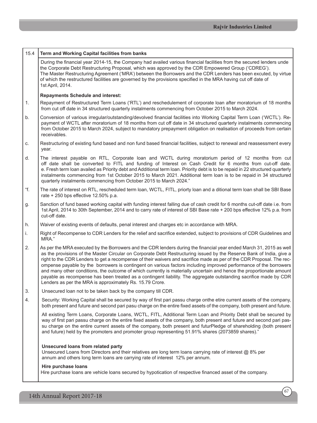$\circled{67}$ 

| 15.4 | Term and Working Capital facilities from banks                                                                                                                                                                                                                                                                                                                                                                                                                                                                                                                                                                                                                                                                                                                                                     |
|------|----------------------------------------------------------------------------------------------------------------------------------------------------------------------------------------------------------------------------------------------------------------------------------------------------------------------------------------------------------------------------------------------------------------------------------------------------------------------------------------------------------------------------------------------------------------------------------------------------------------------------------------------------------------------------------------------------------------------------------------------------------------------------------------------------|
|      | During the financial year 2014-15, the Company had availed various financial facilities from the secured lenders unde<br>the Corporate Debt Restructuring Proposal, which was approved by the CDR Empowered Group ('CDREG').<br>The Master Restructuring Agreement ('MRA') between the Borrowers and the CDR Lenders has been excuted, by virtue<br>of which the restructured facilities are governed by the provisions specified in the MRA having cut off date of<br>1st April, 2014.                                                                                                                                                                                                                                                                                                            |
|      | <b>Repayments Schedule and interest:</b>                                                                                                                                                                                                                                                                                                                                                                                                                                                                                                                                                                                                                                                                                                                                                           |
| 1.   | Repayment of Restructured Term Loans ('RTL') and reschedulement of corporate loan after moratorium of 18 months<br>from cut off date in 34 structured quarterly instalments commencing from October 2015 to March 2024.                                                                                                                                                                                                                                                                                                                                                                                                                                                                                                                                                                            |
| b.   | Conversion of various irregular/outstanding/devolved financial facilities into Working Capital Term Loan ('WCTL'). Re-<br>payment of WCTL after moratorium of 18 months from cut off date in 34 structured quarterly instalments commencing<br>from October 2015 to March 2024, subject to mandatory prepayment obligation on realisation of proceeds from certain<br>receivables.                                                                                                                                                                                                                                                                                                                                                                                                                 |
| C.   | Restructuring of existing fund based and non fund based financial facilities, subject to renewal and reassessment every<br>year.                                                                                                                                                                                                                                                                                                                                                                                                                                                                                                                                                                                                                                                                   |
| d.   | The interest payable on RTL, Corporate loan and WCTL during moratorium period of 12 months from cut<br>off date shall be converted to FITL and funding of Interest on Cash Credit for 6 months from cut-off date.<br>e. Fresh term loan availed as Priority debt and Additional term loan. Priority debt is to be repaid in 22 structured quarterly<br>instalments commencing from 1st October 2015 to March 2021. Additional term loan is to be repaid in 34 structured<br>quarterly instalments commencing from October 2015 to March 2024."                                                                                                                                                                                                                                                     |
| "f.  | The rate of interest on RTL, rescheduled term loan, WCTL, FITL, priorty loan and a ditional term loan shall be SBI Base<br>rate + 250 bps effective 12.50% p.a.                                                                                                                                                                                                                                                                                                                                                                                                                                                                                                                                                                                                                                    |
| g.   | Sanction of fund based working capital with funding interest falling due of cash credit for 6 months cut-off date i.e. from<br>1st April, 2014 to 30th September, 2014 and to carry rate of interest of SBI Base rate + 200 bps effective 12% p.a. from<br>cut-off date.                                                                                                                                                                                                                                                                                                                                                                                                                                                                                                                           |
| h.   | Waiver of existing events of defaults, penal interest and charges etc in accordance with MRA.                                                                                                                                                                                                                                                                                                                                                                                                                                                                                                                                                                                                                                                                                                      |
| i.   | Right of Recompense to CDR Lenders for the relief and sacrifice extended, subject to provisions of CDR Guidelines and<br>MRA."                                                                                                                                                                                                                                                                                                                                                                                                                                                                                                                                                                                                                                                                     |
| 2.   | As per the MRA executed by the Borrowers and the CDR lenders during the financial year ended March 31, 2015 as well<br>as the provisions of the Master Circular on Corporate Debt Restructuring issued by the Reserve Bank of India, give a<br>right to the CDR Lenders to get a recompense of their waivers and sacrifice made as per of the CDR Proposal. The rec-<br>ompense payable by the borrowers is contingent on various factors including improved performance of the borrowers<br>and many other conditions, the outcome of which currently is materially uncertain and hence the proportionate amount<br>payable as recompense has been treated as a contingent liability. The aggregate outstanding sacrifice made by CDR<br>Lenders as per the MRA is approximately Rs. 15.79 Crore. |
| 3.   | Unsecured loan not to be taken back by the company till CDR.                                                                                                                                                                                                                                                                                                                                                                                                                                                                                                                                                                                                                                                                                                                                       |
| 4.   | Security: Working Capital shall be secured by way of first pari passu charge onthe etire current assets of the company,<br>both present and future and second pari pasu charge on the entire fixed assets of the company, both present and future.                                                                                                                                                                                                                                                                                                                                                                                                                                                                                                                                                 |
|      | All existing Term Loans, Corporate Loans, WCTL, FITL, Additional Term Loan and Priority Debt shall be secured by<br>way of first pari passu charge on the entire fixed assets of the company, both present and future and second pari pas-<br>su charge on the entire current assets of the company, both present and futurPledge of shareholding (both present<br>and future) held by the promoters and promoter group representing 51.91% shares (2073859 shares)."                                                                                                                                                                                                                                                                                                                              |
|      | Unsecured loans from related party<br>Unsecured Loans from Directors and their relatives are long term loans carrying rate of interest @ 8% per<br>annum and others long term loans are carrying rate of interest 12% per annum.                                                                                                                                                                                                                                                                                                                                                                                                                                                                                                                                                                   |
|      | Hire purchase loans<br>Hire purchase loans are vehicle loans secured by hypotication of respective financed asset of the company.                                                                                                                                                                                                                                                                                                                                                                                                                                                                                                                                                                                                                                                                  |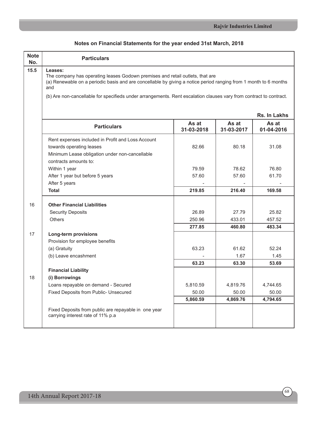| <b>Note</b><br>No. | <b>Particulars</b>                                                                                                                                                                                                  |                     |                     |                     |
|--------------------|---------------------------------------------------------------------------------------------------------------------------------------------------------------------------------------------------------------------|---------------------|---------------------|---------------------|
| 15.5               | Leases:<br>The company has operating leases Godown premises and retail outlets, that are<br>(a) Renewable on a periodic basis and are concellable by giving a notice period ranging from 1 month to 6 months<br>and |                     |                     |                     |
|                    | (b) Are non-cancellable for specifieds under arrangements. Rent escalation clauses vary from contract to contract.                                                                                                  |                     |                     |                     |
|                    |                                                                                                                                                                                                                     |                     |                     | Rs. In Lakhs        |
|                    | <b>Particulars</b>                                                                                                                                                                                                  | As at<br>31-03-2018 | As at<br>31-03-2017 | As at<br>01-04-2016 |
|                    | Rent expenses included in Profit and Loss Account<br>towards operating leases<br>Minimum Lease obligation under non-cancellable<br>contracts amounts to:                                                            | 82.66               | 80.18               | 31.08               |
|                    | Within 1 year<br>After 1 year but before 5 years                                                                                                                                                                    | 79.59<br>57.60      | 78.62<br>57.60      | 76.80<br>61.70      |
|                    | After 5 years<br><b>Total</b>                                                                                                                                                                                       | 219.85              | 216.40              | 169.58              |
| 16                 | <b>Other Financial Liabilities</b>                                                                                                                                                                                  |                     |                     |                     |
|                    | <b>Security Deposits</b>                                                                                                                                                                                            | 26.89               | 27.79               | 25.82               |
|                    | <b>Others</b>                                                                                                                                                                                                       | 250.96              | 433.01              | 457.52              |
|                    |                                                                                                                                                                                                                     | 277.85              | 460.80              | 483.34              |
| 17                 | <b>Long-term provisions</b><br>Provision for employee benefits                                                                                                                                                      |                     |                     |                     |
|                    | (a) Gratuity                                                                                                                                                                                                        | 63.23               | 61.62               | 52.24               |
|                    | (b) Leave encashment                                                                                                                                                                                                |                     | 1.67                | 1.45                |
|                    |                                                                                                                                                                                                                     | 63.23               | 63.30               | 53.69               |
|                    | <b>Financial Liability</b>                                                                                                                                                                                          |                     |                     |                     |
| 18                 | (i) Borrowings                                                                                                                                                                                                      |                     |                     |                     |
|                    | Loans repayable on demand - Secured                                                                                                                                                                                 | 5,810.59            | 4,819.76            | 4,744.65            |
|                    | Fixed Deposits from Public- Unsecured                                                                                                                                                                               | 50.00               | 50.00               | 50.00               |
|                    |                                                                                                                                                                                                                     | 5,860.59            | 4,869.76            | 4,794.65            |
|                    | Fixed Deposits from public are repayable in one year<br>carrying interest rate of 11% p.a                                                                                                                           |                     |                     |                     |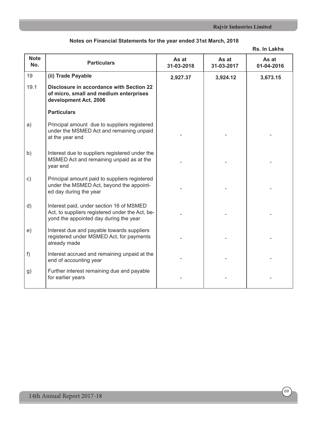Rajvir Industries Limited

| Notes on Financial Statements for the year ended 31st March, 2018 |  |
|-------------------------------------------------------------------|--|
|-------------------------------------------------------------------|--|

|                    |                                                                                                                                       |                     |                     | Rs. In Lakhs        |
|--------------------|---------------------------------------------------------------------------------------------------------------------------------------|---------------------|---------------------|---------------------|
| <b>Note</b><br>No. | <b>Particulars</b>                                                                                                                    | As at<br>31-03-2018 | As at<br>31-03-2017 | As at<br>01-04-2016 |
| 19                 | (ii) Trade Payable                                                                                                                    | 2,927.37            | 3,924.12            | 3,673.15            |
| 19.1               | Disclosure in accordance with Section 22<br>of micro, small and medium enterprises<br>development Act, 2006                           |                     |                     |                     |
|                    | <b>Particulars</b>                                                                                                                    |                     |                     |                     |
| a)                 | Principal amount due to suppliers registered<br>under the MSMED Act and remaining unpaid<br>at the year end                           |                     |                     |                     |
| b)                 | Interest due to suppliers registered under the<br>MSMED Act and remaining unpaid as at the<br>year end                                |                     |                     |                     |
| $\mathsf{c})$      | Principal amount paid to suppliers registered<br>under the MSMED Act, beyond the appoint-<br>ed day during the year                   |                     |                     |                     |
| d)                 | Interest paid, under section 16 of MSMED<br>Act, to suppliers registered under the Act, be-<br>yond the appointed day during the year |                     |                     |                     |
| e)                 | Interest due and payable towards suppliers<br>registered under MSMED Act, for payments<br>already made                                |                     |                     |                     |
| f)                 | Interest accrued and remaining unpaid at the<br>end of accounting year                                                                |                     |                     |                     |
| g)                 | Further interest remaining due and payable<br>for earlier years                                                                       |                     |                     |                     |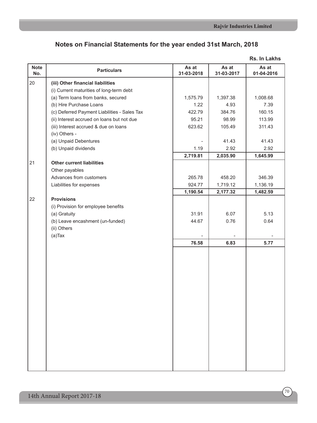|                    |                                              |                     |                     | Rs. In Lakhs        |
|--------------------|----------------------------------------------|---------------------|---------------------|---------------------|
| <b>Note</b><br>No. | <b>Particulars</b>                           | As at<br>31-03-2018 | As at<br>31-03-2017 | As at<br>01-04-2016 |
| 20                 | (iii) Other financial liabilities            |                     |                     |                     |
|                    | (i) Current maturities of long-term debt     |                     |                     |                     |
|                    | (a) Term loans from banks, secured           | 1,575.79            | 1,397.38            | 1,008.68            |
|                    | (b) Hire Purchase Loans                      | 1.22                | 4.93                | 7.39                |
|                    | (c) Deferred Payment Liabilities - Sales Tax | 422.79              | 384.76              | 160.15              |
|                    | (ii) Interest accrued on loans but not due   | 95.21               | 98.99               | 113.99              |
|                    | (iii) Interest accrued & due on loans        | 623.62              | 105.49              | 311.43              |
|                    | (iv) Others -                                |                     |                     |                     |
|                    | (a) Unpaid Debentures                        |                     | 41.43               | 41.43               |
|                    | (b) Unpaid dividends                         | 1.19                | 2.92                | 2.92                |
|                    |                                              | 2,719.81            | 2,035.90            | 1,645.99            |
| 21                 | <b>Other current liabilities</b>             |                     |                     |                     |
|                    | Other payables                               |                     |                     |                     |
|                    | Advances from customers                      | 265.78              | 458.20              | 346.39              |
|                    | Liabilities for expenses                     | 924.77              | 1,719.12            | 1,136.19            |
|                    |                                              | 1,190.54            | 2,177.32            | 1,482.59            |
| 22                 | <b>Provisions</b>                            |                     |                     |                     |
|                    | (i) Provision for employee benefits          |                     |                     |                     |
|                    | (a) Gratuity                                 | 31.91               | 6.07                | 5.13                |
|                    | (b) Leave encashment (un-funded)             | 44.67               | 0.76                | 0.64                |
|                    | (ii) Others                                  |                     |                     |                     |
|                    | $(a)$ Tax                                    |                     |                     |                     |
|                    |                                              | 76.58               | 6.83                | 5.77                |
|                    |                                              |                     |                     |                     |
|                    |                                              |                     |                     |                     |
|                    |                                              |                     |                     |                     |
|                    |                                              |                     |                     |                     |
|                    |                                              |                     |                     |                     |
|                    |                                              |                     |                     |                     |
|                    |                                              |                     |                     |                     |
|                    |                                              |                     |                     |                     |
|                    |                                              |                     |                     |                     |
|                    |                                              |                     |                     |                     |
|                    |                                              |                     |                     |                     |
|                    |                                              |                     |                     |                     |
|                    |                                              |                     |                     |                     |
|                    |                                              |                     |                     |                     |
|                    |                                              |                     |                     |                     |
|                    |                                              |                     |                     |                     |
|                    |                                              |                     |                     |                     |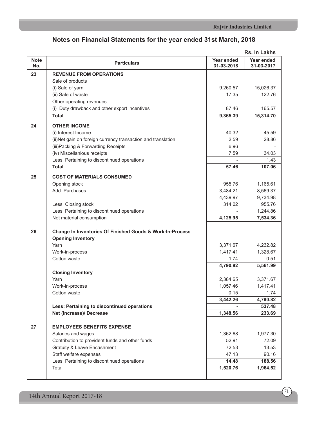|                    | <b>Rs. In Lakhs</b>                                          |                          |                                 |
|--------------------|--------------------------------------------------------------|--------------------------|---------------------------------|
| <b>Note</b><br>No. | <b>Particulars</b>                                           | Year ended<br>31-03-2018 | <b>Year ended</b><br>31-03-2017 |
| 23                 | <b>REVENUE FROM OPERATIONS</b>                               |                          |                                 |
|                    | Sale of products                                             |                          |                                 |
|                    | (i) Sale of yarn                                             | 9,260.57                 | 15,026.37                       |
|                    | (ii) Sale of waste                                           | 17.35                    | 122.76                          |
|                    | Other operating revenues                                     |                          |                                 |
|                    | (i) Duty drawback and other export incentives                | 87.46                    | 165.57                          |
|                    | <b>Total</b>                                                 | 9,365.39                 | 15,314.70                       |
| 24                 | <b>OTHER INCOME</b>                                          |                          |                                 |
|                    | (i) Interest Income                                          | 40.32                    | 45.59                           |
|                    | (ii)Net gain on foreign currency transaction and translation | 2.59                     | 28.86                           |
|                    | (iii) Packing & Forwarding Receipts                          | 6.96                     |                                 |
|                    | (iv) Miscellanious receipts                                  | 7.59                     | 34.03                           |
|                    | Less: Pertaining to discontinued operations                  |                          | 1.43                            |
|                    | <b>Total</b>                                                 | 57.46                    | 107.06                          |
| 25                 | <b>COST OF MATERIALS CONSUMED</b>                            |                          |                                 |
|                    | Opening stock                                                | 955.76                   | 1,165.61                        |
|                    | Add: Purchases                                               | 3,484.21                 | 8,569.37                        |
|                    |                                                              | 4,439.97                 | 9,734.98                        |
|                    | Less: Closing stock                                          | 314.02                   | 955.76                          |
|                    | Less: Pertaining to discontinued operations                  |                          | 1,244.86                        |
|                    | Net material consumption                                     | 4,125.95                 | 7,534.36                        |
| 26                 | Change In Inventories Of Finished Goods & Work-In-Process    |                          |                                 |
|                    | <b>Opening Inventory</b>                                     |                          |                                 |
|                    | Yarn                                                         | 3,371.67                 | 4,232.82                        |
|                    | Work-in-process                                              | 1,417.41                 | 1,328.67                        |
|                    | Cotton waste                                                 | 1.74                     | 0.51                            |
|                    |                                                              | 4,790.82                 | 5,561.99                        |
|                    | <b>Closing Inventory</b>                                     |                          |                                 |
|                    | Yarn                                                         | 2,384.65                 | 3,371.67                        |
|                    | Work-in-process                                              | 1,057.46                 | 1,417.41                        |
|                    | Cotton waste                                                 | 0.15                     | 1.74                            |
|                    |                                                              | 3,442.26                 | 4,790.82                        |
|                    | Less: Pertaining to discontinued operations                  |                          | 537.48                          |
|                    | Net (Increase)/ Decrease                                     | 1,348.56                 | 233.69                          |
|                    |                                                              |                          |                                 |
| 27                 | <b>EMPLOYEES BENEFITS EXPENSE</b>                            |                          |                                 |
|                    | Salaries and wages                                           | 1,362.68                 | 1,977.30                        |
|                    | Contribution to provident funds and other funds              | 52.91                    | 72.09                           |
|                    | <b>Gratuity &amp; Leave Encashment</b>                       | 72.53                    | 13.53                           |
|                    | Staff welfare expenses                                       | 47.13                    | 90.16                           |
|                    | Less: Pertaining to discontinued operations                  | 14.48                    | 188.56                          |
|                    | Total                                                        | 1,520.76                 | 1,964.52                        |
|                    |                                                              |                          |                                 |
|                    |                                                              |                          |                                 |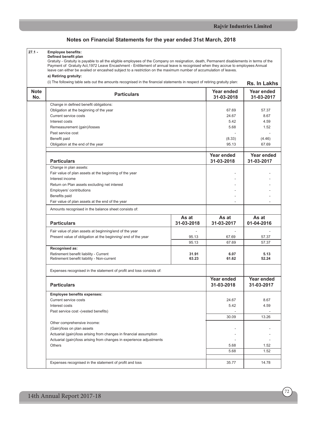| $27.1 -$           | <b>Employee benefits:</b><br>Defined benefit plan<br>Gratuity - Gratuity is payable to all the eligible employees of the Company on resignation, death, Permanent disablements in terms of the<br>Payment of Gratuity Act, 1972 Leave Encashment - Entitlement of annual leave is recognised when they accrue to employees Annual<br>leave can either be availed or encashed subject to a restriction on the maximum number of accumulation of leaves.<br>a) Retiring gratuity: |                          |                                                   |                                                  |  |  |  |
|--------------------|---------------------------------------------------------------------------------------------------------------------------------------------------------------------------------------------------------------------------------------------------------------------------------------------------------------------------------------------------------------------------------------------------------------------------------------------------------------------------------|--------------------------|---------------------------------------------------|--------------------------------------------------|--|--|--|
|                    | (i) The following table sets out the amounts recognised in the financial statements in respect of retiring gratuity plan:<br>Rs. In Lakhs                                                                                                                                                                                                                                                                                                                                       |                          |                                                   |                                                  |  |  |  |
| <b>Note</b><br>No. | <b>Particulars</b>                                                                                                                                                                                                                                                                                                                                                                                                                                                              | Year ended<br>31-03-2018 | <b>Year ended</b><br>31-03-2017                   |                                                  |  |  |  |
|                    | Change in defined benefit obligations:<br>Obligation at the beginning of the year<br>Current service costs<br>Interest costs<br>Remeasurement (gain)/losses<br>Past service cost<br>Benefit paid<br>Obligation at the end of the year                                                                                                                                                                                                                                           |                          | 67.69<br>24.67<br>5.42<br>5.68<br>(8.33)<br>95.13 | 57.37<br>8.67<br>4.59<br>1.52<br>(4.46)<br>67.69 |  |  |  |
|                    | <b>Particulars</b>                                                                                                                                                                                                                                                                                                                                                                                                                                                              |                          |                                                   | <b>Year ended</b><br>31-03-2017                  |  |  |  |
|                    | Change in plan assets:<br>Fair value of plan assets at the beginning of the year<br>Interest income<br>Return on Plan assets excluding net interest<br>Employers' contributions<br>Benefits paid<br>Fair value of plan assets at the end of the year<br>Amounts recognised in the balance sheet consists of:                                                                                                                                                                    |                          |                                                   |                                                  |  |  |  |
|                    |                                                                                                                                                                                                                                                                                                                                                                                                                                                                                 |                          |                                                   |                                                  |  |  |  |
|                    | <b>Particulars</b>                                                                                                                                                                                                                                                                                                                                                                                                                                                              | As at<br>31-03-2018      | As at<br>31-03-2017                               | As at<br>01-04-2016                              |  |  |  |
|                    | Fair value of plan assets at beginning/end of the year<br>Present value of obligation at the beginning/ end of the year                                                                                                                                                                                                                                                                                                                                                         | 95.13<br>95.13           | 67.69<br>67.69                                    | 57.37<br>57.37                                   |  |  |  |
|                    | Recognised as:<br>Retirement benefit liability - Current<br>Retirement benefit liability - Non-current                                                                                                                                                                                                                                                                                                                                                                          | 31.91<br>63.23           | 6.07<br>61.62                                     | 5.13<br>52.24                                    |  |  |  |
|                    | Expenses recognised in the statement of profit and loss consists of:<br><b>Particulars</b><br><b>Employee benefits expenses:</b><br>Current service costs<br>Interest costs<br>Past service cost - (vested benefits)                                                                                                                                                                                                                                                            |                          |                                                   |                                                  |  |  |  |
|                    |                                                                                                                                                                                                                                                                                                                                                                                                                                                                                 |                          | Year ended<br>31-03-2018                          | Year ended<br>31-03-2017                         |  |  |  |
|                    |                                                                                                                                                                                                                                                                                                                                                                                                                                                                                 |                          | 24.67<br>5.42                                     | 8.67<br>4.59                                     |  |  |  |
|                    | Other comprehensive income:<br>(Gain)/loss on plan assets<br>Actuarial (gain)/loss arising from changes in financial assumption<br>Actuarial (gain)/loss arising from changes in experience adjustments<br><b>Others</b>                                                                                                                                                                                                                                                        |                          | 30.09<br>5.68                                     | 13.26<br>1.52                                    |  |  |  |
|                    |                                                                                                                                                                                                                                                                                                                                                                                                                                                                                 |                          | 5.68                                              | 1.52                                             |  |  |  |
|                    | Expenses recognised in the statement of profit and loss                                                                                                                                                                                                                                                                                                                                                                                                                         |                          | 35.77                                             | 14.78                                            |  |  |  |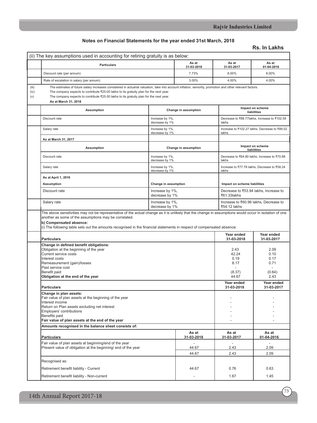# **Notes on Financial Statements for the year ended 31st March, 2018**

## **Rs. In Lakhs**

|                      | (ii) The key assumptions used in accounting for retiring gratuity is as below:                                                                                                                                                                                                                                                                                                                    |                                   |                      |                                                                                       |                                                |  |
|----------------------|---------------------------------------------------------------------------------------------------------------------------------------------------------------------------------------------------------------------------------------------------------------------------------------------------------------------------------------------------------------------------------------------------|-----------------------------------|----------------------|---------------------------------------------------------------------------------------|------------------------------------------------|--|
|                      | <b>Particulars</b>                                                                                                                                                                                                                                                                                                                                                                                |                                   | As at<br>31-03-2018  | As at<br>31-03-2017                                                                   | As at<br>01-04-2016                            |  |
|                      | Discount rate (per annum)                                                                                                                                                                                                                                                                                                                                                                         |                                   | 7.73%                | 8.00%                                                                                 | 8.00%                                          |  |
|                      | Rate of escalation in salary (per annum)                                                                                                                                                                                                                                                                                                                                                          |                                   | 3.00%                | 4.00%                                                                                 | 4.00%                                          |  |
| (iii)<br>(iv)<br>(v) | The estimates of future salary increases considered in actuarial valuation, take into account inflation, seniority, promotion and other relevant factors.<br>The company expects to contribute $\overline{x}$ 25.00 lakhs to its gratuity plan for the next year.<br>The company expects to contribute $\overline{x}$ 25.00 lakhs to its gratuity plan for the next year.<br>As at March 31, 2018 |                                   |                      |                                                                                       |                                                |  |
|                      | <b>Assumption</b>                                                                                                                                                                                                                                                                                                                                                                                 |                                   | Change in assumption |                                                                                       | Impact on scheme<br>liabilities                |  |
|                      | Discount rate                                                                                                                                                                                                                                                                                                                                                                                     | Increase by 1%,<br>decrease by 1% |                      | lakhs                                                                                 | Decrease to ₹88.77lakhs. Increase to ₹102.59   |  |
|                      | Salary rate                                                                                                                                                                                                                                                                                                                                                                                       | Increase by 1%,<br>decrease by 1% |                      | lakhs                                                                                 | Increase to ₹102.27 lakhs, Decrease to ₹89.02  |  |
|                      | As at March 31, 2017                                                                                                                                                                                                                                                                                                                                                                              |                                   |                      |                                                                                       |                                                |  |
|                      | <b>Assumption</b>                                                                                                                                                                                                                                                                                                                                                                                 |                                   | Change in assumption |                                                                                       | Impact on scheme<br>liabilities                |  |
|                      | Discount rate                                                                                                                                                                                                                                                                                                                                                                                     | Increase by 1%,<br>decrease by 1% |                      | lakhs                                                                                 | Decrease to ₹64.80 lakhs, Increase to ₹70.88   |  |
|                      | Salary rate                                                                                                                                                                                                                                                                                                                                                                                       | Increase by 1%,<br>decrease by 1% |                      | lakhs                                                                                 | Increase to ₹77.78 lakhs, Decrease to ₹58.24   |  |
|                      | As at April 1, 2016                                                                                                                                                                                                                                                                                                                                                                               |                                   |                      |                                                                                       |                                                |  |
|                      | <b>Assumption</b>                                                                                                                                                                                                                                                                                                                                                                                 | Change in assumption              |                      | Impact on scheme liabilities<br>Decrease to ₹53.94 lakhs, Increase to<br>₹61.33 lakhs |                                                |  |
|                      | Discount rate                                                                                                                                                                                                                                                                                                                                                                                     | Increase by 1%,<br>decrease by 1% |                      |                                                                                       |                                                |  |
|                      | Salary rate                                                                                                                                                                                                                                                                                                                                                                                       | Increase by 1%,<br>decrease by 1% |                      | Increase to ₹60.96 lakhs, Decrease to<br>₹54.12 lakhs                                 |                                                |  |
|                      | The above sensitivities may not be representative of the actual change as it is unlikely that the change in assumptions would occur in isolation of one<br>another as some of the assumptions may be correlated.<br>b) Compensated absence:<br>(i) The following table sets out the amounts recognised in the financial statements in respect of compensated absence:                             |                                   |                      |                                                                                       | Year ended                                     |  |
|                      | <b>Particulars</b>                                                                                                                                                                                                                                                                                                                                                                                |                                   |                      | Year ended<br>31-03-2018                                                              | 31-03-2017                                     |  |
|                      | Change in defined benefit obligations:<br>Obligation at the beginning of the year<br>Current service costs<br>Interest costs<br>Remeasurement (gain)/losses<br>Past service cost<br>Benefit paid<br>Obligation at the end of the year                                                                                                                                                             |                                   |                      | 2.43<br>42.24<br>0.19<br>8.17<br>(8.37)<br>44.67                                      | 2.09<br>0.10<br>0.17<br>0.71<br>(0.64)<br>2.43 |  |
|                      | <b>Particulars</b>                                                                                                                                                                                                                                                                                                                                                                                |                                   |                      | Year ended<br>31-03-2018                                                              | Year ended<br>31-03-2017                       |  |
|                      | Change in plan assets:<br>Fair value of plan assets at the beginning of the year<br>Interest income<br>Return on Plan assets excluding net interest<br>Employers' contributions<br>Benefits paid<br>Fair value of plan assets at the end of the year                                                                                                                                              |                                   |                      |                                                                                       |                                                |  |
|                      | Amounts recognised in the balance sheet consists of:                                                                                                                                                                                                                                                                                                                                              |                                   |                      |                                                                                       |                                                |  |
|                      | <b>Particulars</b>                                                                                                                                                                                                                                                                                                                                                                                |                                   | As at<br>31-03-2018  | As at<br>31-03-2017                                                                   | As at<br>01-04-2016                            |  |
|                      | Fair value of plan assets at beginning/end of the year<br>Present value of obligation at the beginning/ end of the year                                                                                                                                                                                                                                                                           |                                   | 44.67                | 2.43                                                                                  | 2.09                                           |  |
|                      |                                                                                                                                                                                                                                                                                                                                                                                                   |                                   | 44.67                | 2.43                                                                                  | 2.09                                           |  |
|                      | Recognised as:                                                                                                                                                                                                                                                                                                                                                                                    |                                   |                      |                                                                                       |                                                |  |
|                      | Retirement benefit liability - Current                                                                                                                                                                                                                                                                                                                                                            |                                   | 44.67                | 0.76                                                                                  | 0.63                                           |  |
|                      | Retirement benefit liability - Non-current                                                                                                                                                                                                                                                                                                                                                        |                                   |                      | 1.67                                                                                  | 1.45                                           |  |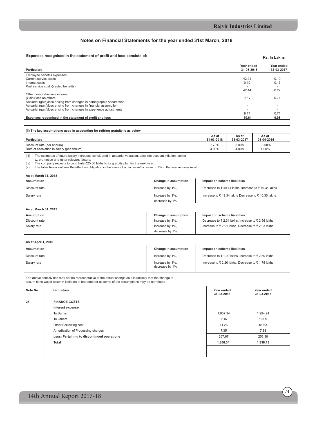# **Notes on Financial Statements for the year ended 31st March, 2018**

|                                                                                                   | Expenses recognised in the statement of profit and loss consists of:                                                                                                                                                                                                                                                                                                                        |                                   |                                                   |                                                  |                                                    | Rs. In Lakhs             |  |
|---------------------------------------------------------------------------------------------------|---------------------------------------------------------------------------------------------------------------------------------------------------------------------------------------------------------------------------------------------------------------------------------------------------------------------------------------------------------------------------------------------|-----------------------------------|---------------------------------------------------|--------------------------------------------------|----------------------------------------------------|--------------------------|--|
| <b>Particulars</b>                                                                                |                                                                                                                                                                                                                                                                                                                                                                                             |                                   |                                                   | Year ended<br>31-03-2018                         |                                                    | Year ended<br>31-03-2017 |  |
| Current service costs                                                                             | Employee benefits expenses:                                                                                                                                                                                                                                                                                                                                                                 |                                   |                                                   | 42.24                                            |                                                    | 0.10                     |  |
| Interest costs                                                                                    |                                                                                                                                                                                                                                                                                                                                                                                             |                                   |                                                   | 0.19                                             |                                                    | 0.17                     |  |
|                                                                                                   | Past service cost -(vested benefits)                                                                                                                                                                                                                                                                                                                                                        |                                   |                                                   | 42.44                                            |                                                    | 0.27                     |  |
|                                                                                                   | Other comprehensive income:                                                                                                                                                                                                                                                                                                                                                                 |                                   |                                                   |                                                  |                                                    |                          |  |
| (Gain)/loss on others                                                                             | Actuarial (gain)/loss arising from changes in demographic Assumption                                                                                                                                                                                                                                                                                                                        |                                   |                                                   | 8.17                                             |                                                    | 0.71                     |  |
|                                                                                                   | Actuarial (gain)/loss arising from changes in financial assumption<br>Actuarial (gain)/loss arising from changes in experience adjustments                                                                                                                                                                                                                                                  |                                   |                                                   |                                                  |                                                    |                          |  |
|                                                                                                   |                                                                                                                                                                                                                                                                                                                                                                                             |                                   |                                                   | 8.17                                             |                                                    | 0.71                     |  |
|                                                                                                   | Expenses recognised in the statement of profit and loss                                                                                                                                                                                                                                                                                                                                     |                                   |                                                   | 50.61                                            |                                                    | 0.98                     |  |
|                                                                                                   | (ii) The key assumptions used in accounting for retiring gratuity is as below:                                                                                                                                                                                                                                                                                                              |                                   |                                                   |                                                  |                                                    |                          |  |
|                                                                                                   |                                                                                                                                                                                                                                                                                                                                                                                             |                                   | As at                                             | As at                                            |                                                    | As at                    |  |
| <b>Particulars</b>                                                                                |                                                                                                                                                                                                                                                                                                                                                                                             |                                   | 31-03-2018                                        | 31-03-2017                                       |                                                    | 01-04-2016               |  |
|                                                                                                   | Discount rate (per annum)<br>Rate of escalation in salary (per annum)                                                                                                                                                                                                                                                                                                                       |                                   | 7.73%<br>3.00%                                    | 8.00%<br>4.00%                                   |                                                    | 8.00%<br>4.00%           |  |
| (iii)<br>(iv)<br>(v)                                                                              | The estimates of future salary increases considered in actuarial valuation, take into account inflation, senior<br>ty, promotion and other relevant factors.<br>The company expects to contribute $\overline{2}25.00$ lakhs to its gratuity plan for the next year.<br>The table below outlines the effect on obligation in the event of a decrease/increase of 1% in the assumptions used. |                                   |                                                   |                                                  |                                                    |                          |  |
| As at March 31, 2018<br><b>Assumption</b><br>Change in assumption<br>Impact on scheme liabilities |                                                                                                                                                                                                                                                                                                                                                                                             |                                   |                                                   |                                                  |                                                    |                          |  |
| Discount rate<br>Increase by 1%,                                                                  |                                                                                                                                                                                                                                                                                                                                                                                             |                                   |                                                   |                                                  | Decrease to ₹40.74 lakhs, Increase to ₹49.34 lakhs |                          |  |
| Salary rate<br>Increase by 1%,                                                                    |                                                                                                                                                                                                                                                                                                                                                                                             |                                   | Increase to ₹49.34 lakhs Decrease to ₹40.30 lakhs |                                                  |                                                    |                          |  |
|                                                                                                   |                                                                                                                                                                                                                                                                                                                                                                                             | decrease by 1%                    |                                                   |                                                  |                                                    |                          |  |
| As at March 31, 2017                                                                              |                                                                                                                                                                                                                                                                                                                                                                                             |                                   |                                                   |                                                  |                                                    |                          |  |
| <b>Assumption</b>                                                                                 |                                                                                                                                                                                                                                                                                                                                                                                             | Change in assumption              | Impact on scheme liabilities                      |                                                  |                                                    |                          |  |
| Discount rate                                                                                     |                                                                                                                                                                                                                                                                                                                                                                                             | Increase by 1%,                   |                                                   | Decrease to ₹2.31 lakhs, Increase to ₹2.56 lakhs |                                                    |                          |  |
| Salary rate                                                                                       |                                                                                                                                                                                                                                                                                                                                                                                             | Increase by 1%,                   |                                                   | Increase to ₹2.91 lakhs, Decrease to ₹2.03 lakhs |                                                    |                          |  |
|                                                                                                   |                                                                                                                                                                                                                                                                                                                                                                                             | decrease by 1%                    |                                                   |                                                  |                                                    |                          |  |
| As at April 1, 2016                                                                               |                                                                                                                                                                                                                                                                                                                                                                                             |                                   |                                                   |                                                  |                                                    |                          |  |
| <b>Assumption</b>                                                                                 |                                                                                                                                                                                                                                                                                                                                                                                             | Change in assumption              | Impact on scheme liabilities                      |                                                  |                                                    |                          |  |
| Discount rate                                                                                     |                                                                                                                                                                                                                                                                                                                                                                                             | Increase by 1%,                   |                                                   | Decrease to ₹1.99 lakhs, Increase to ₹2.50 lakhs |                                                    |                          |  |
| Salary rate                                                                                       |                                                                                                                                                                                                                                                                                                                                                                                             | Increase by 1%,<br>decrease by 1% | Increase to ₹2.20 lakhs, Decrease to ₹1.75 lakhs  |                                                  |                                                    |                          |  |
|                                                                                                   | The above sensitivities may not be representative of the actual change as it is unlikely that the change in<br>assum tions would occur in isolation of one another as some of the assumptions may be correlated.                                                                                                                                                                            |                                   |                                                   |                                                  |                                                    |                          |  |
| Note No.                                                                                          | <b>Particulars</b>                                                                                                                                                                                                                                                                                                                                                                          |                                   | Year ended<br>31-03-2018                          |                                                  |                                                    | Year ended<br>31-03-2017 |  |
| 28                                                                                                | <b>FINANCE COSTS</b>                                                                                                                                                                                                                                                                                                                                                                        |                                   |                                                   |                                                  |                                                    |                          |  |
|                                                                                                   | Interest expense                                                                                                                                                                                                                                                                                                                                                                            |                                   |                                                   |                                                  |                                                    |                          |  |
|                                                                                                   | To Banks                                                                                                                                                                                                                                                                                                                                                                                    |                                   | 1,937.34                                          |                                                  |                                                    | 1,994.91                 |  |
| To Others                                                                                         |                                                                                                                                                                                                                                                                                                                                                                                             |                                   | 88.07                                             |                                                  |                                                    | 10.09                    |  |
|                                                                                                   | Other Borrowing cost                                                                                                                                                                                                                                                                                                                                                                        |                                   | 41.26                                             |                                                  |                                                    | 81.63                    |  |
|                                                                                                   | Amortisation of Processing charges                                                                                                                                                                                                                                                                                                                                                          |                                   | 7.35                                              |                                                  |                                                    | 7.88                     |  |
|                                                                                                   | Less: Pertaining to discontinued operations                                                                                                                                                                                                                                                                                                                                                 |                                   | 267.67                                            |                                                  |                                                    | 256.38                   |  |
|                                                                                                   | Total                                                                                                                                                                                                                                                                                                                                                                                       |                                   | 1,806.34                                          |                                                  |                                                    | 1,838.13                 |  |
|                                                                                                   |                                                                                                                                                                                                                                                                                                                                                                                             |                                   |                                                   |                                                  |                                                    |                          |  |
|                                                                                                   |                                                                                                                                                                                                                                                                                                                                                                                             |                                   |                                                   |                                                  |                                                    |                          |  |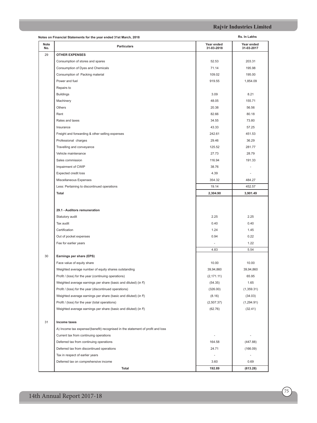$\boxed{75}$ 

|             | Rs. In Lakhs<br>Notes on Financial Statements for the year ended 31st March, 2018 |                          |                          |
|-------------|-----------------------------------------------------------------------------------|--------------------------|--------------------------|
| Note<br>No. | <b>Particulars</b>                                                                | Year ended<br>31-03-2018 | Year ended<br>31-03-2017 |
| 29          | <b>OTHER EXPENSES</b>                                                             |                          |                          |
|             | Consumption of stores and spares                                                  | 52.53                    | 203.31                   |
|             | Consumption of Dyes and Chemicals                                                 | 71.14                    | 195.98                   |
|             | Consumption of Packing material                                                   | 109.02                   | 195.00                   |
|             | Power and fuel                                                                    | 919.55                   | 1,854.09                 |
|             | Repairs to                                                                        |                          |                          |
|             | <b>Buildings</b>                                                                  | 3.09                     | 8.21                     |
|             | Machinery                                                                         | 48.05                    | 155.71                   |
|             | Others                                                                            | 20.38                    | 56.56                    |
|             | Rent                                                                              | 82.66                    | 80.18                    |
|             | Rates and taxes                                                                   | 34.55                    | 73.80                    |
|             | Insurance                                                                         | 43.33                    | 57.25                    |
|             | Freight and forwarding & other selling expenses                                   | 242.61                   | 451.53                   |
|             | Professional charges                                                              | 29.46                    | 36.29                    |
|             | Travelling and conveyance                                                         | 125.52                   | 281.77                   |
|             | Vehicle maintenance                                                               | 27.73                    | 28.79                    |
|             | Sales commission                                                                  | 116.94                   | 191.33                   |
|             | Impairment of CWIP                                                                | 38.76                    |                          |
|             | Expected credit loss                                                              | 4.39                     |                          |
|             | Miscellaneous Expenses                                                            | 354.32                   | 484.27                   |
|             | Less: Pertaining to discontinued operations                                       | 19.14                    | 452.57                   |
|             | Total                                                                             | 2,304.90                 | 3,901.49                 |
|             |                                                                                   |                          |                          |
|             | 29.1 - Auditors remuneration                                                      |                          |                          |
|             | Statutory audit                                                                   | 2.25                     | 2.25                     |
|             | Tax audit                                                                         | 0.40                     | 0.40                     |
|             | Certification                                                                     | 1.24                     | 1.45                     |
|             | Out of pocket expenses                                                            | 0.94                     | 0.22                     |
|             | Fee for earlier years                                                             | ä,                       | 1.22                     |
|             |                                                                                   | 4.83                     | 5.54                     |
| 30          | Earnings per share (EPS)                                                          |                          |                          |
|             | Face value of equity share                                                        | 10.00                    | 10.00                    |
|             | Weighted average number of equity shares outstanding                              | 39,94,860                | 39,94,860                |
|             | Profit / (loss) for the year (continuing operations)                              | (2, 171.11)              | 65.95                    |
|             | Weighted average earnings per share (basic and diluted) (in $\bar{\tau}$ )        | (54.35)                  | 1.65                     |
|             | Profit / (loss) for the year (discontinued operations)                            | (326.00)                 | (1,359.31)               |
|             | Weighted average earnings per share (basic and diluted) (in ₹)                    | (8.16)                   | (34.03)                  |
|             | Profit / (loss) for the year (total operations)                                   | (2,507.37)               | (1, 294.91)              |
|             | Weighted average earnings per share (basic and diluted) (in $\bar{\tau}$ )        | (62.76)                  | (32.41)                  |
| 31          | Income taxes                                                                      |                          |                          |
|             | A) Income tax expense/(benefit) recognised in the statement of profit and loss    |                          |                          |
|             | Current tax from continuing operations                                            |                          |                          |
|             | Deferred tax from continuing operations                                           | 164.58                   | (447.88)                 |
|             | Deferred tax from discontinued operations                                         | 24.71                    | (166.09)                 |
|             | Tax in respect of earlier years                                                   | ä,                       |                          |
|             | Deferred tax on comprehensive income                                              | 3.60                     | 0.69                     |
|             | Total                                                                             | 192.89                   | (613.28)                 |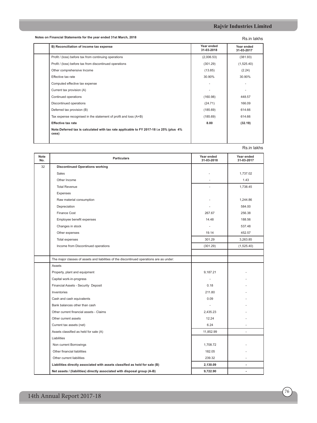**Notes on Financial Statements for the year ended 31st March, 2018** 

## Rs.in lakhs

| B) Reconciliation of income tax expense                                                          | Year ended<br>31-03-2018 | Year ended<br>31-03-2017 |
|--------------------------------------------------------------------------------------------------|--------------------------|--------------------------|
| Profit / (loss) before tax from continuing operations                                            | (2,006.53)               | (381.93)                 |
| Profit / (loss) before tax from discontinued operations                                          | (301.29)                 | (1,525.40)               |
| Other comprehensive Income                                                                       | (13.85)                  | (2.24)                   |
| Effective tax rate                                                                               | 30.90%                   | 30.90%                   |
| Computed effective tax expense                                                                   |                          |                          |
| Current tax provision (A)                                                                        |                          |                          |
| Continued operations                                                                             | (160.98)                 | 448.57                   |
| Discontinued operations                                                                          | (24.71)                  | 166.09                   |
| Deferred tax provision (B)                                                                       | (185.69)                 | 614.66                   |
| Tax expense recognised in the statement of profit and loss (A+B)                                 | (185.69)                 | 614.66                   |
| <b>Effective tax rate</b>                                                                        | 8.00                     | (32.19)                  |
| Note:Deferred tax is calculated with tax rate applicable to FY 2017-18 i.e 25% (plus 4%<br>cess) |                          |                          |

Rs.in lakhs

| Note<br>No. | <b>Particulars</b>                                                                       | Year ended<br>31-03-2018 | Year ended<br>31-03-2017 |
|-------------|------------------------------------------------------------------------------------------|--------------------------|--------------------------|
| 32          | <b>Discontinued Operations working</b>                                                   |                          |                          |
|             | Sales                                                                                    |                          | 1,737.02                 |
|             | Other Income                                                                             |                          | 1.43                     |
|             | <b>Total Revenue</b>                                                                     | ÷                        | 1,738.45                 |
|             | Expenses                                                                                 |                          |                          |
|             | Raw material consumption                                                                 |                          | 1,244.86                 |
|             | Depreciation                                                                             |                          | 584.00                   |
|             | <b>Finance Cost</b>                                                                      | 267.67                   | 256.38                   |
|             | Employee benefit expenses                                                                | 14.48                    | 188.56                   |
|             | Changes in stock                                                                         | ×.                       | 537.48                   |
|             | Other expenses                                                                           | 19.14                    | 452.57                   |
|             | Total expenses                                                                           | 301.29                   | 3,263.85                 |
|             | Income from Discontinued operations                                                      | (301.29)                 | (1,525.40)               |
|             |                                                                                          |                          |                          |
|             | The major classes of assets and liabilities of the discontinued operations are as under: |                          |                          |
|             | Assets                                                                                   |                          |                          |
|             | Property, plant and equipment                                                            | 9,187.21                 |                          |
|             | Capital work-in-progress                                                                 | ٠                        |                          |
|             | Financial Assets - Security Deposit                                                      | 0.18                     |                          |
|             | Inventories                                                                              | 211.80                   |                          |
|             | Cash and cash equivalents                                                                | 0.09                     |                          |
|             | Bank balances other than cash                                                            |                          |                          |
|             | Other current financial assets - Claims                                                  | 2,435.23                 |                          |
|             | Other current assets                                                                     | 12.24                    |                          |
|             | Current tax assets (net)                                                                 | 6.24                     |                          |
|             | Assets classified as held for sale (A)                                                   | 11.852.99                | ä,                       |
|             | Liabilities                                                                              |                          |                          |
|             | Non current Borrowings                                                                   | 1,708.72                 |                          |
|             | Other financial liabilities                                                              | 182.05                   |                          |
|             | Other current liabilities                                                                | 239.32                   |                          |
|             | Liabilities directly associated with assets classified as held for sale (B)              | 2,130.09                 | ÷.                       |
|             | Net assets / (liabilities) directly associated with disposal group (A-B)                 | 9,722.90                 | ä,                       |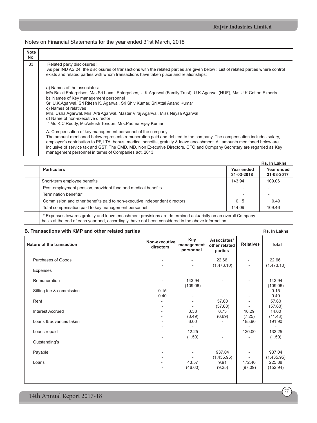Notes on Financial Statements for the year ended 31st March, 2018

| <b>Note</b><br>No. |                                                                                                                                                                                                                                                                                                                                                                                                                                                                                                    |
|--------------------|----------------------------------------------------------------------------------------------------------------------------------------------------------------------------------------------------------------------------------------------------------------------------------------------------------------------------------------------------------------------------------------------------------------------------------------------------------------------------------------------------|
| 33                 | Related party disclosures :<br>As per IND AS 24, the disclosures of transactions with the related parties are given below: List of related parties where control<br>exists and related parties with whom transactions have taken place and relationships:                                                                                                                                                                                                                                          |
|                    | a) Names of the associates:<br>M/s Balaji Enterprises, M/s Sri Laxmi Enterprises, U.K.Agarwal (Family Trust), U.K.Agarwal (HUF), M/s U.K.Cotton Exports<br>b) Names of Key management personnel<br>Sri U.K.Agarwal, Sri Ritesh K. Agarwal, Sri Shiv Kumar, Sri Attal Anand Kumar<br>c) Names of relatives<br>Mrs. Usha Agarwal, Mrs. Arti Agarwal, Master Viraj Agarwal, Miss Neysa Agarwal<br>d) Name of non-executive director<br>" Mr. K.C.Reddy, Mr.Ankush Tondon, Mrs.Padma Vijay Kumar       |
|                    | A. Compensation of key management personnel of the company<br>The amount mentioned below represents remuneration paid and debited to the company. The compensation includes salary,<br>employer's contribution to PF, LTA, bonus, medical benefits, gratuity & leave encashment. All amounts mentioned below are<br>inclusive of service tax and GST. The CMD, MD, Non Executive Directors, CFO and Company Secretary are regarded as Key<br>management personnel in terms of Companies act, 2013. |
|                    | De la Lables                                                                                                                                                                                                                                                                                                                                                                                                                                                                                       |

|                                                                                                                                                                                                                  |                          | <b>Rs. In Lakhs</b>      |  |  |
|------------------------------------------------------------------------------------------------------------------------------------------------------------------------------------------------------------------|--------------------------|--------------------------|--|--|
| <b>Particulars</b>                                                                                                                                                                                               | Year ended<br>31-03-2018 | Year ended<br>31-03-2017 |  |  |
| Short-term employee benefits                                                                                                                                                                                     | 143.94                   | 109.06                   |  |  |
| Post-employment pension, provident fund and medical benefits                                                                                                                                                     |                          |                          |  |  |
| Termination benefits*                                                                                                                                                                                            |                          |                          |  |  |
| Commission and other benefits paid to non-executive independent directors                                                                                                                                        | 0.15                     | 0.40                     |  |  |
| Total compensation paid to key management personnel                                                                                                                                                              | 144.09                   | 109.46                   |  |  |
| Expenses towards gratuity and leave encashment provisions are determined actuarially on an overall Company<br>basis at the end of each year and, accordingly, have not been considered in the above information. |                          |                          |  |  |

## **B. Transactions with KMP and other related parties Rs. In Lakhs**

| Nature of the transaction | Non-executive<br>directors                 | Key<br>management<br>personnel | Associates/<br>other related<br>parties | Relatives                                            | <b>Total</b>                     |
|---------------------------|--------------------------------------------|--------------------------------|-----------------------------------------|------------------------------------------------------|----------------------------------|
| Purchases of Goods        | -<br>$\overline{\phantom{a}}$              |                                | 22.66<br>(1,473.10)                     | $\overline{\phantom{a}}$<br>$\overline{\phantom{a}}$ | 22.66<br>(1,473.10)              |
| <b>Expenses</b>           |                                            |                                |                                         |                                                      |                                  |
| Remuneration              | ٠                                          | 143.94                         |                                         |                                                      | 143.94                           |
| Sitting fee & commission  | ۰<br>0.15                                  | (109.06)                       |                                         |                                                      | (109.06)<br>0.15                 |
|                           | 0.40                                       |                                |                                         |                                                      | 0.40                             |
| Rent                      |                                            |                                | 57.60                                   |                                                      | 57.60                            |
| <b>Interest Accrued</b>   |                                            | 3.58                           | (57.60)<br>0.73                         | 10.29                                                | (57.60)<br>14.60<br>(11.43)      |
| Loans & advances taken    |                                            | (3.49)<br>6.00                 | (0.69)                                  | (7.25)<br>185.90                                     | 191.90                           |
| Loans repaid              | $\overline{\phantom{a}}$<br>$\overline{a}$ | 12.25                          | $\overline{\phantom{a}}$                | 120.00                                               | 132.25                           |
| Outstanding's             |                                            | (1.50)                         | $\blacksquare$                          |                                                      | (1.50)                           |
| Payable                   | $\qquad \qquad \blacksquare$               | $\overline{\phantom{a}}$       | 937.04                                  | $\overline{\phantom{a}}$                             | 937.04                           |
| Loans                     |                                            | 43.57<br>(46.60)               | (1,435.95)<br>9.91<br>(9.25)            | $\overline{\phantom{a}}$<br>172.40<br>(97.09)        | (1,435.95)<br>225.88<br>(152.94) |
|                           |                                            |                                |                                         |                                                      |                                  |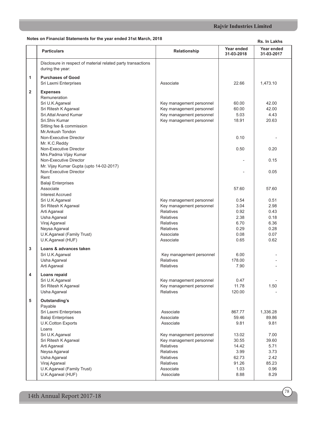# **Notes on Financial Statements for the year ended 31st March, 2018 Reserve the Statements of the lackhoop**

|                |                                                              |                               |                          | RS. III LAKIIS           |
|----------------|--------------------------------------------------------------|-------------------------------|--------------------------|--------------------------|
|                | <b>Particulars</b>                                           | Relationship                  | Year ended<br>31-03-2018 | Year ended<br>31-03-2017 |
|                | Disclosure in respect of material related party transactions |                               |                          |                          |
|                | during the year:                                             |                               |                          |                          |
| 1              | <b>Purchases of Good</b>                                     |                               |                          |                          |
|                | Sri Laxmi Enterprises                                        | Associate                     | 22.66                    | 1,473.10                 |
| $\overline{2}$ | <b>Expenses</b>                                              |                               |                          |                          |
|                | Remuneration                                                 |                               |                          |                          |
|                | Sri U.K.Agarwal                                              | Key management personnel      | 60.00                    | 42.00                    |
|                | Sri Ritesh K Agarwal                                         | Key management personnel      | 60.00                    | 42.00                    |
|                | Sri.Attal Anand Kumar                                        | Key management personnel      | 5.03                     | 4.43                     |
|                | Sri.Shiv Kumar                                               | Key management personnel      | 18.91                    | 20.63                    |
|                | Sitting fee & commission                                     |                               |                          |                          |
|                | Mr.Ankush Tondon                                             |                               |                          |                          |
|                | Non-Executive Director                                       |                               | 0.10                     |                          |
|                | Mr. K.C.Reddy                                                |                               |                          |                          |
|                | Non-Executive Director                                       |                               | 0.50                     | 0.20                     |
|                | Mrs.Padma Vijay Kumar                                        |                               |                          |                          |
|                | Non-Executive Director                                       |                               |                          | 0.15                     |
|                | Mr. Vijay Kumar Gupta (upto 14-02-2017)                      |                               |                          |                          |
|                | Non-Executive Director                                       |                               |                          | 0.05                     |
|                | Rent                                                         |                               |                          |                          |
|                | <b>Balaji Enterprises</b>                                    |                               |                          |                          |
|                | Associate                                                    |                               | 57.60                    | 57.60                    |
|                | <b>Interest Accrued</b>                                      |                               |                          |                          |
|                | Sri U.K.Agarwal                                              | Key management personnel      | 0.54                     | 0.51                     |
|                | Sri Ritesh K Agarwal                                         | Key management personnel      | 3.04                     | 2.98                     |
|                | Arti Agarwal                                                 | <b>Relatives</b>              | 0.92                     | 0.43                     |
|                | Usha Agarwal                                                 | <b>Relatives</b>              | 2.38                     | 0.18                     |
|                | Viraj Agarwal                                                | <b>Relatives</b>              | 6.70                     | 6.36                     |
|                | Neysa Agarwal                                                | <b>Relatives</b><br>Associate | 0.29<br>0.08             | 0.28<br>0.07             |
|                | U.K.Agarwal (Family Trust)<br>U.K.Agarwal (HUF)              | Associate                     | 0.65                     | 0.62                     |
|                |                                                              |                               |                          |                          |
| 3              | Loans & advances taken                                       |                               |                          |                          |
|                | Sri U.K.Agarwal                                              | Key management personnel      | 6.00                     |                          |
|                | Usha Agarwal                                                 | Relatives                     | 178.00                   |                          |
|                | Arti Agarwal                                                 | <b>Relatives</b>              | 7.90                     |                          |
| 4              | Loans repaid                                                 |                               |                          |                          |
|                | Sri U.K.Agarwal                                              | Key management personnel      | 0.47                     |                          |
|                | Sri Ritesh K Agarwal                                         | Key management personnel      | 11.78                    | 1.50                     |
|                | Usha Agarwal                                                 | <b>Relatives</b>              | 120.00                   |                          |
| 5              | Outstanding's                                                |                               |                          |                          |
|                | Payable                                                      |                               |                          |                          |
|                | Sri Laxmi Enterprises                                        | Associate                     | 867.77                   | 1,336.28                 |
|                | <b>Balaji Enterprises</b>                                    | Associate                     | 59.46                    | 89.86                    |
|                | <b>U.K.Cotton Exports</b>                                    | Associate                     | 9.81                     | 9.81                     |
|                | Loans                                                        |                               |                          |                          |
|                | Sri U.K.Agarwal                                              | Key management personnel      | 13.02                    | 7.00                     |
|                | Sri Ritesh K Agarwal                                         | Key management personnel      | 30.55                    | 39.60                    |
|                | Arti Agarwal                                                 | <b>Relatives</b>              | 14.42                    | 5.71                     |
|                | Neysa Agarwal                                                | Relatives                     | 3.99                     | 3.73                     |
|                | Usha Agarwal                                                 | Relatives                     | 62.73                    | 2.42                     |
|                | Viraj Agarwal                                                | Relatives                     | 91.26                    | 85.23                    |
|                | U.K.Agarwal (Family Trust)                                   | Associate                     | 1.03                     | 0.96                     |
|                | U.K.Agarwal (HUF)                                            | Associate                     | 8.88                     | 8.29                     |
|                |                                                              |                               |                          |                          |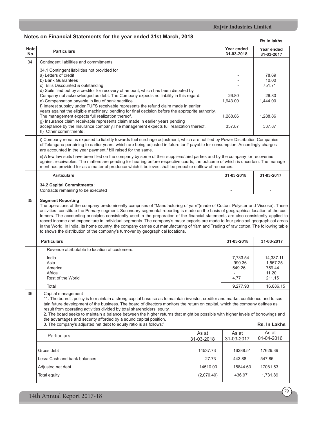# **Notes on Financial Statements for the year ended 31st March, 2018 Rs.in lakhs** Rs.in lakhs

| <b>Note</b><br>No.                                                                                                                                                                                                                                                                                                                                                                                                                                                                                                                                                                                     | <b>Particulars</b>                                                                                                                                                                                                                                                                                                                                                                                                                                                                                                                                                                                                                                                                                                                                                                                                     |                     | Year ended<br>31-03-2018                | Year ended<br>31-03-2017                                            |  |
|--------------------------------------------------------------------------------------------------------------------------------------------------------------------------------------------------------------------------------------------------------------------------------------------------------------------------------------------------------------------------------------------------------------------------------------------------------------------------------------------------------------------------------------------------------------------------------------------------------|------------------------------------------------------------------------------------------------------------------------------------------------------------------------------------------------------------------------------------------------------------------------------------------------------------------------------------------------------------------------------------------------------------------------------------------------------------------------------------------------------------------------------------------------------------------------------------------------------------------------------------------------------------------------------------------------------------------------------------------------------------------------------------------------------------------------|---------------------|-----------------------------------------|---------------------------------------------------------------------|--|
| 34                                                                                                                                                                                                                                                                                                                                                                                                                                                                                                                                                                                                     | Contingent liabilities and commitments                                                                                                                                                                                                                                                                                                                                                                                                                                                                                                                                                                                                                                                                                                                                                                                 |                     |                                         |                                                                     |  |
|                                                                                                                                                                                                                                                                                                                                                                                                                                                                                                                                                                                                        | 34.1 Contingent liabilities not provided for<br>a) Letters of credit<br>b) Bank Guarantees<br>c) Bills Discounted & outstanding<br>d) Suits filed but by a creditor for recovery of amount, which has been disputed by<br>Company not acknowledged as debt. The Company expects no liability in this regard.<br>e) Compensation payable in lieu of bank sacrifice<br>f) Interest subsidy under TUFS receivable represents the refund claim made in earlier<br>years against the eligible machinery, pending for final decision before the approprite authority.<br>The management expects full realization thereof.<br>g) Insurance claim receivable represents claim made in earlier years pending<br>acceptance by the Insurance company. The management expects full realization thereof.<br>h) Other commitments : |                     | 26.80<br>1,943.00<br>1,288.86<br>337.87 | 78.69<br>10.00<br>751.71<br>26.80<br>1,444.00<br>1,288.86<br>337.87 |  |
| i) Company remains exposed to liability towards fuel surchage adjustment, which are notified by Power Distribution Companies<br>of Telangana pertaining to earlier years, which are being adjusted in future tariff payable for consumption. Accordingly charges<br>are accounted in the year payment / bill raised for the same.<br>ii) A few law suits have been filed on the company by some of their suppliers/third parties and by the company for recoveries<br>against receivables. The matters are pending for hearing before respective courts, the outcome of which is uncertain. The manage |                                                                                                                                                                                                                                                                                                                                                                                                                                                                                                                                                                                                                                                                                                                                                                                                                        |                     |                                         |                                                                     |  |
|                                                                                                                                                                                                                                                                                                                                                                                                                                                                                                                                                                                                        | ment has provided for as a matter of prudence which it believes shall be probable outflow of resources.<br><b>Particulars</b>                                                                                                                                                                                                                                                                                                                                                                                                                                                                                                                                                                                                                                                                                          |                     | 31-03-2018                              | 31-03-2017                                                          |  |
|                                                                                                                                                                                                                                                                                                                                                                                                                                                                                                                                                                                                        |                                                                                                                                                                                                                                                                                                                                                                                                                                                                                                                                                                                                                                                                                                                                                                                                                        |                     |                                         |                                                                     |  |
|                                                                                                                                                                                                                                                                                                                                                                                                                                                                                                                                                                                                        | 34.2 Capital Commitments :<br>Contracts remaining to be executed                                                                                                                                                                                                                                                                                                                                                                                                                                                                                                                                                                                                                                                                                                                                                       |                     |                                         |                                                                     |  |
|                                                                                                                                                                                                                                                                                                                                                                                                                                                                                                                                                                                                        | 35<br><b>Segment Reporting</b><br>The operations of the company predominently comprises of "Manufacturing of yarn"(made of Cotton, Polyster and Viscose). These<br>activities constitute the Primary segment. Secondary segmental reporting is made on the basis of geographical location of the cus-<br>tomers. The accounting principles consistently used in the preparation of the financial statements are also consistently applied to<br>record income and expenditure in individual segments. The company's major exports are made to four principal geographical areas<br>in the World. In India, its home country, the company carries out manufacturing of Yarn and Trading of raw cotton. The following table<br>to shows the distribution of the company's turnover by geographical locations.            |                     |                                         |                                                                     |  |
|                                                                                                                                                                                                                                                                                                                                                                                                                                                                                                                                                                                                        | <b>Particulars</b>                                                                                                                                                                                                                                                                                                                                                                                                                                                                                                                                                                                                                                                                                                                                                                                                     |                     | 31-03-2018                              | 31-03-2017                                                          |  |
|                                                                                                                                                                                                                                                                                                                                                                                                                                                                                                                                                                                                        | Revenue attributable to location of customers:<br>India<br>Asia<br>America<br>Africa<br>Rest of the World                                                                                                                                                                                                                                                                                                                                                                                                                                                                                                                                                                                                                                                                                                              |                     | 7,733.54<br>990.36<br>549.26<br>4.77    | 14,337.11<br>1,567.25<br>759.44<br>11.20<br>211.15                  |  |
|                                                                                                                                                                                                                                                                                                                                                                                                                                                                                                                                                                                                        | Total                                                                                                                                                                                                                                                                                                                                                                                                                                                                                                                                                                                                                                                                                                                                                                                                                  |                     | 9,277.93                                | 16,886.15                                                           |  |
| 36                                                                                                                                                                                                                                                                                                                                                                                                                                                                                                                                                                                                     | Capital management<br>"1. The board's policy is to maintain a strong capital base so as to maintain investor, creditor and market confidence and to sus<br>tain future development of the business. The board of directors monitors the return on capital, which the company defines as<br>result from operating activities divided by total shareholders' equity.<br>2. The board seeks to maintain a balance between the higher returns that might be possible with higher levels of borrowings and<br>the advantages and security afforded by a sound capital position.<br>3. The company's adjusted net debt to equity ratio is as follows:"<br>Rs. In Lakhs                                                                                                                                                       |                     |                                         |                                                                     |  |
|                                                                                                                                                                                                                                                                                                                                                                                                                                                                                                                                                                                                        | Particulars                                                                                                                                                                                                                                                                                                                                                                                                                                                                                                                                                                                                                                                                                                                                                                                                            | As at<br>31-03-2018 | As at<br>31-03-2017                     | As at<br>01-04-2016                                                 |  |
|                                                                                                                                                                                                                                                                                                                                                                                                                                                                                                                                                                                                        | Gross debt<br>Less: Cash and bank balances                                                                                                                                                                                                                                                                                                                                                                                                                                                                                                                                                                                                                                                                                                                                                                             | 14537.73<br>27.73   | 16288.51<br>443.88                      | 17629.39<br>547.86                                                  |  |
|                                                                                                                                                                                                                                                                                                                                                                                                                                                                                                                                                                                                        | Adjusted net debt                                                                                                                                                                                                                                                                                                                                                                                                                                                                                                                                                                                                                                                                                                                                                                                                      | 14510.00            | 15844.63                                | 17081.53                                                            |  |
|                                                                                                                                                                                                                                                                                                                                                                                                                                                                                                                                                                                                        | Total equity                                                                                                                                                                                                                                                                                                                                                                                                                                                                                                                                                                                                                                                                                                                                                                                                           | (2,070.40)          | 436.97                                  | 1,731.89                                                            |  |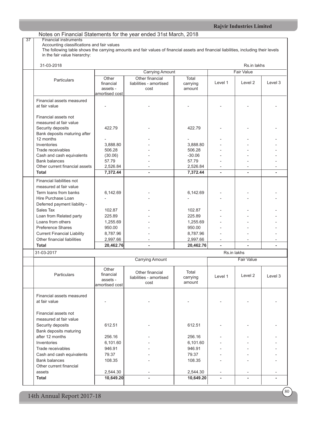# Notes on Financial Statements for the year ended 31st March, 2018

37 | Financial instruments

Accounting classifications and fair values

The following table shows the carrying amounts and fair values of financial assets and financial liabilities, including their levels in the fair value hierarchy:

| 31-03-2018                                                                                          |                                                  |                                                    |                             |             | Rs.in lakhs       |         |  |
|-----------------------------------------------------------------------------------------------------|--------------------------------------------------|----------------------------------------------------|-----------------------------|-------------|-------------------|---------|--|
|                                                                                                     |                                                  | <b>Carrying Amount</b>                             |                             |             | <b>Fair Value</b> |         |  |
| Particulars                                                                                         | Other<br>financial<br>assets -<br>amortised cost | Other financial<br>liabilities - amortised<br>cost | Total<br>carrying<br>amount | Level 1     | Level 2           | Level 3 |  |
| Financial assets measured<br>at fair value                                                          |                                                  |                                                    |                             |             |                   |         |  |
| Financial assets not<br>measured at fair value<br>Security deposits<br>Bank deposits maturing after | 422.79                                           |                                                    | 422.79                      |             |                   |         |  |
| 12 months                                                                                           |                                                  |                                                    |                             |             |                   |         |  |
| Inventories                                                                                         | 3.888.80                                         |                                                    | 3.888.80                    |             |                   |         |  |
| Trade receivables                                                                                   | 506.28                                           |                                                    | 506.28                      |             |                   |         |  |
| Cash and cash equivalents                                                                           | (30.06)                                          |                                                    | $-30.06$                    |             |                   |         |  |
| <b>Bank balances</b>                                                                                | 57.79                                            |                                                    | 57.79                       |             |                   |         |  |
| Other current financial assets                                                                      | 2,526.84                                         |                                                    | 2,526.84                    |             |                   |         |  |
| <b>Total</b>                                                                                        | 7,372.44                                         |                                                    | 7,372.44                    |             |                   |         |  |
| Financial liabilities not<br>measured at fair value                                                 |                                                  |                                                    |                             |             |                   |         |  |
| Term loans from banks                                                                               | 6,142.69                                         |                                                    | 6,142.69                    |             |                   |         |  |
| Hire Purchase Loan<br>Deferred payment liability -                                                  |                                                  |                                                    |                             |             |                   |         |  |
| Sales Tax                                                                                           | 102.87                                           |                                                    | 102.87                      |             |                   |         |  |
| Loan from Related party                                                                             | 225.89                                           |                                                    | 225.89                      |             |                   |         |  |
| Loans from others                                                                                   | 1,255.69                                         |                                                    | 1,255.69                    |             |                   |         |  |
| Preference Shares                                                                                   | 950.00                                           |                                                    | 950.00                      |             |                   |         |  |
| <b>Current Financial Liability</b>                                                                  | 8,787.96                                         |                                                    | 8,787.96                    |             |                   |         |  |
| Other financial liabilities                                                                         | 2,997.66                                         | $\overline{\phantom{a}}$                           | 2,997.66                    | ٠           |                   |         |  |
| <b>Total</b>                                                                                        | 20,462.76                                        | ä,                                                 | 20,462.76                   | L.          |                   |         |  |
| 31-03-2017                                                                                          |                                                  |                                                    |                             | Rs.in lakhs |                   |         |  |
|                                                                                                     |                                                  | <b>Carrying Amount</b>                             |                             |             | <b>Fair Value</b> |         |  |
|                                                                                                     | Other                                            |                                                    | $-1$                        |             |                   |         |  |

| <b>Particulars</b>                                                                            | Other<br>financial<br>assets -<br>lamortised cost <i>\</i> | Other financial<br>liabilities - amortised<br>cost | Total<br>carrying<br>amount | Level 1 | Level 2 | Level 3 |
|-----------------------------------------------------------------------------------------------|------------------------------------------------------------|----------------------------------------------------|-----------------------------|---------|---------|---------|
| Financial assets measured<br>at fair value                                                    |                                                            |                                                    |                             |         |         |         |
| Financial assets not<br>measured at fair value<br>Security deposits<br>Bank deposits maturing | 612.51                                                     |                                                    | 612.51                      |         |         |         |
| after 12 months                                                                               | 256.16                                                     |                                                    | 256.16                      |         |         |         |
| Inventories                                                                                   | 6,101.60                                                   | -                                                  | 6,101.60                    |         |         |         |
| Trade receivables                                                                             | 946.91                                                     |                                                    | 946.91                      |         |         |         |
| Cash and cash equivalents                                                                     | 79.37                                                      |                                                    | 79.37                       |         |         |         |
| <b>Bank balances</b>                                                                          | 108.35                                                     |                                                    | 108.35                      |         |         |         |
| Other current financial                                                                       |                                                            |                                                    |                             |         |         |         |
| assets                                                                                        | 2,544.30                                                   |                                                    | 2,544.30                    |         |         |         |
| <b>Total</b>                                                                                  | 10,649.20                                                  | ۰                                                  | 10,649.20                   |         | ۰       | ۰       |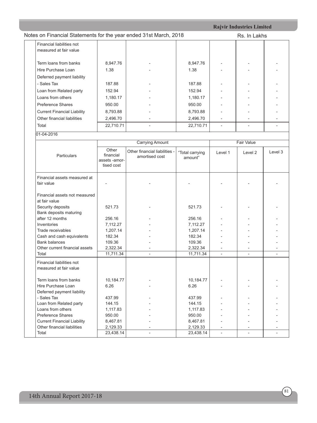|                                                                     |                                                   |                                                 |                            |                          | <b>Rajvir Industries Limited</b> |                          |
|---------------------------------------------------------------------|---------------------------------------------------|-------------------------------------------------|----------------------------|--------------------------|----------------------------------|--------------------------|
| Notes on Financial Statements for the year ended 31st March, 2018   |                                                   |                                                 |                            |                          | Rs. In Lakhs                     |                          |
| Financial liabilities not<br>measured at fair value                 |                                                   |                                                 |                            |                          |                                  |                          |
| Term loans from banks                                               | 8,947.76                                          |                                                 | 8,947.76                   |                          |                                  |                          |
| Hire Purchase Loan                                                  | 1.38                                              |                                                 | 1.38                       |                          |                                  |                          |
| Deferred payment liability                                          |                                                   |                                                 |                            |                          |                                  |                          |
| - Sales Tax                                                         | 187.88                                            |                                                 | 187.88                     |                          |                                  |                          |
| Loan from Related party                                             | 152.94                                            |                                                 | 152.94                     |                          |                                  |                          |
| Loans from others                                                   | 1.180.17                                          |                                                 | 1,180.17                   |                          |                                  |                          |
| <b>Preference Shares</b>                                            | 950.00                                            |                                                 | 950.00                     |                          |                                  |                          |
| <b>Current Financial Liability</b>                                  | 8,793.88                                          |                                                 | 8,793.88                   |                          |                                  |                          |
| Other financial liabilities                                         | 2,496.70                                          |                                                 | 2,496.70                   |                          |                                  |                          |
| Total                                                               | 22,710.71                                         |                                                 | 22,710.71                  | $\overline{\phantom{a}}$ |                                  | $\overline{a}$           |
|                                                                     |                                                   |                                                 |                            |                          |                                  |                          |
| 01-04-2016                                                          |                                                   |                                                 |                            |                          |                                  |                          |
|                                                                     |                                                   | <b>Carrying Amount</b>                          |                            |                          | Fair Value                       |                          |
| <b>Particulars</b>                                                  | Other<br>financial<br>assets -amor-<br>tised cost | Other financial liabilities -<br>amortised cost | "Total carrying<br>amount" | Level 1                  | Level 2                          | Level 3                  |
| Financial assets measured at                                        |                                                   |                                                 |                            |                          |                                  |                          |
| fair value                                                          |                                                   |                                                 |                            |                          |                                  |                          |
| Financial assets not measured<br>at fair value<br>Security deposits | 521.73                                            |                                                 | 521.73                     |                          |                                  |                          |
| Bank deposits maturing                                              |                                                   |                                                 |                            |                          |                                  |                          |
| after 12 months                                                     | 256.16                                            |                                                 | 256.16                     |                          |                                  |                          |
| Inventories                                                         | 7,112.27                                          |                                                 | 7,112.27                   |                          |                                  |                          |
| Trade receivables                                                   | 1,207.14                                          |                                                 | 1,207.14                   |                          |                                  |                          |
| Cash and cash equivalents                                           | 182.34                                            |                                                 | 182.34                     |                          |                                  |                          |
| <b>Bank balances</b><br>Other current financial assets              | 109.36<br>2,322.34                                |                                                 | 109.36<br>2,322.34         |                          |                                  |                          |
| Total                                                               | 11,711.34                                         | $\overline{\phantom{a}}$                        | 11,711.34                  | $\blacksquare$           | $\overline{\phantom{a}}$         | $\blacksquare$           |
| Financial liabilities not<br>measured at fair value                 |                                                   |                                                 |                            |                          |                                  |                          |
| Term loans from banks                                               | 10,184.77                                         |                                                 | 10,184.77                  |                          |                                  |                          |
| Hire Purchase Loan                                                  | 6.26                                              |                                                 | 6.26                       |                          |                                  |                          |
| Deferred payment liability<br>- Sales Tax                           | 437.99                                            |                                                 | 437.99                     |                          |                                  |                          |
| Loan from Related party                                             | 144.15                                            |                                                 | 144.15                     |                          |                                  |                          |
| Loans from others                                                   | 1,117.83                                          |                                                 | 1,117.83                   |                          |                                  |                          |
| <b>Preference Shares</b>                                            | 950.00                                            |                                                 | 950.00                     |                          |                                  |                          |
| <b>Current Financial Liability</b>                                  | 8,467.81                                          |                                                 | 8,467.81                   |                          |                                  |                          |
| Other financial liabilities                                         | 2,129.33                                          | $\blacksquare$                                  | 2,129.33                   | $\overline{\phantom{a}}$ | $\overline{\phantom{a}}$         |                          |
| Total                                                               | 23,438.14                                         | $\overline{\phantom{0}}$                        | 23,438.14                  | $\overline{\phantom{a}}$ | $\overline{\phantom{a}}$         | $\overline{\phantom{a}}$ |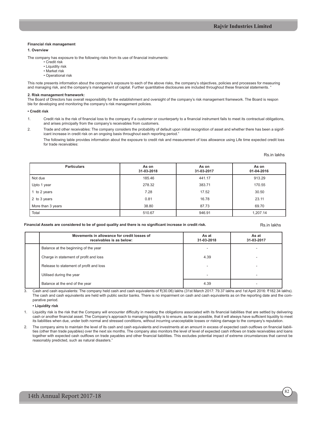#### **Financial risk management**

#### **1. Overview**

The company has exposure to the following risks from its use of financial instruments:

- Credit risk
- Liquidity risk
- Market risk
- Operational risk

This note presents information about the company's exposure to each of the above risks, the company's objectives, policies and processes for measuring and managing risk, and the company's management of capital. Further quantitative disclosures are included throughout these financial statements. "

#### **2. Risk management framework:**

The Board of Directors has overall responsibility for the establishment and oversight of the company's risk management framework. The Board is respon ble for developing and monitoring the company's risk management policies.

#### **• Credit risk**

- 1. Credit risk is the risk of financial loss to the company if a customer or counterparty to a financial instrument fails to meet its contractual obligations, and arises principally from the company's receivables from customers.
- 2. Trade and other receivables: The company considers the probability of default upon initial recognition of asset and whether there has been a significant increase in credit risk on an ongoing basis throughout each reporting period."

The following table provides information about the exposure to credit risk and measurement of loss allowance using Life time expected credit loss for trade receivables:

| <b>Particulars</b> | As on<br>31-03-2018 | As on<br>31-03-2017 | As on<br>01-04-2016 |
|--------------------|---------------------|---------------------|---------------------|
| Not due            | 185.46              | 441.17              | 913.29              |
| Upto 1 year        | 278.32              | 383.71              | 170.55              |
| 1 to 2 years       | 7.28                | 17.52               | 30.50               |
| 2 to 3 years       | 0.81                | 16.78               | 23.11               |
| More than 3 years  | 38.80               | 87.73               | 69.70               |
| Total              | 510.67              | 946.91              | 1,207.14            |

#### **Financial Assets are considered to be of good quality and there is no significant increase in credit risk.**

Rs.in lakhs

| Movements in allowance for credit losses of<br>receivables is as below: | As at<br>31-03-2018 | As at<br>31-03-2017 |
|-------------------------------------------------------------------------|---------------------|---------------------|
| Balance at the beginning of the year                                    |                     |                     |
| Charge in statement of profit and loss                                  | 4.39                |                     |
| Release to statement of profit and loss                                 |                     |                     |
| Utilised during the year                                                |                     |                     |
| Balance at the end of the year                                          | 4.39                |                     |

3. Cash and cash equivalents: The company held cash and cash equivalents of ₹(30.06) lakhs (31st March 2017: 79.37 lakhs and 1st April 2016: ₹182.34 lakhs). The cash and cash equivalents are held with public sector banks. There is no impairment on cash and cash equivalents as on the reporting date and the comparative period.

**• Liquidity risk**

1. Liquidity risk is the risk that the Company will encounter difficulty in meeting the obligations associated with its financial liabilities that are settled by delivering cash or another financial asset. The Company's approach to managing liquidity is to ensure, as far as possible, that it will always have sufficient liquidity to meet its liabilities when due, under both normal and stressed conditions, without incurring unacceptable losses or risking damage to the company's reputation.

2. The company aims to maintain the level of its cash and cash equivalents and investments at an amount in excess of expected cash outflows on financial liabilities (other than trade payables) over the next six months. The company also monitors the level of level of expected cash inflows on trade receivables and loans together with expected cash outflows on trade payables and other financial liabilities. This excludes potential impact of extreme circumstances that cannot be reasonably predicted, such as natural disasters."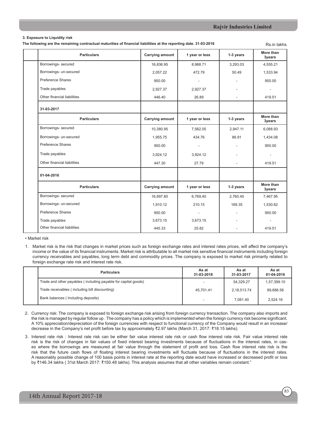#### **3. Exposure to Liquidity risk**

**The following are the remaining contractual maturities of financial liabilities at the reporting date. 31-03-2018**

```
Rs.in lakhs
```

| <b>Particulars</b>          | Carrying amount | 1 year or less           | 1-3 years                | More than<br>3years      |
|-----------------------------|-----------------|--------------------------|--------------------------|--------------------------|
| Borrowings- secured         | 16,836.95       | 8,988.71                 | 3,293.03                 | 4,555.21                 |
| Borrowings- un-secured      | 2,057.22        | 472.79                   | 50.49                    | 1,533.94                 |
| <b>Preference Shares</b>    | 950.00          | $\overline{\phantom{a}}$ | $\overline{\phantom{a}}$ | 950.00                   |
| Trade payables              | 2,927.37        | 2,927.37                 | ٠                        |                          |
| Other financial liabilities | 446.40          | 26.89                    |                          | 419.51                   |
| 31-03-2017                  |                 |                          |                          |                          |
| <b>Particulars</b>          | Carrying amount | 1 year or less           | 1-3 years                | More than<br>3years      |
| Borrowings- secured         | 10,380.95       | 7,562.05                 | 2,947.11                 | 6,088.93                 |
| Borrowings- un-secured      | 1,955.75        | 434.76                   | 86.91                    | 1,434.08                 |
| <b>Preference Shares</b>    | 950.00          | $\overline{\phantom{a}}$ | $\overline{\phantom{m}}$ | 950.00                   |
| Trade payables              | 3,924.12        | 3,924.12                 |                          | $\overline{\phantom{a}}$ |
| Other financial liabilities | 447.30          | 27.79                    | ٠                        | 419.51                   |
| 01-04-2016                  |                 |                          |                          |                          |
| <b>Particulars</b>          | Carrying amount | 1 year or less           | 1-3 years                | More than<br>3years      |
| Borrowings- secured         | 16,997.80       | 6,769.40                 | 2,760.45                 | 7,467.95                 |
| Borrowings- un-secured      | 1,910.12        | 210.15                   | 169.35                   | 1,530.62                 |
| <b>Preference Shares</b>    | 950.00          | $\overline{\phantom{a}}$ | ٠                        | 950.00                   |
| Trade payables              | 3,673.15        | 3,673.15                 |                          |                          |
| Other financial liabilities | 445.33          | 25.82                    |                          | 419.51                   |

• Market risk

1. Market risk is the risk that changes in market prices such as foreign exchange rates and interest rates prices, will affect the company's income or the value of its financial instruments. Market risk is attributable to all market risk sensitive financial instruments including foreign currency receivables and payables, long term debt and commodity prices. The company is exposed to market risk primarily related to foreign exchange rate risk and interest rate risk.

| <b>Particulars</b>                                             | As at<br>31-03-2018      | As at<br>31-03-2017 | As at<br>01-04-2016 |
|----------------------------------------------------------------|--------------------------|---------------------|---------------------|
| Trade and other payables (including payable for capital goods) | $\overline{\phantom{a}}$ | 54.329.27           | 1,57,399.10         |
| Trade receivables (including bill discounting)                 | 45.701.41                | 2.18.513.74         | 89.688.58           |
| Bank balances (Including deposits)                             |                          | 7.081.40            | 2.524.16            |

- 2. Currency risk: The company is exposed to foreign exchange risk arising from foreign currency transaction. The company also imports and the risk is managed by regular follow up . The company has a policy which is implemented when the foreign currency risk become significant. A 10% appreciation/depreciation of the foreign currencies with respect to functional currency of the Company would result in an increase/ decrease in the Company's net profit before tax by approximately ₹2.97 lakhs (March 31, 2017: ₹18.15 lakhs).
- 3. Interest rate risk : Interest rate risk can be either fair value interest rate risk or cash flow interest rate risk. Fair value interest rate risk is the risk of changes in fair values of fixed interest bearing investments because of fluctuations in the interest rates, in cases where the borrowings are measured at fair value through the statement of profit and loss. Cash flow interest rate risk is the risk that the future cash flows of floating interest bearing investments will fluctuate because of fluctuations in the interest rates. A reasonably possible change of 100 basis points in interest rate at the reporting date would have increased or decreased profit or loss by ₹146.34 lakhs ( 31st March 2017: ₹150.48 lakhs). This analysis assumes that all other variables remain constant."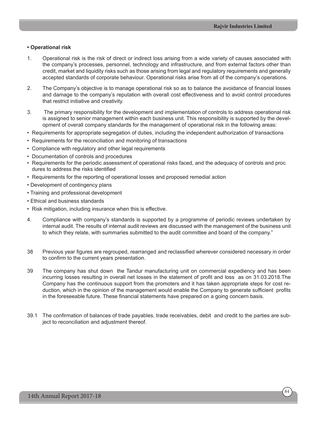## **• Operational risk**

- 1. Operational risk is the risk of direct or indirect loss arising from a wide variety of causes associated with the company's processes, personnel, technology and infrastructure, and from external factors other than credit, market and liquidity risks such as those arising from legal and regulatory requirements and generally accepted standards of corporate behaviour. Operational risks arise from all of the company's operations.
- 2. The Company's objective is to manage operational risk so as to balance the avoidance of financial losses and damage to the company's reputation with overall cost effectiveness and to avoid control procedures that restrict initiative and creativity.
- 3. The primary responsibility for the development and implementation of controls to address operational risk is assigned to senior management within each business unit. This responsibility is supported by the development of overall company standards for the management of operational risk in the following areas:
- Requirements for appropriate segregation of duties, including the independent authorization of transactions
- Requirements for the reconciliation and monitoring of transactions
- Compliance with regulatory and other legal requirements
- Documentation of controls and procedures
- Requirements for the periodic assessment of operational risks faced, and the adequacy of controls and proc dures to address the risks identified
- Requirements for the reporting of operational losses and proposed remedial action
- Development of contingency plans
- Training and professional development
- Ethical and business standards
- Risk mitigation, including insurance when this is effective.
- 4. Compliance with company's standards is supported by a programme of periodic reviews undertaken by internal audit. The results of internal audit reviews are discussed with the management of the business unit to which they relate, with summaries submitted to the audit committee and board of the company."
- 38 Previous year figures are regrouped, rearranged and reclassified wherever considered necessary in order to confirm to the current years presentation.
- 39 The company has shut down the Tandur manufacturing unit on commercial expediency and has been incurring losses resulting in overall net losses in the statement of profit and loss as on 31.03.2018.The Company has the continuous support from the promoters and it has taken appropriate steps for cost reduction, which in the opinion of the management would enable the Company to generate sufficient profits in the foreseeable future. These financial statements have prepared on a going concern basis.
- 39.1 The confirmation of balances of trade payables, trade receivables, debit and credit to the parties are subject to reconciliation and adjustment thereof.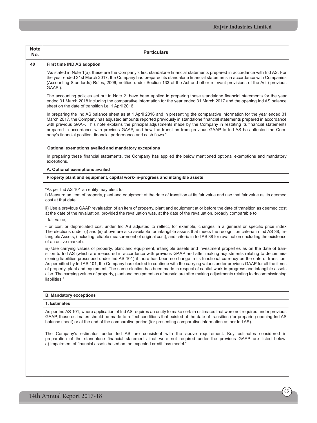| <b>Note</b><br>No. | <b>Particulars</b>                                                                                                                                                                                                                                                                                                                                                                                                                                                                                                                                                                                                                                                                                                                                                                                                        |
|--------------------|---------------------------------------------------------------------------------------------------------------------------------------------------------------------------------------------------------------------------------------------------------------------------------------------------------------------------------------------------------------------------------------------------------------------------------------------------------------------------------------------------------------------------------------------------------------------------------------------------------------------------------------------------------------------------------------------------------------------------------------------------------------------------------------------------------------------------|
| 40                 | First time IND AS adoption                                                                                                                                                                                                                                                                                                                                                                                                                                                                                                                                                                                                                                                                                                                                                                                                |
|                    | "As stated in Note 1(a), these are the Company's first standalone financial statements prepared in accordance with Ind AS. For<br>the year ended 31st March 2017, the Company had prepared its standalone financial statements in accordance with Companies<br>(Accounting Standards) Rules, 2006, notified under Section 133 of the Act and other relevant provisions of the Act ('previous<br>GAAP').                                                                                                                                                                                                                                                                                                                                                                                                                   |
|                    | The accounting policies set out in Note 2 have been applied in preparing these standalone financial statements for the year<br>ended 31 March 2018 including the comparative information for the year ended 31 March 2017 and the opening Ind AS balance<br>sheet on the date of transition i.e. 1 April 2016.                                                                                                                                                                                                                                                                                                                                                                                                                                                                                                            |
|                    | In preparing the Ind AS balance sheet as at 1 April 2016 and in presenting the comparative information for the year ended 31<br>March 2017, the Company has adjusted amounts reported previously in standalone financial statements prepared in accordance<br>with previous GAAP. This note explains the principal adjustments made by the Company in restating its financial statements<br>prepared in accordance with previous GAAP, and how the transition from previous GAAP to Ind AS has affected the Com-<br>pany's financial position, financial performance and cash flows."                                                                                                                                                                                                                                     |
|                    | Optional exemptions availed and mandatory exceptions                                                                                                                                                                                                                                                                                                                                                                                                                                                                                                                                                                                                                                                                                                                                                                      |
|                    | In preparing these financial statements, the Company has applied the below mentioned optional exemptions and mandatory<br>exceptions.                                                                                                                                                                                                                                                                                                                                                                                                                                                                                                                                                                                                                                                                                     |
|                    | A. Optional exemptions availed                                                                                                                                                                                                                                                                                                                                                                                                                                                                                                                                                                                                                                                                                                                                                                                            |
|                    | Property plant and equipment, capital work-in-progress and intangible assets                                                                                                                                                                                                                                                                                                                                                                                                                                                                                                                                                                                                                                                                                                                                              |
|                    | "As per Ind AS 101 an entity may elect to:<br>i) Measure an item of property, plant and equipment at the date of transition at its fair value and use that fair value as its deemed<br>cost at that date.                                                                                                                                                                                                                                                                                                                                                                                                                                                                                                                                                                                                                 |
|                    | ii) Use a previous GAAP revaluation of an item of property, plant and equipment at or before the date of transition as deemed cost<br>at the date of the revaluation, provided the revaluation was, at the date of the revaluation, broadly comparable to                                                                                                                                                                                                                                                                                                                                                                                                                                                                                                                                                                 |
|                    | - fair value;                                                                                                                                                                                                                                                                                                                                                                                                                                                                                                                                                                                                                                                                                                                                                                                                             |
|                    | - or cost or depreciated cost under Ind AS adjusted to reflect, for example, changes in a general or specific price index<br>The elections under (i) and (ii) above are also available for intangible assets that meets the recognition criteria in Ind AS 38, In-<br>tangible Assets, (including reliable measurement of original cost); and criteria in Ind AS 38 for revaluation (including the existence<br>of an active market).                                                                                                                                                                                                                                                                                                                                                                                     |
|                    | iii) Use carrying values of property, plant and equipment, intangible assets and investment properties as on the date of tran-<br>sition to Ind AS (which are measured in accordance with previous GAAP and after making adjustments relating to decommis-<br>sioning liabilities prescribed under Ind AS 101) if there has been no change in its functional currency on the date of transition.<br>As permitted by Ind AS 101, the Company has elected to continue with the carrying values under previous GAAP for all the items<br>of property, plant and equipment. The same election has been made in respect of capital work-in-progress and intangible assets<br>also. The carrying values of property, plant and equipment as aforesaid are after making adjustments relating to decommissioning<br>liabilities." |
|                    | <b>B. Mandatory exceptions</b>                                                                                                                                                                                                                                                                                                                                                                                                                                                                                                                                                                                                                                                                                                                                                                                            |
|                    | 1. Estimates                                                                                                                                                                                                                                                                                                                                                                                                                                                                                                                                                                                                                                                                                                                                                                                                              |
|                    | As per Ind AS 101, where application of Ind AS requires an entity to make certain estimates that were not required under previous<br>GAAP, those estimates should be made to reflect conditions that existed at the date of transition (for preparing opening Ind AS<br>balance sheet) or at the end of the comparative period (for presenting comparative information as per Ind AS).                                                                                                                                                                                                                                                                                                                                                                                                                                    |
|                    | The Company's estimates under Ind AS are consistent with the above requirement. Key estimates considered in<br>preparation of the standalone financial statements that were not required under the previous GAAP are listed below:<br>a) Impairment of financial assets based on the expected credit loss model."                                                                                                                                                                                                                                                                                                                                                                                                                                                                                                         |
|                    |                                                                                                                                                                                                                                                                                                                                                                                                                                                                                                                                                                                                                                                                                                                                                                                                                           |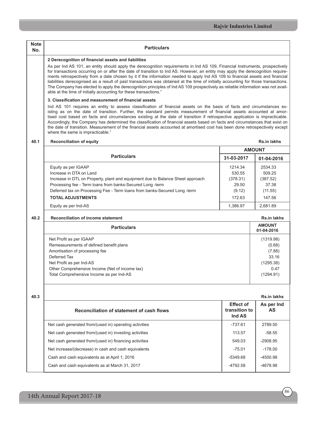| <b>Note</b><br>No. | <b>Particulars</b>                                                                                                                                                                                                                                                                                                                                                                                                                                                                                                                                                                                                                                                                                                                                                                                       |                                                            |                                                                          |  |  |
|--------------------|----------------------------------------------------------------------------------------------------------------------------------------------------------------------------------------------------------------------------------------------------------------------------------------------------------------------------------------------------------------------------------------------------------------------------------------------------------------------------------------------------------------------------------------------------------------------------------------------------------------------------------------------------------------------------------------------------------------------------------------------------------------------------------------------------------|------------------------------------------------------------|--------------------------------------------------------------------------|--|--|
|                    | 2 Derecognition of financial assets and liabilities<br>As per Ind AS 101, an entity should apply the derecognition requirements in Ind AS 109, Financial Instruments, prospectively<br>for transactions occurring on or after the date of transition to Ind AS. However, an entity may apply the derecognition require-<br>ments retrospectively from a date chosen by it if the information needed to apply Ind AS 109 to financial assets and financial<br>liabilities derecognised as a result of past transactions was obtained at the time of initially accounting for those transactions.<br>The Company has elected to apply the derecognition principles of Ind AS 109 prospectively as reliable information was not avail-<br>able at the time of initially accounting for these transactions." |                                                            |                                                                          |  |  |
|                    | 3. Classification and measurement of financial assets<br>Ind AS 101 requires an entity to assess classification of financial assets on the basis of facts and circumstances ex-<br>isting as on the date of transition. Further, the standard permits measurement of financial assets accounted at amor-<br>tised cost based on facts and circumstances existing at the date of transition if retrospective application is impracticable.<br>Accordingly, the Company has determined the classification of financial assets based on facts and circumstances that exist on<br>the date of transition. Measurement of the financial assets accounted at amortised cost has been done retrospectively except<br>where the same is impracticable."                                                          |                                                            |                                                                          |  |  |
| 40.1               | <b>Reconciliation of equity</b>                                                                                                                                                                                                                                                                                                                                                                                                                                                                                                                                                                                                                                                                                                                                                                          |                                                            | <b>Rs.in lakhs</b>                                                       |  |  |
|                    |                                                                                                                                                                                                                                                                                                                                                                                                                                                                                                                                                                                                                                                                                                                                                                                                          |                                                            | <b>AMOUNT</b>                                                            |  |  |
|                    | <b>Particulars</b>                                                                                                                                                                                                                                                                                                                                                                                                                                                                                                                                                                                                                                                                                                                                                                                       | 31-03-2017                                                 | 01-04-2016                                                               |  |  |
|                    | Equity as per IGAAP<br>Increase in DTA on Land<br>Increase in DTL on Property, plant and equipment due to Balance Sheet approach<br>Processing fee - Term loans from banks-Secured Long -term<br>Deferred tax on Processing Fee - Term loans from banks-Secured Long -term<br><b>TOTAL ADJUSTMENTS</b>                                                                                                                                                                                                                                                                                                                                                                                                                                                                                                   | 1214.34<br>530.55<br>(378.31)<br>29.50<br>(9.12)<br>172.63 | 2534.33<br>509.25<br>(387.52)<br>37.38<br>(11.55)<br>147.56              |  |  |
|                    | 1,386.97<br>Equity as per Ind-AS                                                                                                                                                                                                                                                                                                                                                                                                                                                                                                                                                                                                                                                                                                                                                                         |                                                            |                                                                          |  |  |
|                    |                                                                                                                                                                                                                                                                                                                                                                                                                                                                                                                                                                                                                                                                                                                                                                                                          |                                                            | 2,681.89                                                                 |  |  |
| 40.2               | <b>Reconciliation of income statement</b><br>Rs.in lakhs                                                                                                                                                                                                                                                                                                                                                                                                                                                                                                                                                                                                                                                                                                                                                 |                                                            |                                                                          |  |  |
|                    | <b>AMOUNT</b><br><b>Particulars</b><br>01-04-2016                                                                                                                                                                                                                                                                                                                                                                                                                                                                                                                                                                                                                                                                                                                                                        |                                                            |                                                                          |  |  |
|                    | Net Profit as per IGAAP<br>Remeasurements of defined benefit plans<br>Amortisation of processing fee<br>Deferred Tax<br>Net Profit as per Ind-AS<br>Other Comprehensive Income (Net of income tax)<br>Total Comprehensive Income as per Ind-AS                                                                                                                                                                                                                                                                                                                                                                                                                                                                                                                                                           |                                                            | (1319.98)<br>(0.68)<br>(7.88)<br>33.16<br>(1295.38)<br>0.47<br>(1294.91) |  |  |
| 40.3               |                                                                                                                                                                                                                                                                                                                                                                                                                                                                                                                                                                                                                                                                                                                                                                                                          |                                                            | <b>Rs.in lakhs</b>                                                       |  |  |
|                    | Reconciliation of statement of cash flows                                                                                                                                                                                                                                                                                                                                                                                                                                                                                                                                                                                                                                                                                                                                                                | <b>Effect of</b><br>transition to<br>Ind AS                | As per Ind<br>AS                                                         |  |  |
|                    | Net cash generated from/(used in) operating activities                                                                                                                                                                                                                                                                                                                                                                                                                                                                                                                                                                                                                                                                                                                                                   | $-737.61$                                                  | 2789.50                                                                  |  |  |
|                    | Net cash generated from/(used in) investing activities                                                                                                                                                                                                                                                                                                                                                                                                                                                                                                                                                                                                                                                                                                                                                   | 113.57                                                     | $-58.55$                                                                 |  |  |
|                    | Net cash generated from/(used in) financing activities                                                                                                                                                                                                                                                                                                                                                                                                                                                                                                                                                                                                                                                                                                                                                   | 549.03                                                     | $-2908.95$                                                               |  |  |
|                    | Net increase/(decrease) in cash and cash equivalents                                                                                                                                                                                                                                                                                                                                                                                                                                                                                                                                                                                                                                                                                                                                                     | $-75.01$                                                   | $-178.00$                                                                |  |  |
|                    | Cash and cash equivalents as at April 1, 2016                                                                                                                                                                                                                                                                                                                                                                                                                                                                                                                                                                                                                                                                                                                                                            | $-5349.68$                                                 | -4500.98                                                                 |  |  |
|                    | Cash and cash equivalents as at March 31, 2017                                                                                                                                                                                                                                                                                                                                                                                                                                                                                                                                                                                                                                                                                                                                                           | -4792.58                                                   | -4678.98                                                                 |  |  |
|                    |                                                                                                                                                                                                                                                                                                                                                                                                                                                                                                                                                                                                                                                                                                                                                                                                          |                                                            |                                                                          |  |  |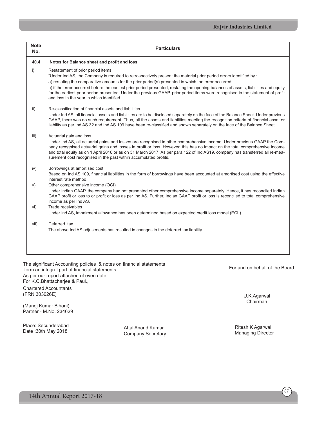| <b>Note</b><br>No. | <b>Particulars</b>                                                                                                                                                                                                                                                                                                                                                                                                                                                                                                                                                                     |
|--------------------|----------------------------------------------------------------------------------------------------------------------------------------------------------------------------------------------------------------------------------------------------------------------------------------------------------------------------------------------------------------------------------------------------------------------------------------------------------------------------------------------------------------------------------------------------------------------------------------|
| 40.4               | Notes for Balance sheet and profit and loss                                                                                                                                                                                                                                                                                                                                                                                                                                                                                                                                            |
| i)                 | Restatement of prior period items<br>"Under Ind AS, the Company is required to retrospectively present the material prior period errors identified by:<br>a) restating the comparative amounts for the prior period(s) presented in which the error occurred;<br>b) if the error occurred before the earliest prior period presented, restating the opening balances of assets, liabilities and equity<br>for the earliest prior period presented. Under the previous GAAP, prior period items were recognised in the statement of profit<br>and loss in the year in which identified. |
| $\mathsf{ii}$ )    | Re-classification of financial assets and liabilities<br>Under Ind AS, all financial assets and liabilities are to be disclosed separately on the face of the Balance Sheet. Under previous<br>GAAP, there was no such requirement. Thus, all the assets and liabilities meeting the recognition criteria of financial asset or<br>liability as per Ind AS 32 and Ind AS 109 have been re-classified and shown separately on the face of the Balance Sheet.                                                                                                                            |
| iii)               | Actuarial gain and loss<br>Under Ind AS, all actuarial gains and losses are recognised in other comprehensive income. Under previous GAAP the Com-<br>pany recognised actuarial gains and losses in profit or loss. However, this has no impact on the total comprehensive income<br>and total equity as on 1 April 2016 or as on 31 March 2017. As per para 122 of Ind AS19, company has transferred all re-mea-<br>surement cost recognised in the past within accumulated profits.                                                                                                  |
| iv)                | Borrowings at amortised cost                                                                                                                                                                                                                                                                                                                                                                                                                                                                                                                                                           |
|                    | Based on Ind AS 109, financial liabilities in the form of borrowings have been accounted at amortised cost using the effective<br>interest rate method.                                                                                                                                                                                                                                                                                                                                                                                                                                |
| V)                 | Other comprehensive income (OCI)<br>Under Indian GAAP, the company had not presented other comprehensive income separately. Hence, it has reconciled Indian<br>GAAP profit or loss to or profit or loss as per Ind AS. Further, Indian GAAP profit or loss is reconciled to total comprehensive<br>income as per Ind AS.                                                                                                                                                                                                                                                               |
| vi)                | Trade receivables                                                                                                                                                                                                                                                                                                                                                                                                                                                                                                                                                                      |
|                    | Under Ind AS, impairment allowance has been determined based on expected credit loss model (ECL).                                                                                                                                                                                                                                                                                                                                                                                                                                                                                      |
| vii)               | Deferred tax                                                                                                                                                                                                                                                                                                                                                                                                                                                                                                                                                                           |
|                    | The above Ind AS adjustments has resulted in changes in the deferred tax liability.                                                                                                                                                                                                                                                                                                                                                                                                                                                                                                    |

Chartered Accountants (FRN 303026E) The significant Accounting policies & notes on financial statements form an integral part of financial statements As per our report attached of even date For K.C.Bhattacharjee & Paul.,

(Manoj Kumar Bihani) Partner - M.No. 234629

Place: Secunderabad Place: Secunderabad<br>Date :30th May 2018 Attal Anand Kumar

Company Secretary

For and on behalf of the Board

U.K.Agarwal Chairman

Ritesh K Agarwal Managing Director

 $\sqrt{87}$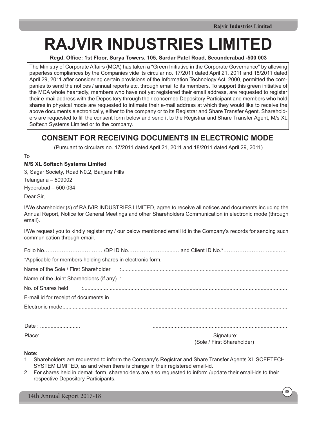# **RAJVIR INDUSTRIES LIMITED**

# **Regd. Office: 1st Floor, Surya Towers, 105, Sardar Patel Road, Secunderabad -500 003**

The Ministry of Corporate Affairs (MCA) has taken a "Green Initiative in the Corporate Governance" by allowing paperless compliances by the Companies vide its circular no. 17/2011 dated April 21, 2011 and 18/2011 dated April 29, 2011 after considering certain provisions of the Information Technology Act, 2000, permitted the companies to send the notices / annual reports etc. through email to its members. To support this green initiative of the MCA whole heartedly, members who have not yet registered their email address, are requested to register their e-mail address with the Depository through their concerned Depository Participant and members who hold shares in physical mode are requested to intimate their e-mail address at which they would like to receive the above documents electronically, either to the company or to its Registrar and Share Transfer Agent. Shareholders are requested to fill the consent form below and send it to the Registrar and Share Transfer Agent, M/s XL Softech Systems Limited or to the company.

# **CONSENT FOR RECEIVING DOCUMENTS IN ELECTRONIC MODE**

(Pursuant to circulars no. 17/2011 dated April 21, 2011 and 18/2011 dated April 29, 2011)

To

# **M/S XL Softech Systems Limited**

3, Sagar Society, Road N0.2, Banjara Hills

Telangana – 509002

Hyderabad – 500 034

Dear Sir,

I/We shareholder (s) of RAJVIR INDUSTRIES LIMITED, agree to receive all notices and documents including the Annual Report, Notice for General Meetings and other Shareholders Communication in electronic mode (through email).

I/We request you to kindly register my / our below mentioned email id in the Company's records for sending such communication through email.

| *Applicable for members holding shares in electronic form. |  |                                                                                                                                                                                                                                |
|------------------------------------------------------------|--|--------------------------------------------------------------------------------------------------------------------------------------------------------------------------------------------------------------------------------|
|                                                            |  | Name of the Sole / First Shareholder (2000) (2000) (2000) (2000) (2000) (2000) (2000) (2000) (2000) (2000) (2000) (2000) (2000) (2000) (2000) (2000) (2000) (2000) (2000) (2000) (2000) (2000) (2000) (2000) (2000) (2000) (20 |
|                                                            |  |                                                                                                                                                                                                                                |
|                                                            |  | No. of Shares held Francisco Communication and the Shares held                                                                                                                                                                 |
| E-mail id for receipt of documents in                      |  |                                                                                                                                                                                                                                |
|                                                            |  |                                                                                                                                                                                                                                |
|                                                            |  |                                                                                                                                                                                                                                |
|                                                            |  |                                                                                                                                                                                                                                |

Date : ........................... ........................................................................................... Place: ........................... Signature:

(Sole / First Shareholder)

# **Note:**

- 1. Shareholders are requested to inform the Company's Registrar and Share Transfer Agents XL SOFETECH SYSTEM LIMITED, as and when there is change in their registered email-id.
- 2. For shares held in demat form, shareholders are also requested to inform /update their email-ids to their respective Depository Participants.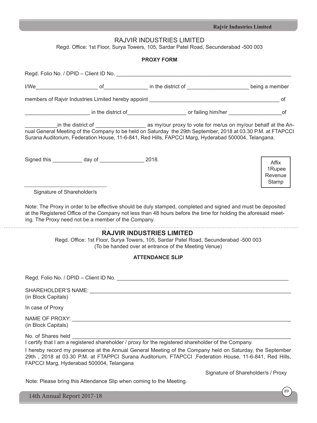$\left(89\right)$ 

# RAJVIR INDUSTRIES LIMITED

Regd. Office: 1st Floor, Surya Towers, 105, Sardar Patel Road, Secunderabad -500 003

# **PROXY FORM**

|                            |                                                            | __________________________ in the district of________________________ or failing him/her ________________                                                                                                                                                                                                                                                 | of                                  |
|----------------------------|------------------------------------------------------------|-----------------------------------------------------------------------------------------------------------------------------------------------------------------------------------------------------------------------------------------------------------------------------------------------------------------------------------------------------------|-------------------------------------|
|                            |                                                            | _in the district of _____________________ as my/our proxy to vote for me/us on my/our behalf at the An-<br>nual General Meeting of the Company to be held on Saturday the 29th September, 2018 at 03.30 P.M. at FTAPCCI<br>Surana Auditorium, Federation House, 11-6-841, Red Hills, FAPCCI Marg, Hyderabad 500004, Telangana.                            |                                     |
|                            | Signed this ____________ day of ____________________ 2018. |                                                                                                                                                                                                                                                                                                                                                           | Affix<br>1Rupee<br>Revenue<br>Stamp |
| Signature of Shareholder/s |                                                            |                                                                                                                                                                                                                                                                                                                                                           |                                     |
|                            | ing. The Proxy need not be a member of the Company.        | Note: The Proxy in order to be effective should be duly stamped, completed and signed and must be deposited<br>at the Registered Office of the Company not less than 48 hours before the time for holding the aforesaid meet-<br><b>RAJVIR INDUSTRIES LIMITED</b><br>Regd. Office: 1st Floor, Surya Towers, 105, Sardar Patel Road, Secunderabad -500 003 |                                     |
|                            |                                                            | (To be handed over at entrance of the Meeting Venue)                                                                                                                                                                                                                                                                                                      |                                     |
|                            |                                                            | <b>ATTENDANCE SLIP</b>                                                                                                                                                                                                                                                                                                                                    |                                     |
|                            |                                                            |                                                                                                                                                                                                                                                                                                                                                           |                                     |
| (in Block Capitals)        |                                                            |                                                                                                                                                                                                                                                                                                                                                           |                                     |
| In case of Proxy           |                                                            |                                                                                                                                                                                                                                                                                                                                                           |                                     |
| (in Block Capitals)        | NAME OF PROXY: WAS ARRESTED FOR A STRUCK.                  |                                                                                                                                                                                                                                                                                                                                                           |                                     |
| No. of Shares held         | FAPCCI Marg, Hyderabad 500004, Telangana                   | I certify that I am a registered shareholder / proxy for the registered shareholder of the Company.<br>I hereby record my presence at the Annual General Meeting of the Company held on Saturday, the September<br>29th, 2018 at 03.30 P.M. at FTAPPCI Surana Auditorium, FTAPCCI, Federation House, 11-6-841, Red Hills,                                 |                                     |
|                            |                                                            |                                                                                                                                                                                                                                                                                                                                                           | Signature of Shareholder/s / Proxy  |

Note: Please bring this Attendance Slip when coming to the Meeting.

14th Annual Report 2017-18

. . . . . . . . . . .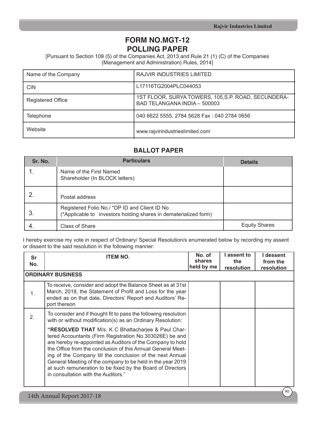# **FORM NO.MGT-12 POLLING PAPER**

[Pursuant to Section 109 (5) of the Companies Act, 2013 and Rule 21 (1) (C) of the Companies (Management and Administration) Rules, 2014]

| Name of the Company      | RAJVIR INDUSTRIES LIMITED                                                           |
|--------------------------|-------------------------------------------------------------------------------------|
| <b>CIN</b>               | L17116TG2004PLC044053                                                               |
| <b>Registered Office</b> | 1ST FLOOR, SURYA TOWERS, 105, S.P. ROAD, SECUNDERA-<br>BAD TELANGANA INDIA - 500003 |
| Telephone                | 040 6622 5555, 2784 5628 Fax: 040 2784 0656                                         |
| Website                  | www.rajvirindustrieslimited.com                                                     |

# **BALLOT PAPER**

| Sr. No. | <b>Particulars</b>                                                                                                 | <b>Details</b>       |
|---------|--------------------------------------------------------------------------------------------------------------------|----------------------|
|         | Name of the First Named<br>Shareholder (In BLOCK letters)                                                          |                      |
|         | Postal address                                                                                                     |                      |
| 3.      | Registered Folio No./ *DP ID and Client ID No.<br>(*Applicable to investors holding shares in dematerialized form) |                      |
|         | Class of Share                                                                                                     | <b>Equity Shares</b> |

I hereby exercise my vote in respect of Ordinary/ Special Resolution/s enumerated below by recording my assent or dissent to the said resolution in the following manner:

| <b>Sr</b><br>No. | <b>ITEM NO.</b>                                                                                                                                                                                                                                                                                                                                                                                                                                                            | No. of<br>shares<br>held by me | assent to<br>the<br>resolution | dessent<br>from the<br>resolution |
|------------------|----------------------------------------------------------------------------------------------------------------------------------------------------------------------------------------------------------------------------------------------------------------------------------------------------------------------------------------------------------------------------------------------------------------------------------------------------------------------------|--------------------------------|--------------------------------|-----------------------------------|
|                  | <b>ORDINARY BUSINESS</b>                                                                                                                                                                                                                                                                                                                                                                                                                                                   |                                |                                |                                   |
| $\mathbf 1$      | To receive, consider and adopt the Balance Sheet as at 31st<br>March, 2018, the Statement of Profit and Loss for the year<br>ended as on that date, Directors' Report and Auditors' Re-<br>port thereon                                                                                                                                                                                                                                                                    |                                |                                |                                   |
| 2.               | To consider and if thought fit to pass the following resolution<br>with or without modification(s) as an Ordinary Resolution:                                                                                                                                                                                                                                                                                                                                              |                                |                                |                                   |
|                  | "RESOLVED THAT M/s. K C Bhattacharjee & Paul Char-<br>tered Accountants (Firm Registration No.303026E) be and<br>are hereby re-appointed as Auditors of the Company to hold<br>the Office from the conclusion of this Annual General Meet-<br>ing of the Company till the conclusion of the next Annual<br>General Meeting of the company to be held in the year 2019<br>at such remuneration to be fixed by the Board of Directors<br>in consultation with the Auditors." |                                |                                |                                   |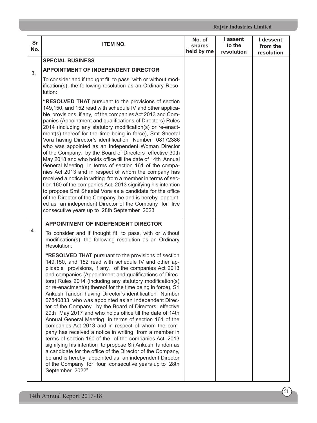| <b>Sr</b><br>No. | <b>ITEM NO.</b>                                                                                                                                                                                                                                                                                                                                                                                                                                                                                                                                                                                                                                                                                                                                                                                                                                                                                                                                                                                                                                                                                        | No. of<br>shares<br>held by me | I assent<br>to the<br>resolution | I dessent<br>from the<br>resolution |
|------------------|--------------------------------------------------------------------------------------------------------------------------------------------------------------------------------------------------------------------------------------------------------------------------------------------------------------------------------------------------------------------------------------------------------------------------------------------------------------------------------------------------------------------------------------------------------------------------------------------------------------------------------------------------------------------------------------------------------------------------------------------------------------------------------------------------------------------------------------------------------------------------------------------------------------------------------------------------------------------------------------------------------------------------------------------------------------------------------------------------------|--------------------------------|----------------------------------|-------------------------------------|
|                  | <b>SPECIAL BUSINESS</b>                                                                                                                                                                                                                                                                                                                                                                                                                                                                                                                                                                                                                                                                                                                                                                                                                                                                                                                                                                                                                                                                                |                                |                                  |                                     |
| 3.               | <b>APPOINTMENT OF INDEPENDENT DIRECTOR</b>                                                                                                                                                                                                                                                                                                                                                                                                                                                                                                                                                                                                                                                                                                                                                                                                                                                                                                                                                                                                                                                             |                                |                                  |                                     |
|                  | To consider and if thought fit, to pass, with or without mod-<br>ification(s), the following resolution as an Ordinary Reso-<br>lution:                                                                                                                                                                                                                                                                                                                                                                                                                                                                                                                                                                                                                                                                                                                                                                                                                                                                                                                                                                |                                |                                  |                                     |
|                  | "RESOLVED THAT pursuant to the provisions of section<br>149,150, and 152 read with schedule IV and other applica-<br>ble provisions, if any, of the companies Act 2013 and Com-<br>panies (Appointment and qualifications of Directors) Rules<br>2014 (including any statutory modification(s) or re-enact-<br>ment(s) thereof for the time being in force), Smt Sheetal<br>Vora having Director's identification Number 08172386<br>who was appointed as an Independent Woman Director<br>of the Company, by the Board of Directors effective 30th<br>May 2018 and who holds office till the date of 14th Annual<br>General Meeting in terms of section 161 of the compa-<br>nies Act 2013 and in respect of whom the company has<br>received a notice in writing from a member in terms of sec-<br>tion 160 of the companies Act, 2013 signifying his intention<br>to propose Smt Sheetal Vora as a candidate for the office<br>of the Director of the Company, be and is hereby appoint-<br>ed as an independent Director of the Company for five<br>consecutive years up to 28th September 2023    |                                |                                  |                                     |
|                  | <b>APPOINTMENT OF INDEPENDENT DIRECTOR</b>                                                                                                                                                                                                                                                                                                                                                                                                                                                                                                                                                                                                                                                                                                                                                                                                                                                                                                                                                                                                                                                             |                                |                                  |                                     |
| 4.               | To consider and if thought fit, to pass, with or without<br>modification(s), the following resolution as an Ordinary<br>Resolution:                                                                                                                                                                                                                                                                                                                                                                                                                                                                                                                                                                                                                                                                                                                                                                                                                                                                                                                                                                    |                                |                                  |                                     |
|                  | "RESOLVED THAT pursuant to the provisions of section<br>149,150, and 152 read with schedule IV and other ap-<br>plicable provisions, if any, of the companies Act 2013<br>and companies (Appointment and qualifications of Direc-<br>tors) Rules 2014 (including any statutory modification(s)<br>or re-enactment(s) thereof for the time being in force), Sri<br>Ankush Tandon having Director's identification Number<br>07840833 who was appointed as an Independent Direc-<br>tor of the Company, by the Board of Directors effective<br>29th May 2017 and who holds office till the date of 14th<br>Annual General Meeting in terms of section 161 of the<br>companies Act 2013 and in respect of whom the com-<br>pany has received a notice in writing from a member in<br>terms of section 160 of the of the companies Act, 2013<br>signifying his intention to propose Sri Ankush Tandon as<br>a candidate for the office of the Director of the Company,<br>be and is hereby appointed as an independent Director<br>of the Company for four consecutive years up to 28th<br>September 2022" |                                |                                  |                                     |